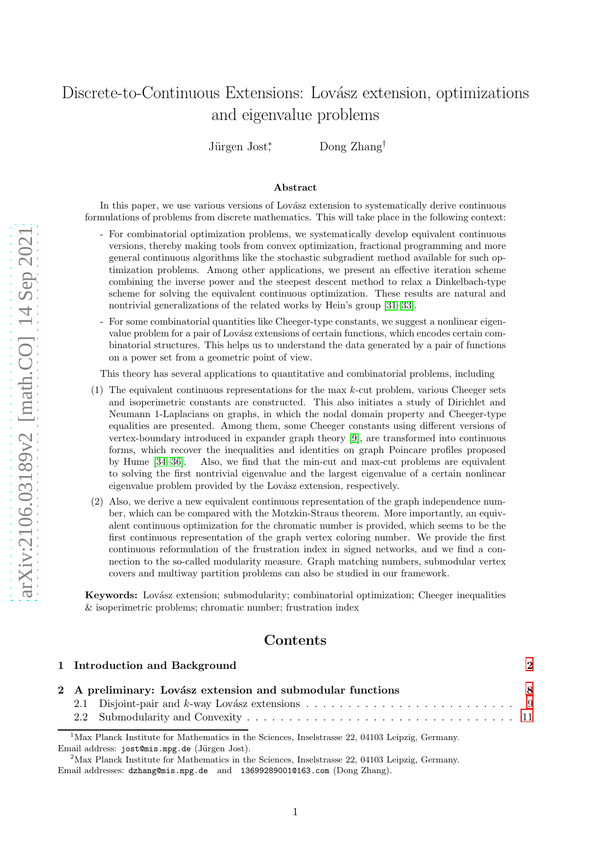# Discrete-to-Continuous Extensions: Lovász extension, optimizations and eigenvalue problems

Jürgen Jost<sup>\*</sup> Dong Zhang<sup>†</sup>

#### Abstract

In this paper, we use various versions of Lovász extension to systematically derive continuous formulations of problems from discrete mathematics. This will take place in the following context:

- For combinatorial optimization problems, we systematically develop equivalent continuous versions, thereby making tools from convex optimization, fractional programming and more general continuous algorithms like the stochastic subgradient method available for such optimization problems. Among other applications, we present an effective iteration scheme combining the inverse power and the steepest descent method to relax a Dinkelbach-type scheme for solving the equivalent continuous optimization. These results are natural and nontrivial generalizations of the related works by Hein's group [\[31](#page-42-0)[–33\]](#page-42-1).
- For some combinatorial quantities like Cheeger-type constants, we suggest a nonlinear eigenvalue problem for a pair of Lovász extensions of certain functions, which encodes certain combinatorial structures. This helps us to understand the data generated by a pair of functions on a power set from a geometric point of view.

This theory has several applications to quantitative and combinatorial problems, including

- (1) The equivalent continuous representations for the max  $k$ -cut problem, various Cheeger sets and isoperimetric constants are constructed. This also initiates a study of Dirichlet and Neumann 1-Laplacians on graphs, in which the nodal domain property and Cheeger-type equalities are presented. Among them, some Cheeger constants using different versions of vertex-boundary introduced in expander graph theory [\[9\]](#page-41-0), are transformed into continuous forms, which recover the inequalities and identities on graph Poincare profiles proposed by Hume [\[34](#page-42-2)[–36\]](#page-42-3). Also, we find that the min-cut and max-cut problems are equivalent to solving the first nontrivial eigenvalue and the largest eigenvalue of a certain nonlinear eigenvalue problem provided by the Lovász extension, respectively.
- (2) Also, we derive a new equivalent continuous representation of the graph independence number, which can be compared with the Motzkin-Straus theorem. More importantly, an equivalent continuous optimization for the chromatic number is provided, which seems to be the first continuous representation of the graph vertex coloring number. We provide the first continuous reformulation of the frustration index in signed networks, and we find a connection to the so-called modularity measure. Graph matching numbers, submodular vertex covers and multiway partition problems can also be studied in our framework.

Keywords: Lovász extension; submodularity; combinatorial optimization; Cheeger inequalities & isoperimetric problems; chromatic number; frustration index

# Contents

| 1 Introduction and Background                              | $\mathbf 2$  |
|------------------------------------------------------------|--------------|
| 2 A preliminary: Lovász extension and submodular functions | $\mathbf{R}$ |
|                                                            |              |
|                                                            |              |

<sup>&</sup>lt;sup>1</sup>Max Planck Institute for Mathematics in the Sciences, Inselstrasse 22, 04103 Leipzig, Germany. Email address: jost@mis.mpg.de (Jürgen Jost).

<sup>&</sup>lt;sup>2</sup>Max Planck Institute for Mathematics in the Sciences, Inselstrasse 22, 04103 Leipzig, Germany. Email addresses: dzhang@mis.mpg.de and 13699289001@163.com (Dong Zhang).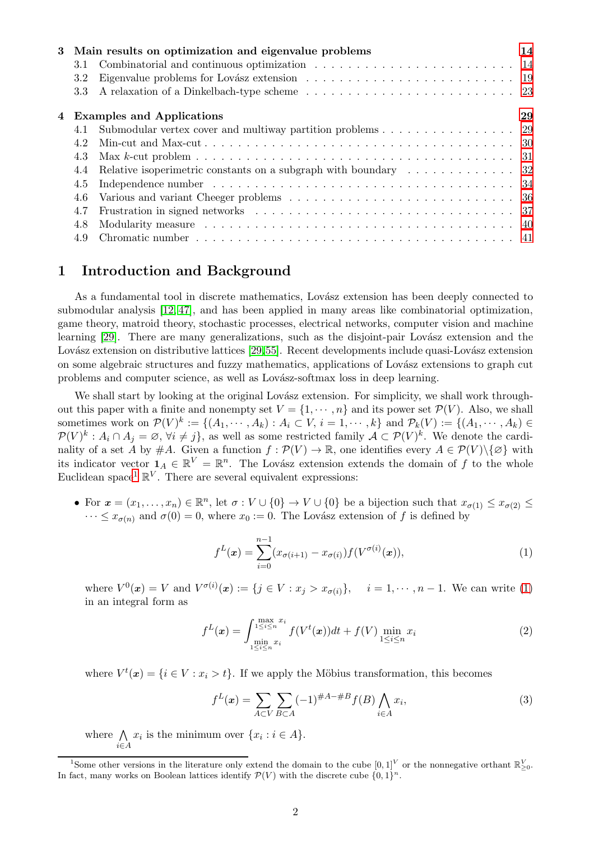|     | 3 Main results on optimization and eigenvalue problems                                                                                                                                                                         | 14 |
|-----|--------------------------------------------------------------------------------------------------------------------------------------------------------------------------------------------------------------------------------|----|
| 3.1 |                                                                                                                                                                                                                                |    |
| 3.2 |                                                                                                                                                                                                                                |    |
| 3.3 |                                                                                                                                                                                                                                |    |
|     | 4 Examples and Applications                                                                                                                                                                                                    | 29 |
| 4.1 | Submodular vertex cover and multiway partition problems $\dots \dots \dots \dots \dots \dots$ 29                                                                                                                               |    |
| 4.2 |                                                                                                                                                                                                                                |    |
| 4.3 |                                                                                                                                                                                                                                |    |
| 4.4 | Relative isoperimetric constants on a subgraph with boundary $\dots \dots \dots \dots$                                                                                                                                         |    |
| 4.5 |                                                                                                                                                                                                                                |    |
| 4.6 |                                                                                                                                                                                                                                |    |
| 4.7 |                                                                                                                                                                                                                                |    |
| 4.8 | Modularity measure contact and contact and contact and contact and contact and contact and contact and contact and contact and contact and contact and contact and contact and contact and contact and contact and contact and |    |
| 4.9 |                                                                                                                                                                                                                                |    |

# <span id="page-1-0"></span>1 Introduction and Background

As a fundamental tool in discrete mathematics, Lovász extension has been deeply connected to submodular analysis [\[12,](#page-41-1) [47\]](#page-43-0), and has been applied in many areas like combinatorial optimization, game theory, matroid theory, stochastic processes, electrical networks, computer vision and machine learning [\[29\]](#page-42-4). There are many generalizations, such as the disjoint-pair Lovász extension and the Lovász extension on distributive lattices [\[29,](#page-42-4)[55\]](#page-43-1). Recent developments include quasi-Lovász extension on some algebraic structures and fuzzy mathematics, applications of Lovász extensions to graph cut problems and computer science, as well as Lovász-softmax loss in deep learning.

We shall start by looking at the original Lovász extension. For simplicity, we shall work throughout this paper with a finite and nonempty set  $V = \{1, \dots, n\}$  and its power set  $\mathcal{P}(V)$ . Also, we shall sometimes work on  $\mathcal{P}(V)^k := \{(A_1, \cdots, A_k) : A_i \subset V, i = 1, \cdots, k\}$  and  $\mathcal{P}_k(V) := \{(A_1, \cdots, A_k) \in$  $\mathcal{P}(V)^k : A_i \cap A_j = \emptyset, \forall i \neq j$ , as well as some restricted family  $\mathcal{A} \subset \mathcal{P}(V)^k$ . We denote the cardinality of a set A by #A. Given a function  $f : \mathcal{P}(V) \to \mathbb{R}$ , one identifies every  $A \in \mathcal{P}(V) \setminus \{\emptyset\}$  with its indicator vector  $\mathbf{1}_A \in \mathbb{R}^V = \mathbb{R}^n$ . The Lovász extension extends the domain of f to the whole Euclidean space<sup>[1](#page-1-1)</sup>  $\mathbb{R}^V$ . There are several equivalent expressions:

• For  $x = (x_1, \ldots, x_n) \in \mathbb{R}^n$ , let  $\sigma : V \cup \{0\} \to V \cup \{0\}$  be a bijection such that  $x_{\sigma(1)} \leq x_{\sigma(2)} \leq$  $\cdots \leq x_{\sigma(n)}$  and  $\sigma(0) = 0$ , where  $x_0 := 0$ . The Lovász extension of f is defined by

<span id="page-1-2"></span>
$$
f^{L}(\boldsymbol{x}) = \sum_{i=0}^{n-1} (x_{\sigma(i+1)} - x_{\sigma(i)}) f(V^{\sigma(i)}(\boldsymbol{x})),
$$
\n(1)

where  $V^0(x) = V$  and  $V^{\sigma(i)}(x) := \{j \in V : x_j > x_{\sigma(i)}\}, \quad i = 1, \dots, n-1$ . We can write [\(1\)](#page-1-2) in an integral form as

$$
f^{L}(\boldsymbol{x}) = \int_{\min_{1 \leq i \leq n} x_{i}}^{\max_{1 \leq i \leq n} x_{i}} f(V^{t}(\boldsymbol{x})) dt + f(V) \min_{1 \leq i \leq n} x_{i}
$$
 (2)

where  $V^t(\mathbf{x}) = \{i \in V : x_i > t\}$ . If we apply the Möbius transformation, this becomes

<span id="page-1-3"></span>
$$
f^{L}(x) = \sum_{A \subset V} \sum_{B \subset A} (-1)^{\#A - \#B} f(B) \bigwedge_{i \in A} x_{i}, \tag{3}
$$

where  $\Lambda$ i∈A  $x_i$  is the minimum over  $\{x_i : i \in A\}.$ 

<span id="page-1-1"></span><sup>&</sup>lt;sup>1</sup>Some other versions in the literature only extend the domain to the cube  $[0,1]^V$  or the nonnegative orthant  $\mathbb{R}^V_{\geq 0}$ . In fact, many works on Boolean lattices identify  $\mathcal{P}(V)$  with the discrete cube  $\{0,1\}^n$ .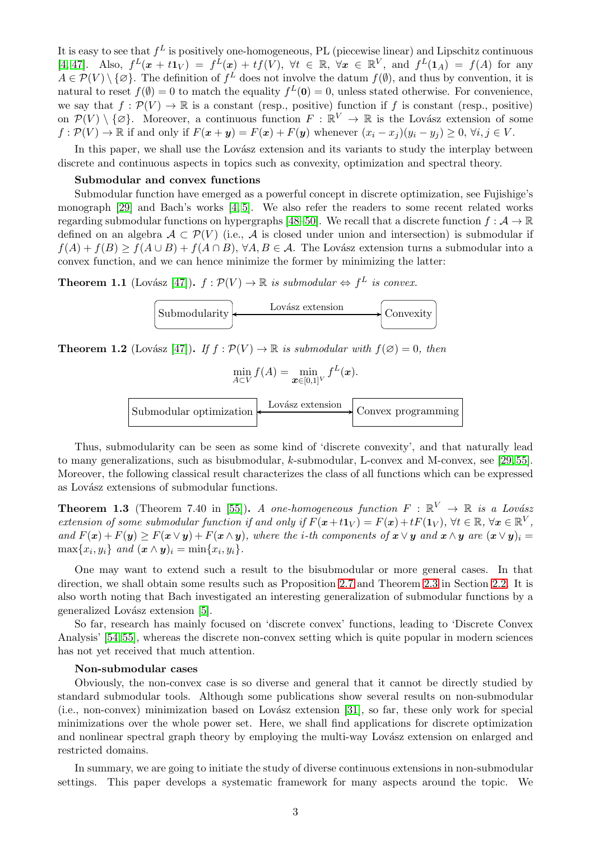It is easy to see that  $f^L$  is positively one-homogeneous, PL (piecewise linear) and Lipschitz continuous  $[4, 47]$  $[4, 47]$ . Also,  $f^L(x + t1_V) = f^L(x) + tf(V)$ ,  $\forall t \in \mathbb{R}$ ,  $\forall x \in \mathbb{R}^V$ , and  $f^L(1_A) = f(A)$  for any  $A \in \mathcal{P}(V) \setminus \{\emptyset\}$ . The definition of  $f^L$  does not involve the datum  $f(\emptyset)$ , and thus by convention, it is natural to reset  $f(\emptyset) = 0$  to match the equality  $f^L(\mathbf{0}) = 0$ , unless stated otherwise. For convenience, we say that  $f : \mathcal{P}(V) \to \mathbb{R}$  is a constant (resp., positive) function if f is constant (resp., positive) on  $\mathcal{P}(V) \setminus \{\varnothing\}$ . Moreover, a continuous function  $F : \mathbb{R}^V \to \mathbb{R}$  is the Lovász extension of some  $f: \mathcal{P}(V) \to \mathbb{R}$  if and only if  $F(\mathbf{x} + \mathbf{y}) = F(\mathbf{x}) + F(\mathbf{y})$  whenever  $(x_i - x_j)(y_i - y_j) \geq 0$ ,  $\forall i, j \in V$ .

In this paper, we shall use the Lovász extension and its variants to study the interplay between discrete and continuous aspects in topics such as convexity, optimization and spectral theory.

#### Submodular and convex functions

Submodular function have emerged as a powerful concept in discrete optimization, see Fujishige's monograph [\[29\]](#page-42-4) and Bach's works [\[4,](#page-41-2) [5\]](#page-41-3). We also refer the readers to some recent related works regarding submodular functions on hypergraphs [\[48](#page-43-2)[–50\]](#page-43-3). We recall that a discrete function  $f: \mathcal{A} \to \mathbb{R}$ defined on an algebra  $\mathcal{A} \subset \mathcal{P}(V)$  (i.e.,  $\mathcal{A}$  is closed under union and intersection) is submodular if  $f(A) + f(B) \ge f(A \cup B) + f(A \cap B)$ ,  $\forall A, B \in \mathcal{A}$ . The Lovász extension turns a submodular into a convex function, and we can hence minimize the former by minimizing the latter:

**Theorem 1.1** (Lovász [\[47\]](#page-43-0)).  $f : \mathcal{P}(V) \to \mathbb{R}$  is submodular  $\Leftrightarrow f^L$  is convex.

$$
\fbox{Submodularity} \xrightarrow{\text{Lovász extension}} \fbox{Convexity}
$$

**Theorem 1.2** (Lovász [\[47\]](#page-43-0)). If  $f : \mathcal{P}(V) \to \mathbb{R}$  is submodular with  $f(\emptyset) = 0$ , then

$$
\min_{A \subset V} f(A) = \min_{\mathbf{x} \in [0,1]^V} f^L(\mathbf{x}).
$$



Thus, submodularity can be seen as some kind of 'discrete convexity', and that naturally lead to many generalizations, such as bisubmodular, k-submodular, L-convex and M-convex, see [\[29,](#page-42-4) [55\]](#page-43-1). Moreover, the following classical result characterizes the class of all functions which can be expressed as Lovász extensions of submodular functions.

**Theorem 1.3** (Theorem 7.40 in [\[55\]](#page-43-1)). A one-homogeneous function  $F : \mathbb{R}^V \to \mathbb{R}$  is a Lovász extension of some submodular function if and only if  $F(\mathbf{x}+t\mathbf{1}_V) = F(\mathbf{x})+tF(\mathbf{1}_V)$ ,  $\forall t \in \mathbb{R}$ ,  $\forall \mathbf{x} \in \mathbb{R}^V$ , and  $F(x) + F(y) \geq F(x \vee y) + F(x \wedge y)$ , where the *i*-th components of  $x \vee y$  and  $x \wedge y$  are  $(x \vee y)_i =$  $\max\{x_i, y_i\}$  and  $(\boldsymbol{x} \wedge \boldsymbol{y})_i = \min\{x_i, y_i\}.$ 

One may want to extend such a result to the bisubmodular or more general cases. In that direction, we shall obtain some results such as Proposition [2.7](#page-10-1) and Theorem [2.3](#page-12-0) in Section [2.2.](#page-10-0) It is also worth noting that Bach investigated an interesting generalization of submodular functions by a generalized Lovász extension [\[5\]](#page-41-3).

So far, research has mainly focused on 'discrete convex' functions, leading to 'Discrete Convex Analysis' [\[54,](#page-43-4) [55\]](#page-43-1), whereas the discrete non-convex setting which is quite popular in modern sciences has not yet received that much attention.

#### Non-submodular cases

Obviously, the non-convex case is so diverse and general that it cannot be directly studied by standard submodular tools. Although some publications show several results on non-submodular  $(i.e., non-convex)$  minimization based on Lovász extension [\[31\]](#page-42-0), so far, these only work for special minimizations over the whole power set. Here, we shall find applications for discrete optimization and nonlinear spectral graph theory by employing the multi-way Lovász extension on enlarged and restricted domains.

In summary, we are going to initiate the study of diverse continuous extensions in non-submodular settings. This paper develops a systematic framework for many aspects around the topic. We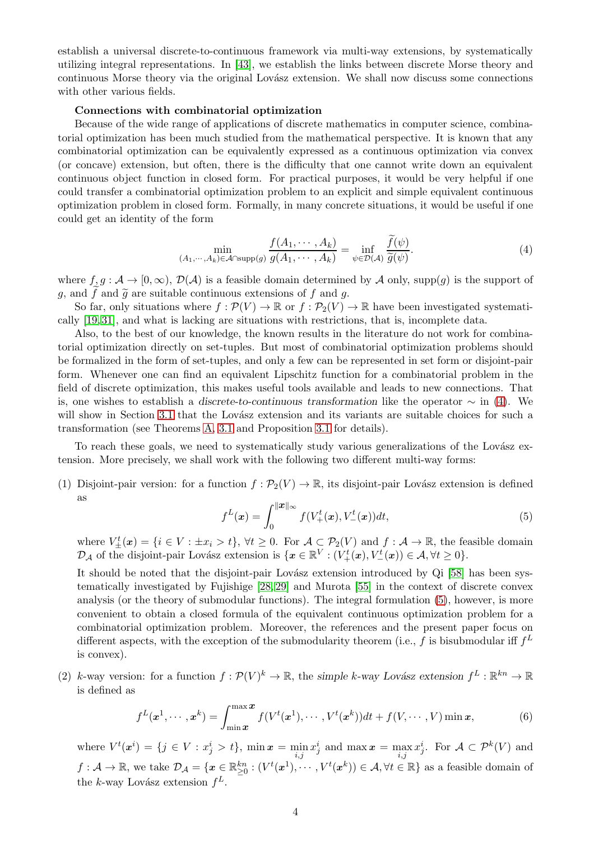establish a universal discrete-to-continuous framework via multi-way extensions, by systematically utilizing integral representations. In [\[43\]](#page-42-5), we establish the links between discrete Morse theory and continuous Morse theory via the original Lovász extension. We shall now discuss some connections with other various fields.

#### Connections with combinatorial optimization

Because of the wide range of applications of discrete mathematics in computer science, combinatorial optimization has been much studied from the mathematical perspective. It is known that any combinatorial optimization can be equivalently expressed as a continuous optimization via convex (or concave) extension, but often, there is the difficulty that one cannot write down an equivalent continuous object function in closed form. For practical purposes, it would be very helpful if one could transfer a combinatorial optimization problem to an explicit and simple equivalent continuous optimization problem in closed form. Formally, in many concrete situations, it would be useful if one could get an identity of the form

<span id="page-3-0"></span>
$$
\min_{(A_1,\cdots,A_k)\in\mathcal{A}\cap\text{supp}(g)}\frac{f(A_1,\cdots,A_k)}{g(A_1,\cdots,A_k)}=\inf_{\psi\in\mathcal{D}(\mathcal{A})}\frac{f(\psi)}{\widetilde{g}(\psi)}.
$$
(4)

where  $f, g : \mathcal{A} \to [0, \infty)$ ,  $\mathcal{D}(\mathcal{A})$  is a feasible domain determined by A only, supp(g) is the support of q, and f and  $\tilde{q}$  are suitable continuous extensions of f and q.

So far, only situations where  $f : \mathcal{P}(V) \to \mathbb{R}$  or  $f : \mathcal{P}_2(V) \to \mathbb{R}$  have been investigated systematically [\[19,](#page-42-6) [31\]](#page-42-0), and what is lacking are situations with restrictions, that is, incomplete data.

Also, to the best of our knowledge, the known results in the literature do not work for combinatorial optimization directly on set-tuples. But most of combinatorial optimization problems should be formalized in the form of set-tuples, and only a few can be represented in set form or disjoint-pair form. Whenever one can find an equivalent Lipschitz function for a combinatorial problem in the field of discrete optimization, this makes useful tools available and leads to new connections. That is, one wishes to establish a discrete-to-continuous transformation like the operator  $\sim$  in [\(4\)](#page-3-0). We will show in Section [3.1](#page-13-1) that the Lovász extension and its variants are suitable choices for such a transformation (see Theorems [A,](#page-4-0) [3.1](#page-13-2) and Proposition [3.1](#page-15-0) for details).

To reach these goals, we need to systematically study various generalizations of the Lovász extension. More precisely, we shall work with the following two different multi-way forms:

(1) Disjoint-pair version: for a function  $f : \mathcal{P}_2(V) \to \mathbb{R}$ , its disjoint-pair Lovász extension is defined as

<span id="page-3-1"></span>
$$
f^{L}(\boldsymbol{x}) = \int_{0}^{\|\boldsymbol{x}\|_{\infty}} f(V_{+}^{t}(\boldsymbol{x}), V_{-}^{t}(\boldsymbol{x}))dt,
$$
\n(5)

where  $V_{\pm}^t(x) = \{i \in V : \pm x_i > t\}, \forall t \geq 0$ . For  $\mathcal{A} \subset \mathcal{P}_2(V)$  and  $f : \mathcal{A} \to \mathbb{R}$ , the feasible domain  $\mathcal{D}_{\mathcal{A}}$  of the disjoint-pair Lovász extension is  $\{x \in \mathbb{R}^V : (V^t_+(\boldsymbol{x}), V^t_-(\boldsymbol{x})) \in \mathcal{A}, \forall t \geq 0\}.$ 

It should be noted that the disjoint-pair Lovász extension introduced by Qi [\[58\]](#page-43-5) has been systematically investigated by Fujishige [\[28,](#page-42-7) [29\]](#page-42-4) and Murota [\[55\]](#page-43-1) in the context of discrete convex analysis (or the theory of submodular functions). The integral formulation [\(5\)](#page-3-1), however, is more convenient to obtain a closed formula of the equivalent continuous optimization problem for a combinatorial optimization problem. Moreover, the references and the present paper focus on different aspects, with the exception of the submodularity theorem (i.e., f is bisubmodular iff  $f^L$ is convex).

(2) k-way version: for a function  $f: \mathcal{P}(V)^k \to \mathbb{R}$ , the simple k-way Lovász extension  $f^L : \mathbb{R}^{kn} \to \mathbb{R}$ is defined as

<span id="page-3-2"></span>
$$
f^{L}(\boldsymbol{x}^{1},\cdots,\boldsymbol{x}^{k})=\int_{\min\boldsymbol{x}}^{\max\boldsymbol{x}}f(V^{t}(\boldsymbol{x}^{1}),\cdots,V^{t}(\boldsymbol{x}^{k}))dt+f(V,\cdots,V)\min\boldsymbol{x},\qquad(6)
$$

where  $V^t(x^i) = \{j \in V : x_j^i > t\}$ ,  $\min x = \min_{i,j} x_j^i$  and  $\max x = \max_{i,j} x_j^i$ . For  $\mathcal{A} \subset \mathcal{P}^k(V)$  and  $f: \mathcal{A} \to \mathbb{R}$ , we take  $\mathcal{D}_{\mathcal{A}} = \{ \boldsymbol{x} \in \mathbb{R}_{\geq 0}^{kn} : (V^t(\boldsymbol{x}^1), \cdots, V^t(\boldsymbol{x}^k)) \in \mathcal{A}, \forall t \in \mathbb{R} \}$  as a feasible domain of the k-way Lovász extension  $f^L$ .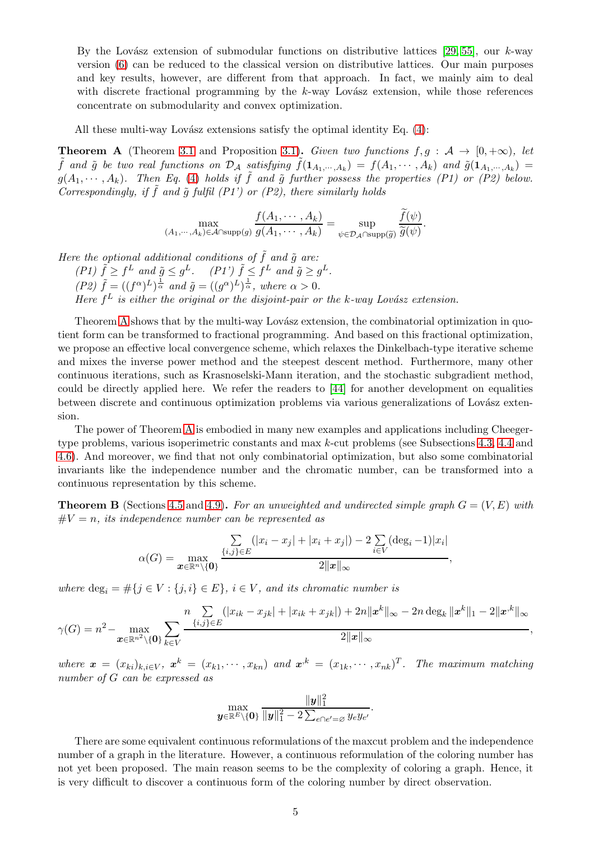By the Lovász extension of submodular functions on distributive lattices [\[29,](#page-42-4) [55\]](#page-43-1), our k-way version [\(6\)](#page-3-2) can be reduced to the classical version on distributive lattices. Our main purposes and key results, however, are different from that approach. In fact, we mainly aim to deal with discrete fractional programming by the  $k$ -way Lovász extension, while those references concentrate on submodularity and convex optimization.

All these multi-way Lovász extensions satisfy the optimal identity Eq.  $(4)$ :

<span id="page-4-0"></span>**Theorem A** (Theorem [3.1](#page-13-2) and Proposition [3.1\)](#page-15-0). Given two functions  $f, g : A \rightarrow [0, +\infty)$ , let  $\tilde{f}$  and  $\tilde{g}$  be two real functions on  $\mathcal{D}_\mathcal{A}$  satisfying  $\tilde{f}(1_{A_1,\cdots,A_k}) = f(A_1,\cdots,A_k)$  and  $\tilde{g}(1_{A_1,\cdots,A_k}) =$  $g(A_1, \dots, A_k)$ . Then Eq. [\(4\)](#page-3-0) holds if  $\tilde{f}$  and  $\tilde{g}$  further possess the properties (P1) or (P2) below. Correspondingly, if  $\tilde{f}$  and  $\tilde{g}$  fulfil (P1') or (P2), there similarly holds

$$
\max_{(A_1,\cdots,A_k)\in\mathcal{A}\cap\text{supp}(g)}\frac{f(A_1,\cdots,A_k)}{g(A_1,\cdots,A_k)}=\sup_{\psi\in\mathcal{D}_{\mathcal{A}}\cap\text{supp}(\widetilde{g})}\frac{\widetilde{f}(\psi)}{\widetilde{g}(\psi)}.
$$

Here the optional additional conditions of  $\tilde{f}$  and  $\tilde{g}$  are: (P1)  $\tilde{f} \geq f^L$  and  $\tilde{g} \leq g^L$ . (P1')  $\tilde{f} \leq f^L$  and  $\tilde{g} \geq g^L$ .  $(P2) \tilde{f} = ((f^{\alpha})^L)^{\frac{1}{\alpha}}$  and  $\tilde{g} = ((g^{\alpha})^L)^{\frac{1}{\alpha}}$ , where  $\alpha > 0$ . Here  $f^L$  is either the original or the disjoint-pair or the k-way Lovász extension.

Theorem [A](#page-4-0) shows that by the multi-way Lovász extension, the combinatorial optimization in quotient form can be transformed to fractional programming. And based on this fractional optimization, we propose an effective local convergence scheme, which relaxes the Dinkelbach-type iterative scheme and mixes the inverse power method and the steepest descent method. Furthermore, many other continuous iterations, such as Krasnoselski-Mann iteration, and the stochastic subgradient method, could be directly applied here. We refer the readers to [\[44\]](#page-42-8) for another development on equalities between discrete and continuous optimization problems via various generalizations of Lovász extension.

The power of Theorem [A](#page-4-0) is embodied in many new examples and applications including Cheegertype problems, various isoperimetric constants and max k-cut problems (see Subsections [4.3,](#page-30-0) [4.4](#page-31-0) and [4.6\)](#page-35-0). And moreover, we find that not only combinatorial optimization, but also some combinatorial invariants like the independence number and the chromatic number, can be transformed into a continuous representation by this scheme.

<span id="page-4-1"></span>**Theorem B** (Sections [4.5](#page-33-0) and [4.9\)](#page-40-0). For an unweighted and undirected simple graph  $G = (V, E)$  with  $\#V = n$ , its independence number can be represented as

$$
\alpha(G) = \max_{\mathbf{x} \in \mathbb{R}^n \setminus \{\mathbf{0}\}} \frac{\sum_{\{i,j\} \in E} (|x_i - x_j| + |x_i + x_j|) - 2 \sum_{i \in V} (\deg_i - 1)|x_i|}{2\|\mathbf{x}\|_{\infty}},
$$

where  $\deg_i = \#\{j \in V : \{j, i\} \in E\}, i \in V, \text{ and its chromatic number is}$ 

$$
\gamma(G) = n^2 - \max_{\mathbf{x} \in \mathbb{R}^{n^2} \setminus \{\mathbf{0}\}} \sum_{k \in V} \frac{n \sum_{\{i,j\} \in E} (|x_{ik} - x_{jk}| + |x_{ik} + x_{jk}|) + 2n \|\mathbf{x}^k\|_{\infty} - 2n \deg_k \|\mathbf{x}^k\|_1 - 2\|\mathbf{x}^k\|_{\infty}}{2\|\mathbf{x}\|_{\infty}},
$$

where  $\mathbf{x} = (x_{ki})_{k,i \in V}$ ,  $\mathbf{x}^k = (x_{k1}, \dots, x_{kn})$  and  $\mathbf{x}^k = (x_{1k}, \dots, x_{nk})^T$ . The maximum matching number of G can be expressed as

$$
\max_{\bm{y} \in \mathbb{R}^E \setminus \{\bm{0}\}} \frac{\|\bm{y}\|_1^2}{\|\bm{y}\|_1^2 - 2\sum_{e \cap e' = \varnothing} y_e y_{e'}}.
$$

There are some equivalent continuous reformulations of the maxcut problem and the independence number of a graph in the literature. However, a continuous reformulation of the coloring number has not yet been proposed. The main reason seems to be the complexity of coloring a graph. Hence, it is very difficult to discover a continuous form of the coloring number by direct observation.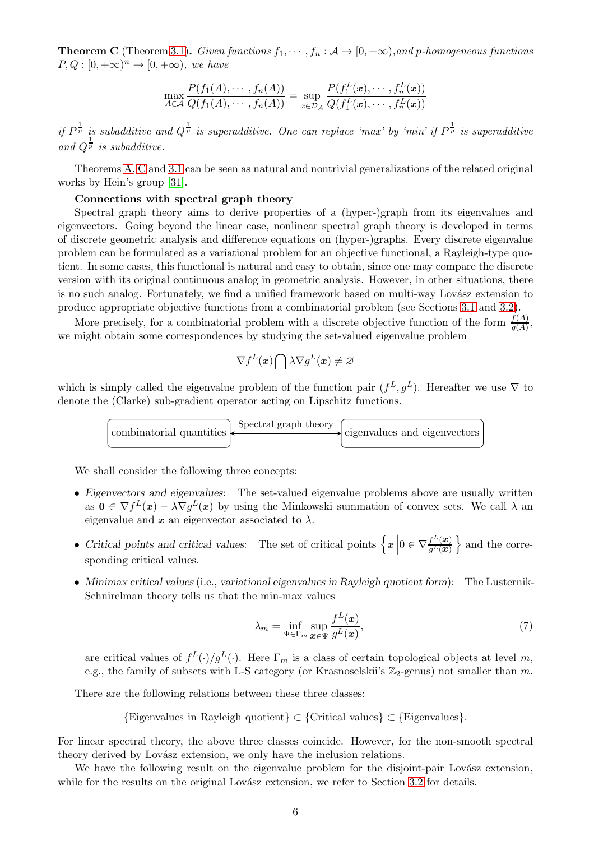<span id="page-5-0"></span>**Theorem C** (Theorem [3.1\)](#page-13-2). Given functions  $f_1, \dots, f_n : A \to [0, +\infty)$ , and p-homogeneous functions  $P, Q : [0, +\infty)^n \to [0, +\infty)$ , we have

$$
\max_{A \in \mathcal{A}} \frac{P(f_1(A), \dots, f_n(A))}{Q(f_1(A), \dots, f_n(A))} = \sup_{x \in \mathcal{D}_{\mathcal{A}}} \frac{P(f_1^L(\boldsymbol{x}), \dots, f_n^L(\boldsymbol{x}))}{Q(f_1^L(\boldsymbol{x}), \dots, f_n^L(\boldsymbol{x}))}
$$

if  $P^{\frac{1}{p}}$  is subadditive and  $Q^{\frac{1}{p}}$  is superadditive. One can replace 'max' by 'min' if  $P^{\frac{1}{p}}$  is superadditive and  $Q^{\frac{1}{p}}$  is subadditive.

Theorems [A,](#page-4-0) [C](#page-5-0) and [3.1](#page-13-2) can be seen as natural and nontrivial generalizations of the related original works by Hein's group [\[31\]](#page-42-0).

#### Connections with spectral graph theory

Spectral graph theory aims to derive properties of a (hyper-)graph from its eigenvalues and eigenvectors. Going beyond the linear case, nonlinear spectral graph theory is developed in terms of discrete geometric analysis and difference equations on (hyper-)graphs. Every discrete eigenvalue problem can be formulated as a variational problem for an objective functional, a Rayleigh-type quotient. In some cases, this functional is natural and easy to obtain, since one may compare the discrete version with its original continuous analog in geometric analysis. However, in other situations, there is no such analog. Fortunately, we find a unified framework based on multi-way Lovász extension to produce appropriate objective functions from a combinatorial problem (see Sections [3.1](#page-13-1) and [3.2\)](#page-18-0).

More precisely, for a combinatorial problem with a discrete objective function of the form  $\frac{f(A)}{g(A)}$ , we might obtain some correspondences by studying the set-valued eigenvalue problem

$$
\nabla f^L(\boldsymbol{x})\bigcap \lambda\nabla g^L(\boldsymbol{x})\neq\varnothing
$$

which is simply called the eigenvalue problem of the function pair  $(f^L, g^L)$ . Hereafter we use  $\nabla$  to denote the (Clarke) sub-gradient operator acting on Lipschitz functions.



We shall consider the following three concepts:

- Eigenvectors and eigenvalues: The set-valued eigenvalue problems above are usually written as  $\mathbf{0} \in \nabla f^L(\mathbf{x}) - \lambda \nabla g^L(\mathbf{x})$  by using the Minkowski summation of convex sets. We call  $\lambda$  and eigenvalue and  $x$  an eigenvector associated to  $\lambda$ .
- Critical points and critical values: The set of critical points  $\left\{x \middle| 0 \in \nabla \frac{f^L(x)}{g^L(x)}\right\}$  $g^L(\bm{x})$  $\}$  and the corresponding critical values.
- Minimax critical values (i.e., variational eigenvalues in Rayleigh quotient form): The Lusternik-Schnirelman theory tells us that the min-max values

$$
\lambda_m = \inf_{\Psi \in \Gamma_m} \sup_{\bm{x} \in \Psi} \frac{f^L(\bm{x})}{g^L(\bm{x})},\tag{7}
$$

are critical values of  $f^L(\cdot)/g^L(\cdot)$ . Here  $\Gamma_m$  is a class of certain topological objects at level m, e.g., the family of subsets with L-S category (or Krasnoselskii's  $\mathbb{Z}_2$ -genus) not smaller than m.

There are the following relations between these three classes:

{Eigenvalues in Rayleigh quotient} ⊂ {Critical values} ⊂ {Eigenvalues}.

For linear spectral theory, the above three classes coincide. However, for the non-smooth spectral theory derived by Lovász extension, we only have the inclusion relations.

We have the following result on the eigenvalue problem for the disjoint-pair Lovász extension, while for the results on the original Lovász extension, we refer to Section  $3.2$  for details.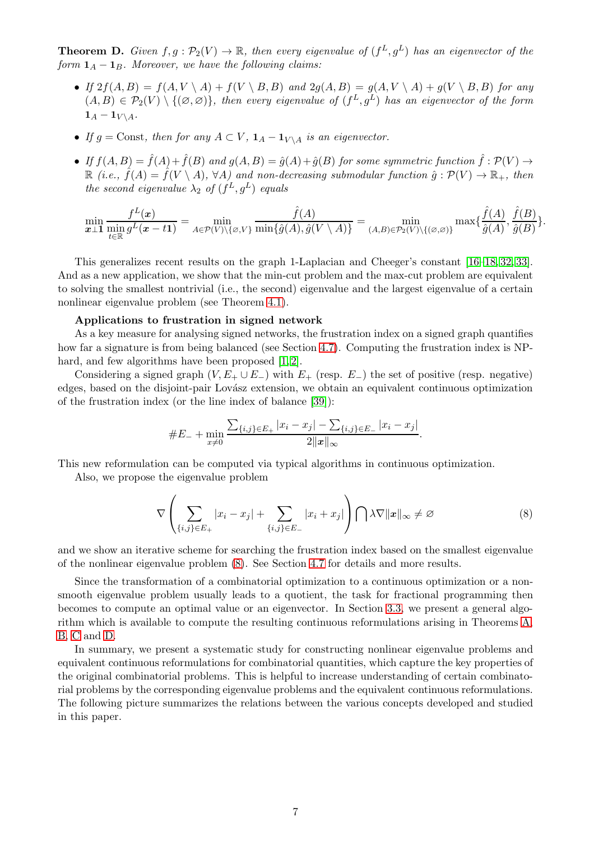<span id="page-6-1"></span>**Theorem D.** Given  $f, g : \mathcal{P}_2(V) \to \mathbb{R}$ , then every eigenvalue of  $(f^L, g^L)$  has an eigenvector of the form  $\mathbf{1}_A - \mathbf{1}_B$ . Moreover, we have the following claims:

- If  $2f(A, B) = f(A, V \setminus A) + f(V \setminus B, B)$  and  $2g(A, B) = g(A, V \setminus A) + g(V \setminus B, B)$  for any  $(A, B) \in \mathcal{P}_2(V) \setminus \{(\emptyset, \emptyset)\}\$ , then every eigenvalue of  $(f^L, g^L)$  has an eigenvector of the form  $1_A - 1_{V \setminus A}$ .
- If  $g =$ Const, then for any  $A \subset V$ ,  $\mathbf{1}_A \mathbf{1}_{V \setminus A}$  is an eigenvector.
- If  $f(A, B) = \hat{f}(A) + \hat{f}(B)$  and  $g(A, B) = \hat{g}(A) + \hat{g}(B)$  for some symmetric function  $\hat{f}: \mathcal{P}(V) \to$  $\mathbb{R}$  (i.e.,  $\hat{f}(A) = \hat{f}(V \setminus A)$ ,  $\forall A$ ) and non-decreasing submodular function  $\hat{g}: \mathcal{P}(V) \to \mathbb{R}_+$ , then the second eigenvalue  $\lambda_2$  of  $(f^L, g^L)$  equals

$$
\min_{\boldsymbol{x}\perp\boldsymbol{1}}\frac{f^L(\boldsymbol{x})}{\min_{t\in\mathbb{R}}g^L(\boldsymbol{x}-t\boldsymbol{1})}=\min_{A\in\mathcal{P}(V)\setminus\{\varnothing,V\}}\frac{\hat{f}(A)}{\min\{\hat{g}(A),\hat{g}(V\setminus A)\}}=\min_{(A,B)\in\mathcal{P}_2(V)\setminus\{(\varnothing,\varnothing)\}}\max\{\frac{\hat{f}(A)}{\hat{g}(A)},\frac{\hat{f}(B)}{\hat{g}(B)}\}.
$$

This generalizes recent results on the graph 1-Laplacian and Cheeger's constant [\[16–](#page-41-4)[18,](#page-42-9) [32,](#page-42-10) [33\]](#page-42-1). And as a new application, we show that the min-cut problem and the max-cut problem are equivalent to solving the smallest nontrivial (i.e., the second) eigenvalue and the largest eigenvalue of a certain nonlinear eigenvalue problem (see Theorem [4.1\)](#page-30-1).

#### Applications to frustration in signed network

As a key measure for analysing signed networks, the frustration index on a signed graph quantifies how far a signature is from being balanced (see Section [4.7\)](#page-36-0). Computing the frustration index is NP-hard, and few algorithms have been proposed [\[1,](#page-41-5) [2\]](#page-41-6).

Considering a signed graph  $(V, E_+ \cup E_-)$  with  $E_+$  (resp.  $E_-$ ) the set of positive (resp. negative) edges, based on the disjoint-pair Lovász extension, we obtain an equivalent continuous optimization of the frustration index (or the line index of balance [\[39\]](#page-42-11)):

$$
\#E_{-} + \min_{x \neq 0} \frac{\sum_{\{i,j\} \in E_{+}} |x_i - x_j| - \sum_{\{i,j\} \in E_{-}} |x_i - x_j|}{2\|\mathbf{x}\|_{\infty}}.
$$

This new reformulation can be computed via typical algorithms in continuous optimization.

Also, we propose the eigenvalue problem

<span id="page-6-0"></span>
$$
\nabla \left( \sum_{\{i,j\} \in E_+} |x_i - x_j| + \sum_{\{i,j\} \in E_-} |x_i + x_j| \right) \bigcap \lambda \nabla ||x||_{\infty} \neq \varnothing \tag{8}
$$

and we show an iterative scheme for searching the frustration index based on the smallest eigenvalue of the nonlinear eigenvalue problem [\(8\)](#page-6-0). See Section [4.7](#page-36-0) for details and more results.

Since the transformation of a combinatorial optimization to a continuous optimization or a nonsmooth eigenvalue problem usually leads to a quotient, the task for fractional programming then becomes to compute an optimal value or an eigenvector. In Section [3.3,](#page-22-0) we present a general algorithm which is available to compute the resulting continuous reformulations arising in Theorems [A,](#page-4-0) [B,](#page-4-1) [C](#page-5-0) and [D.](#page-6-1)

In summary, we present a systematic study for constructing nonlinear eigenvalue problems and equivalent continuous reformulations for combinatorial quantities, which capture the key properties of the original combinatorial problems. This is helpful to increase understanding of certain combinatorial problems by the corresponding eigenvalue problems and the equivalent continuous reformulations. The following picture summarizes the relations between the various concepts developed and studied in this paper.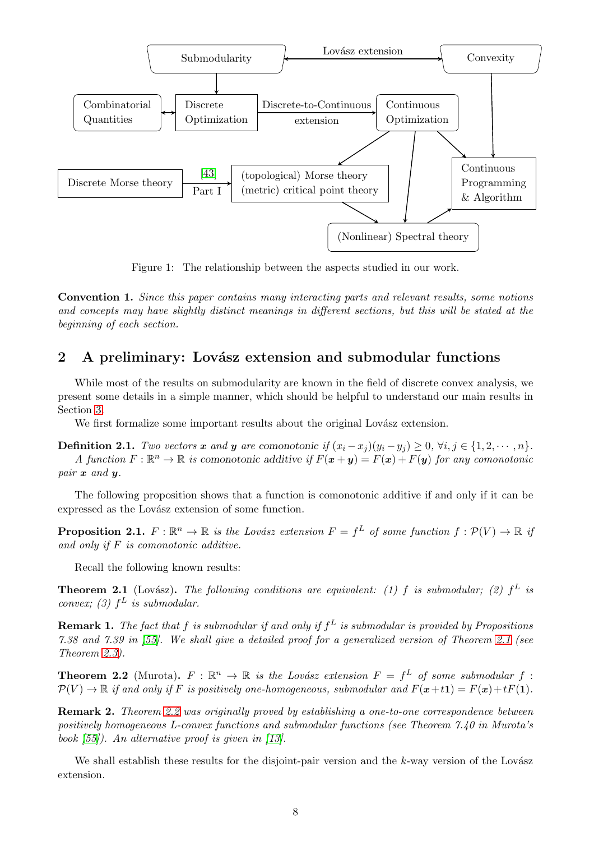

Figure 1: The relationship between the aspects studied in our work.

Convention 1. Since this paper contains many interacting parts and relevant results, some notions and concepts may have slightly distinct meanings in different sections, but this will be stated at the beginning of each section.

# <span id="page-7-0"></span>2 A preliminary: Lovász extension and submodular functions

While most of the results on submodularity are known in the field of discrete convex analysis, we present some details in a simple manner, which should be helpful to understand our main results in Section [3.](#page-13-0)

We first formalize some important results about the original Lovász extension.

**Definition 2.1.** Two vectors x and y are comonotonic if  $(x_i - x_j)(y_i - y_j) \geq 0$ ,  $\forall i, j \in \{1, 2, \dots, n\}$ . A function  $F: \mathbb{R}^n \to \mathbb{R}$  is comonotonic additive if  $F(\mathbf{x} + \mathbf{y}) = F(\mathbf{x}) + F(\mathbf{y})$  for any comonotonic pair x and y.

The following proposition shows that a function is comonotonic additive if and only if it can be expressed as the Lovász extension of some function.

**Proposition 2.1.**  $F : \mathbb{R}^n \to \mathbb{R}$  is the Lovász extension  $F = f^L$  of some function  $f : \mathcal{P}(V) \to \mathbb{R}$  if and only if  $F$  is comonotonic additive.

Recall the following known results:

<span id="page-7-1"></span>**Theorem 2.1** (Lovász). The following conditions are equivalent: (1) f is submodular; (2)  $f<sup>L</sup>$  is convex; (3)  $f^L$  is submodular.

**Remark 1.** The fact that f is submodular if and only if  $f^L$  is submodular is provided by Propositions 7.38 and 7.39 in [\[55\]](#page-43-1). We shall give a detailed proof for a generalized version of Theorem [2.1](#page-7-1) (see Theorem [2.3\)](#page-12-0).

<span id="page-7-2"></span>**Theorem 2.2** (Murota).  $F : \mathbb{R}^n \to \mathbb{R}$  is the Lovász extension  $F = f^L$  of some submodular  $f :$  $\mathcal{P}(V) \to \mathbb{R}$  if and only if F is positively one-homogeneous, submodular and  $F(x+t\mathbf{1}) = F(x)+tF(\mathbf{1})$ .

**Remark 2.** Theorem [2.2](#page-7-2) was originally proved by establishing a one-to-one correspondence between positively homogeneous L-convex functions and submodular functions (see Theorem 7.40 in Murota's book [\[55\]](#page-43-1)). An alternative proof is given in [\[13\]](#page-41-7).

We shall establish these results for the disjoint-pair version and the  $k$ -way version of the Lovász extension.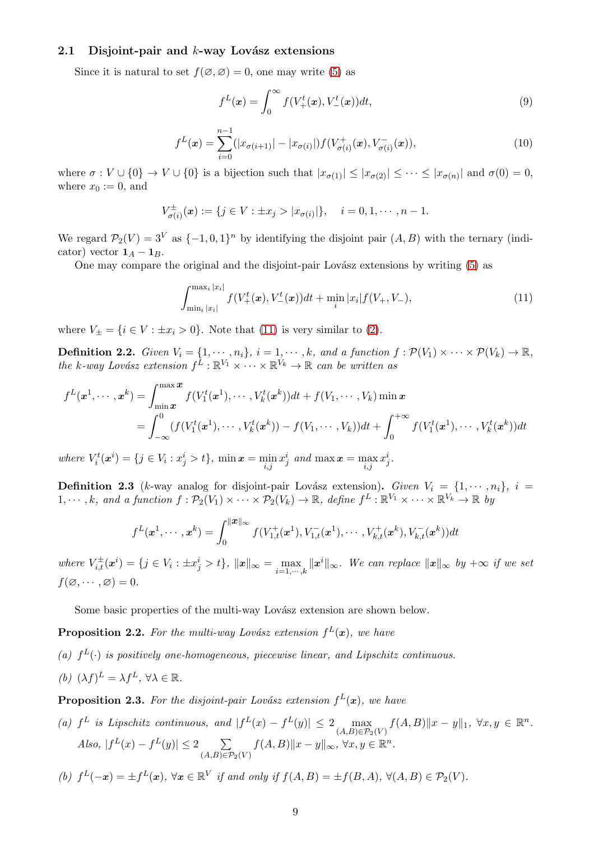## <span id="page-8-0"></span>2.1 Disjoint-pair and  $k$ -way Lovász extensions

Since it is natural to set  $f(\emptyset, \emptyset) = 0$ , one may write [\(5\)](#page-3-1) as

$$
f^{L}(\boldsymbol{x}) = \int_{0}^{\infty} f(V_{+}^{t}(\boldsymbol{x}), V_{-}^{t}(\boldsymbol{x}))dt,
$$
\n(9)

<span id="page-8-2"></span>
$$
f^{L}(\boldsymbol{x}) = \sum_{i=0}^{n-1} (|x_{\sigma(i+1)}| - |x_{\sigma(i)}|) f(V^{+}_{\sigma(i)}(\boldsymbol{x}), V^{-}_{\sigma(i)}(\boldsymbol{x})),
$$
\n(10)

where  $\sigma: V \cup \{0\} \to V \cup \{0\}$  is a bijection such that  $|x_{\sigma(1)}| \leq |x_{\sigma(2)}| \leq \cdots \leq |x_{\sigma(n)}|$  and  $\sigma(0) = 0$ , where  $x_0 := 0$ , and

$$
V_{\sigma(i)}^{\pm}(\boldsymbol{x}) := \{j \in V : \pm x_j > |x_{\sigma(i)}|\}, \quad i = 0, 1, \cdots, n-1.
$$

We regard  $\mathcal{P}_2(V) = 3^V$  as  $\{-1, 0, 1\}^n$  by identifying the disjoint pair  $(A, B)$  with the ternary (indicator) vector  $1_A - 1_B$ .

One may compare the original and the disjoint-pair Lovász extensions by writing [\(5\)](#page-3-1) as

<span id="page-8-1"></span>
$$
\int_{\min_i |x_i|}^{\max_i |x_i|} f(V_+^t(x), V_-^t(x))dt + \min_i |x_i| f(V_+, V_-), \tag{11}
$$

where  $V_{\pm} = \{i \in V : \pm x_i > 0\}$ . Note that [\(11\)](#page-8-1) is very similar to [\(2\)](#page-1-3).

**Definition 2.2.** Given  $V_i = \{1, \dots, n_i\}$ ,  $i = 1, \dots, k$ , and a function  $f : \mathcal{P}(V_1) \times \dots \times \mathcal{P}(V_k) \to \mathbb{R}$ , the k-way Lovász extension  $f^L : \mathbb{R}^{V_1} \times \cdots \times \mathbb{R}^{V_k} \to \mathbb{R}$  can be written as

$$
f^{L}(\mathbf{x}^{1}, \cdots, \mathbf{x}^{k}) = \int_{\min \mathbf{x}}^{\max} f(V_{1}^{t}(\mathbf{x}^{1}), \cdots, V_{k}^{t}(\mathbf{x}^{k}))dt + f(V_{1}, \cdots, V_{k}) \min \mathbf{x}
$$
  
= 
$$
\int_{-\infty}^{0} (f(V_{1}^{t}(\mathbf{x}^{1}), \cdots, V_{k}^{t}(\mathbf{x}^{k})) - f(V_{1}, \cdots, V_{k}))dt + \int_{0}^{+\infty} f(V_{1}^{t}(\mathbf{x}^{1}), \cdots, V_{k}^{t}(\mathbf{x}^{k}))dt
$$

where  $V_i^t(\boldsymbol{x}^i) = \{j \in V_i : x_j^i > t\}$ ,  $\min \boldsymbol{x} = \min_{i,j} x_j^i$  and  $\max \boldsymbol{x} = \max_{i,j} x_j^i$ .

**Definition 2.3** (k-way analog for disjoint-pair Lovász extension). Given  $V_i = \{1, \dots, n_i\}$ ,  $i =$  $1, \dots, k$ , and a function  $f : \mathcal{P}_2(V_1) \times \dots \times \mathcal{P}_2(V_k) \to \mathbb{R}$ , define  $f^L : \mathbb{R}^{V_1} \times \dots \times \mathbb{R}^{V_k} \to \mathbb{R}$  by

$$
f^{L}(\boldsymbol{x}^{1},\cdots,\boldsymbol{x}^{k})=\int_{0}^{\|\boldsymbol{x}\|_{\infty}}f(V_{1,t}^{+}(\boldsymbol{x}^{1}),V_{1,t}^{-}(\boldsymbol{x}^{1}),\cdots,V_{k,t}^{+}(\boldsymbol{x}^{k}),V_{k,t}^{-}(\boldsymbol{x}^{k}))dt
$$

where  $V_{i,t}^{\pm}(x^i) = \{j \in V_i : \pm x_j^i > t\}, ||x||_{\infty} = \max_{i=1,\cdots,k} ||x^i||_{\infty}$ . We can replace  $||x||_{\infty}$  by  $+\infty$  if we set  $f(\emptyset, \cdots, \emptyset) = 0.$ 

Some basic properties of the multi-way Lovász extension are shown below.

**Proposition 2.2.** For the multi-way Lovász extension  $f^L(x)$ , we have

- (a)  $f^L(\cdot)$  is positively one-homogeneous, piecewise linear, and Lipschitz continuous.
- (b)  $(\lambda f)^{\mathcal{L}} = \lambda f^{\mathcal{L}}, \forall \lambda \in \mathbb{R}.$

**Proposition 2.3.** For the disjoint-pair Lovász extension  $f^L(x)$ , we have

(a)  $f^L$  is Lipschitz continuous, and  $|f^L(x) - f^L(y)| \leq 2 \max_{(A,B)\in \mathcal{P}_2(V)} f(A,B) ||x - y||_1, \ \forall x, y \in \mathbb{R}^n$ . Also,  $|f^L(x) - f^L(y)| \leq 2 \sum_{|x| \leq R}$  $\sum_{(A,B)\in\mathcal{P}_2(V)} f(A,B) \|x-y\|_{\infty}, \,\forall x,y\in\mathbb{R}^n.$ 

(b) 
$$
f^L(-x) = \pm f^L(x)
$$
,  $\forall x \in \mathbb{R}^V$  if and only if  $f(A, B) = \pm f(B, A)$ ,  $\forall (A, B) \in \mathcal{P}_2(V)$ .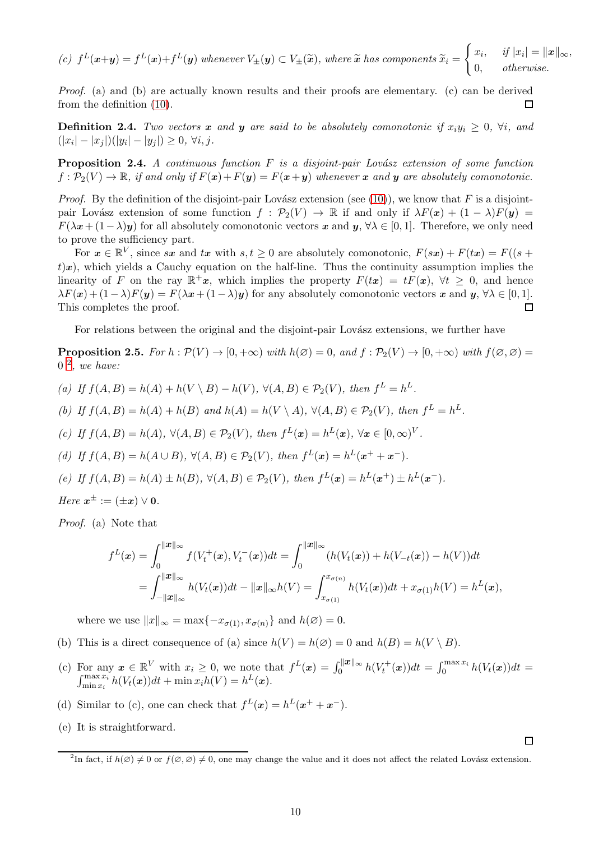(c) 
$$
f^L(x+y) = f^L(x) + f^L(y)
$$
 whenever  $V_{\pm}(y) \subset V_{\pm}(\tilde{x})$ , where  $\tilde{x}$  has components  $\tilde{x}_i = \begin{cases} x_i, & if  $|x_i| = ||x||_{\infty}, \\ 0, & otherwise. \end{cases}$$ 

Proof. (a) and (b) are actually known results and their proofs are elementary. (c) can be derived from the definition [\(10\)](#page-8-2).  $\Box$ 

**Definition 2.4.** Two vectors x and y are said to be absolutely comonotonic if  $x_iy_i \geq 0$ ,  $\forall i$ , and  $(|x_i| - |x_j|)(|y_i| - |y_j|) \geq 0, \forall i, j.$ 

<span id="page-9-2"></span>**Proposition 2.4.** A continuous function  $F$  is a disjoint-pair Lovász extension of some function  $f: \mathcal{P}_2(V) \to \mathbb{R}$ , if and only if  $F(\mathbf{x}) + F(\mathbf{y}) = F(\mathbf{x} + \mathbf{y})$  whenever x and y are absolutely comonotonic.

*Proof.* By the definition of the disjoint-pair Lovász extension (see [\(10\)](#page-8-2)), we know that F is a disjointpair Lovász extension of some function  $f : \mathcal{P}_2(V) \to \mathbb{R}$  if and only if  $\lambda F(x) + (1 - \lambda)F(y) =$  $F(\lambda x + (1-\lambda)y)$  for all absolutely comonotonic vectors x and y,  $\forall \lambda \in [0,1]$ . Therefore, we only need to prove the sufficiency part.

For  $x \in \mathbb{R}^V$ , since sx and tx with  $s, t \geq 0$  are absolutely comonotonic,  $F(sx) + F(tx) = F((s +$  $t(x)$ , which yields a Cauchy equation on the half-line. Thus the continuity assumption implies the linearity of F on the ray  $\mathbb{R}^+x$ , which implies the property  $F(tx) = tF(x)$ ,  $\forall t \geq 0$ , and hence  $\lambda F(\mathbf{x}) + (1-\lambda)F(\mathbf{y}) = F(\lambda \mathbf{x} + (1-\lambda)\mathbf{y})$  for any absolutely comonotonic vectors  $\mathbf{x}$  and  $\mathbf{y}, \forall \lambda \in [0,1]$ .<br>This completes the proof. This completes the proof.

For relations between the original and the disjoint-pair Lovász extensions, we further have

<span id="page-9-1"></span>**Proposition 2.5.** For  $h : \mathcal{P}(V) \to [0, +\infty)$  with  $h(\emptyset) = 0$ , and  $f : \mathcal{P}_2(V) \to [0, +\infty)$  with  $f(\emptyset, \emptyset) =$  $0<sup>2</sup>$  $0<sup>2</sup>$  $0<sup>2</sup>$ , we have:

- (a) If  $f(A, B) = h(A) + h(V \setminus B) h(V)$ ,  $\forall (A, B) \in \mathcal{P}_2(V)$ , then  $f^L = h^L$ .
- (b) If  $f(A, B) = h(A) + h(B)$  and  $h(A) = h(V \setminus A)$ ,  $\forall (A, B) \in \mathcal{P}_2(V)$ , then  $f^L = h^L$ .
- (c) If  $f(A, B) = h(A), \forall (A, B) \in \mathcal{P}_2(V)$ , then  $f^L(\mathbf{x}) = h^L(\mathbf{x}), \forall \mathbf{x} \in [0, \infty)^V$ .
- (d) If  $f(A, B) = h(A \cup B)$ ,  $\forall (A, B) \in \mathcal{P}_2(V)$ , then  $f^L(\mathbf{x}) = h^L(\mathbf{x}^+ + \mathbf{x}^-)$ .
- (e) If  $f(A, B) = h(A) \pm h(B)$ ,  $\forall (A, B) \in \mathcal{P}_2(V)$ , then  $f^L(\mathbf{x}) = h^L(\mathbf{x}^+) \pm h^L(\mathbf{x}^-)$ .
- Here  $x^{\pm} := (\pm x) \vee \mathbf{0}.$

Proof. (a) Note that

$$
f^{L}(\mathbf{x}) = \int_{0}^{\|\mathbf{x}\|_{\infty}} f(V_{t}^{+}(\mathbf{x}), V_{t}^{-}(\mathbf{x}))dt = \int_{0}^{\|\mathbf{x}\|_{\infty}} (h(V_{t}(\mathbf{x})) + h(V_{-t}(\mathbf{x})) - h(V))dt
$$
  
= 
$$
\int_{-\|\mathbf{x}\|_{\infty}}^{\|\mathbf{x}\|_{\infty}} h(V_{t}(\mathbf{x}))dt - \|\mathbf{x}\|_{\infty}h(V) = \int_{x_{\sigma(1)}}^{x_{\sigma(n)}} h(V_{t}(\mathbf{x}))dt + x_{\sigma(1)}h(V) = h^{L}(\mathbf{x}),
$$

where we use  $||x||_{\infty} = \max\{-x_{\sigma(1)}, x_{\sigma(n)}\}$  and  $h(\emptyset) = 0$ .

- (b) This is a direct consequence of (a) since  $h(V) = h(\emptyset) = 0$  and  $h(B) = h(V \setminus B)$ .
- (c) For any  $x \in \mathbb{R}^V$  with  $x_i \ge 0$ , we note that  $f^L(x) = \int_0^{||x||_\infty} h(V_t^+(x))dt = \int_0^{\max x_i} h(V_t(x))dt = \int_{\min x_i}^{\max x_i} h(V_t(x))dt + \min x_i h(V) = h^L(x)$ .
- (d) Similar to (c), one can check that  $f^L(x) = h^L(x^+ + x^-)$ .
- (e) It is straightforward.

 $\Box$ 

<span id="page-9-0"></span><sup>&</sup>lt;sup>2</sup>In fact, if  $h(\emptyset) \neq 0$  or  $f(\emptyset, \emptyset) \neq 0$ , one may change the value and it does not affect the related Lovász extension.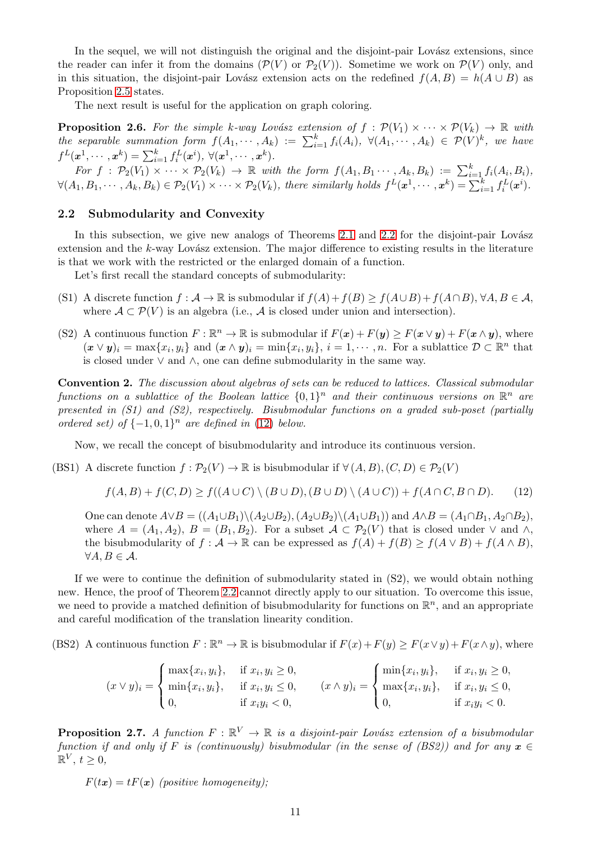In the sequel, we will not distinguish the original and the disjoint-pair Lovász extensions, since the reader can infer it from the domains  $(\mathcal{P}(V))$  or  $\mathcal{P}_2(V)$ ). Sometime we work on  $\mathcal{P}(V)$  only, and in this situation, the disjoint-pair Lovász extension acts on the redefined  $f(A, B) = h(A \cup B)$  as Proposition [2.5](#page-9-1) states.

The next result is useful for the application on graph coloring.

<span id="page-10-3"></span>**Proposition 2.6.** For the simple k-way Lovász extension of  $f : \mathcal{P}(V_1) \times \cdots \times \mathcal{P}(V_k) \to \mathbb{R}$  with the separable summation form  $f(A_1, \dots, A_k) := \sum_{i=1}^k f_i(A_i), \ \forall (A_1, \dots, A_k) \in \mathcal{P}(V)^k$ , we have  $f^L(\boldsymbol{x}^1, \cdots, \boldsymbol{x}^k) = \sum_{i=1}^k f_i^L(\boldsymbol{x}^i), \ \forall (\boldsymbol{x}^1, \cdots, \boldsymbol{x}^k).$ For  $f : \mathcal{P}_2(V_1) \times \cdots \times \mathcal{P}_2(V_k) \rightarrow \mathbb{R}$  with the form  $f(A_1, B_1 \cdots, A_k, B_k) := \sum_{i=1}^k f_i(A_i, B_i)$ ,

 $\forall (A_1, B_1, \cdots, A_k, B_k) \in \mathcal{P}_2(V_1) \times \cdots \times \mathcal{P}_2(V_k)$ , there similarly holds  $f^L(\boldsymbol{x}^1, \cdots, \boldsymbol{x}^k) = \sum_{i=1}^k f_i^L(\boldsymbol{x}^i)$ .

## <span id="page-10-0"></span>2.2 Submodularity and Convexity

In this subsection, we give new analogs of Theorems [2.1](#page-7-1) and [2.2](#page-7-2) for the disjoint-pair Lovász extension and the  $k$ -way Lovász extension. The major difference to existing results in the literature is that we work with the restricted or the enlarged domain of a function.

Let's first recall the standard concepts of submodularity:

- (S1) A discrete function  $f : \mathcal{A} \to \mathbb{R}$  is submodular if  $f(A) + f(B) \ge f(A \cup B) + f(A \cap B)$ ,  $\forall A, B \in \mathcal{A}$ , where  $A \subset \mathcal{P}(V)$  is an algebra (i.e., A is closed under union and intersection).
- (S2) A continuous function  $F : \mathbb{R}^n \to \mathbb{R}$  is submodular if  $F(x) + F(y) \geq F(x \vee y) + F(x \wedge y)$ , where  $(\mathbf{x} \vee \mathbf{y})_i = \max\{x_i, y_i\}$  and  $(\mathbf{x} \wedge \mathbf{y})_i = \min\{x_i, y_i\}, i = 1, \cdots, n$ . For a sublattice  $\mathcal{D} \subset \mathbb{R}^n$  that is closed under ∨ and ∧, one can define submodularity in the same way.

Convention 2. The discussion about algebras of sets can be reduced to lattices. Classical submodular functions on a sublattice of the Boolean lattice  $\{0,1\}^n$  and their continuous versions on  $\mathbb{R}^n$  are presented in  $(S1)$  and  $(S2)$ , respectively. Bisubmodular functions on a graded sub-poset (partially ordered set) of  $\{-1,0,1\}^n$  are defined in [\(12\)](#page-10-2) below.

Now, we recall the concept of bisubmodularity and introduce its continuous version.

(BS1) A discrete function  $f : \mathcal{P}_2(V) \to \mathbb{R}$  is bisubmodular if  $\forall (A, B), (C, D) \in \mathcal{P}_2(V)$ 

<span id="page-10-2"></span>
$$
f(A, B) + f(C, D) \ge f((A \cup C) \setminus (B \cup D), (B \cup D) \setminus (A \cup C)) + f(A \cap C, B \cap D). \tag{12}
$$

One can denote  $A \vee B = ((A_1 \cup B_1) \setminus (A_2 \cup B_2), (A_2 \cup B_2) \setminus (A_1 \cup B_1))$  and  $A \wedge B = (A_1 \cap B_1, A_2 \cap B_2)$ , where  $A = (A_1, A_2), B = (B_1, B_2)$ . For a subset  $A \subset \mathcal{P}_2(V)$  that is closed under  $\vee$  and  $\wedge$ , the bisubmodularity of  $f : \mathcal{A} \to \mathbb{R}$  can be expressed as  $f(A) + f(B) \ge f(A \vee B) + f(A \wedge B)$ ,  $\forall A, B \in \mathcal{A}.$ 

If we were to continue the definition of submodularity stated in (S2), we would obtain nothing new. Hence, the proof of Theorem [2.2](#page-7-2) cannot directly apply to our situation. To overcome this issue, we need to provide a matched definition of bisubmodularity for functions on  $\mathbb{R}^n$ , and an appropriate and careful modification of the translation linearity condition.

(BS2) A continuous function  $F : \mathbb{R}^n \to \mathbb{R}$  is bisubmodular if  $F(x) + F(y) \geq F(x \vee y) + F(x \wedge y)$ , where

$$
(x \vee y)_i = \begin{cases} \max\{x_i, y_i\}, & \text{if } x_i, y_i \ge 0, \\ \min\{x_i, y_i\}, & \text{if } x_i, y_i \le 0, \\ 0, & \text{if } x_i y_i < 0, \end{cases} \qquad (x \wedge y)_i = \begin{cases} \min\{x_i, y_i\}, & \text{if } x_i, y_i \ge 0, \\ \max\{x_i, y_i\}, & \text{if } x_i, y_i \le 0, \\ 0, & \text{if } x_i y_i < 0. \end{cases}
$$

<span id="page-10-1"></span>**Proposition 2.7.** A function  $F : \mathbb{R}^V \to \mathbb{R}$  is a disjoint-pair Lovász extension of a bisubmodular function if and only if F is (continuously) bisubmodular (in the sense of (BS2)) and for any  $x \in$  $\mathbb{R}^V$ ,  $t \geq 0$ ,

 $F(tx) = tF(x)$  (positive homogeneity);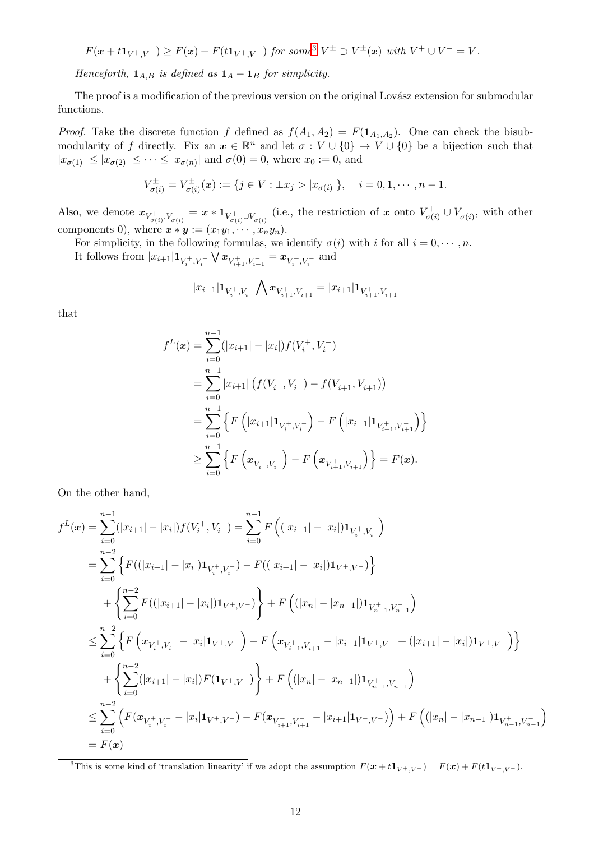$$
F(\mathbf{x} + t\mathbf{1}_{V^+,V^-}) \geq F(\mathbf{x}) + F(t\mathbf{1}_{V^+,V^-}) \text{ for some}^3 V^{\pm} \supset V^{\pm}(\mathbf{x}) \text{ with } V^+ \cup V^- = V.
$$

Henceforth,  $\mathbf{1}_{A,B}$  is defined as  $\mathbf{1}_A - \mathbf{1}_B$  for simplicity.

The proof is a modification of the previous version on the original Lovász extension for submodular functions.

*Proof.* Take the discrete function f defined as  $f(A_1, A_2) = F(1_{A_1,A_2})$ . One can check the bisubmodularity of f directly. Fix an  $x \in \mathbb{R}^n$  and let  $\sigma : V \cup \{0\} \to V \cup \{0\}$  be a bijection such that  $|x_{\sigma(1)}| \le |x_{\sigma(2)}| \le \cdots \le |x_{\sigma(n)}|$  and  $\sigma(0) = 0$ , where  $x_0 := 0$ , and

$$
V_{\sigma(i)}^{\pm} = V_{\sigma(i)}^{\pm}(\mathbf{x}) := \{ j \in V : \pm x_j > |x_{\sigma(i)}| \}, \quad i = 0, 1, \cdots, n-1.
$$

Also, we denote  $x_{V_{\sigma(i)}^+, V_{\sigma(i)}^-} = x * 1_{V_{\sigma(i)}^+ \cup V_{\sigma(i)}^-}$  (i.e., the restriction of x onto  $V_{\sigma(i)}^+$  $V_{\sigma(i)}^+ \cup V_{\sigma(i)}^ \sigma(i)$ , with other components 0), where  $\boldsymbol{x} * \boldsymbol{y} := (x_1y_1, \cdots, x_ny_n)$ .

For simplicity, in the following formulas, we identify  $\sigma(i)$  with i for all  $i = 0, \dots, n$ . It follows from  $|x_{i+1}| \mathbf{1}_{V_i^+, V_i^-} \bigvee x_{V_{i+1}^+, V_{i+1}^-} = x_{V_i^+, V_i^-}$  and

$$
|x_{i+1}|{\mathbf 1}_{V_i^+,V_i^-}\bigwedge {\mathbf x}_{V_{i+1}^+,V_{i+1}^-}=|x_{i+1}|{\mathbf 1}_{V_{i+1}^+,V_{i+1}^-}
$$

that

$$
f^{L}(\mathbf{x}) = \sum_{i=0}^{n-1} (|x_{i+1}| - |x_{i}|) f(V_{i}^{+}, V_{i}^{-})
$$
  
\n
$$
= \sum_{i=0}^{n-1} |x_{i+1}| (f(V_{i}^{+}, V_{i}^{-}) - f(V_{i+1}^{+}, V_{i+1}^{-}))
$$
  
\n
$$
= \sum_{i=0}^{n-1} \left\{ F\left( |x_{i+1}| \mathbf{1}_{V_{i}^{+}, V_{i}^{-}} \right) - F\left( |x_{i+1}| \mathbf{1}_{V_{i+1}^{+}, V_{i+1}^{-}} \right) \right\}
$$
  
\n
$$
\geq \sum_{i=0}^{n-1} \left\{ F\left( \mathbf{x}_{V_{i}^{+}, V_{i}^{-}} \right) - F\left( \mathbf{x}_{V_{i+1}^{+}, V_{i+1}^{-}} \right) \right\} = F(\mathbf{x}).
$$

On the other hand,

$$
f^{L}(\mathbf{x}) = \sum_{i=0}^{n-1} (|x_{i+1}| - |x_{i}|) f(V_{i}^{+}, V_{i}^{-}) = \sum_{i=0}^{n-1} F\left((|x_{i+1}| - |x_{i}|) \mathbf{1}_{V_{i}^{+}, V_{i}^{-}}\right)
$$
  
\n
$$
= \sum_{i=0}^{n-2} \left\{ F((|x_{i+1}| - |x_{i}|) \mathbf{1}_{V_{i}^{+}, V_{i}^{-}}) - F((|x_{i+1}| - |x_{i}|) \mathbf{1}_{V^{+}, V^{-}}) \right\}
$$
  
\n
$$
+ \left\{ \sum_{i=0}^{n-2} F((|x_{i+1}| - |x_{i}|) \mathbf{1}_{V^{+}, V^{-}}) \right\} + F\left((|x_{n}| - |x_{n-1}|) \mathbf{1}_{V_{n-1}^{+}, V_{n-1}^{-}}\right)
$$
  
\n
$$
\leq \sum_{i=0}^{n-2} \left\{ F\left(\mathbf{x}_{V_{i}^{+}, V_{i}^{-}} - |x_{i}| \mathbf{1}_{V^{+}, V^{-}}\right) - F\left(\mathbf{x}_{V_{i+1}^{+}, V_{i+1}^{-}} - |x_{i+1}| \mathbf{1}_{V^{+}, V^{-}} + (|x_{i+1}| - |x_{i}|) \mathbf{1}_{V^{+}, V^{-}}\right) \right\}
$$
  
\n
$$
+ \left\{ \sum_{i=0}^{n-2} (|x_{i+1}| - |x_{i}|) F(\mathbf{1}_{V^{+}, V^{-}}) \right\} + F\left((|x_{n}| - |x_{n-1}|) \mathbf{1}_{V_{n-1}^{+}, V_{n-1}^{-}}\right)
$$
  
\n
$$
\leq \sum_{i=0}^{n-2} \left( F(\mathbf{x}_{V_{i}^{+}, V_{i}^{-}} - |x_{i}| \mathbf{1}_{V^{+}, V^{-}}) - F(\mathbf{x}_{V_{i+1}^{+}, V_{i+1}^{-}} - |x_{i+1}| \mathbf{1}_{V^{+}, V^{-}}) \right) + F\left((|x_{n}| - |x_{n-1}|) \mathbf{1}_{V_{n-1}^{+}, V_{n-1}^{-}}\right)
$$
  
\n
$$
= F(\mathbf{x})
$$

<span id="page-11-0"></span><sup>&</sup>lt;sup>3</sup>This is some kind of 'translation linearity' if we adopt the assumption  $F(\mathbf{x} + t\mathbf{1}_{V^+,V^-}) = F(\mathbf{x}) + F(t\mathbf{1}_{V^+,V^-}).$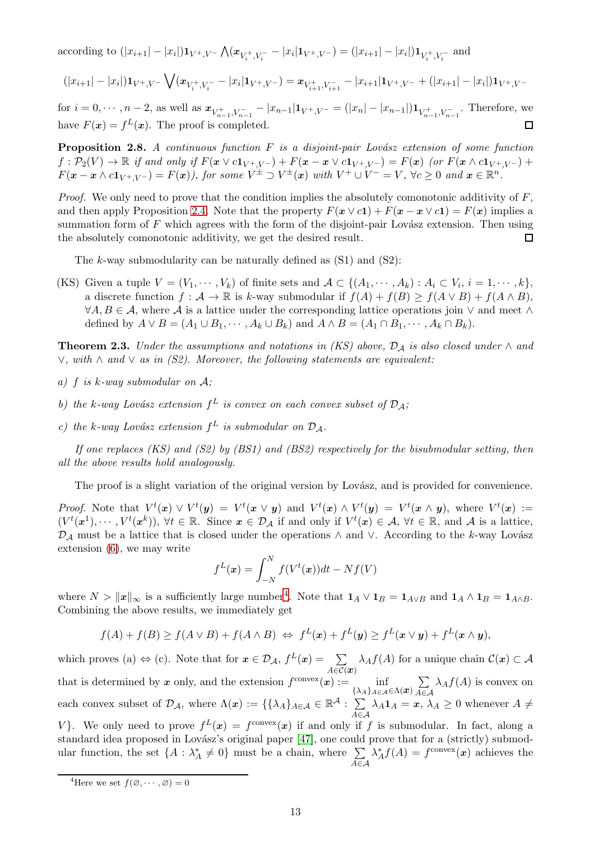according to  $(|x_{i+1}| - |x_i|) \mathbf{1}_{V^+, V^-} \bigwedge (\mathbf{x}_{V_i^+, V_i^-} - |x_i| \mathbf{1}_{V^+, V^-}) = (|x_{i+1}| - |x_i|) \mathbf{1}_{V_i^+, V_i^-}$  and

$$
(|x_{i+1}|-|x_i|)\mathbf{1}_{V^+,V^-}\bigvee (x_{V_i^+,V_i^-}-|x_i|\mathbf{1}_{V^+,V^-})=x_{V_{i+1}^+,V_{i+1}^-}-|x_{i+1}|\mathbf{1}_{V^+,V^-}+(|x_{i+1}|-|x_i|)\mathbf{1}_{V^+,V^-}
$$

for  $i = 0, \dots, n-2$ , as well as  $x_{V_{n-1}^+, V_{n-1}^-} - |x_{n-1}| \mathbf{1}_{V^+, V^-} = (|x_n| - |x_{n-1}|) \mathbf{1}_{V_{n-1}^+, V_{n-1}^-}$ . Therefore, we have  $F(x) = f<sup>L</sup>(x)$ . The proof is completed.  $\Box$ 

**Proposition 2.8.** A continuous function  $F$  is a disjoint-pair Lovász extension of some function  $f: \mathcal{P}_2(V) \to \mathbb{R}$  if and only if  $F(\mathbf{x} \vee c\mathbf{1}_{V^+,V^-}) + F(\mathbf{x} - \mathbf{x} \vee c\mathbf{1}_{V^+,V^-}) = F(\mathbf{x})$  (or  $F(\mathbf{x} \wedge c\mathbf{1}_{V^+,V^-}) +$  $F(\mathbf{x}-\mathbf{x}\wedge c\mathbf{1}_{V^+,V^-})=F(\mathbf{x})$ ), for some  $V^{\pm}\supset V^{\pm}(\mathbf{x})$  with  $V^+\cup V^- = V$ ,  $\forall c\geq 0$  and  $\mathbf{x}\in\mathbb{R}^n$ .

*Proof.* We only need to prove that the condition implies the absolutely comonotonic additivity of  $F$ , and then apply Proposition [2.4.](#page-9-2) Note that the property  $F(x \vee c1) + F(x - x \vee c1) = F(x)$  implies a summation form of  $F$  which agrees with the form of the disjoint-pair Lovász extension. Then using the absolutely comonotonic additivity, we get the desired result. П

The k-way submodularity can be naturally defined as  $(S1)$  and  $(S2)$ :

(KS) Given a tuple  $V = (V_1, \dots, V_k)$  of finite sets and  $\mathcal{A} \subset \{(A_1, \dots, A_k) : A_i \subset V_i, i = 1, \dots, k\},\$ a discrete function  $f : \mathcal{A} \to \mathbb{R}$  is k-way submodular if  $f(A) + f(B) \ge f(A \vee B) + f(A \wedge B)$ ,  $\forall A, B \in \mathcal{A}$ , where  $\mathcal{A}$  is a lattice under the corresponding lattice operations join  $\vee$  and meet  $\wedge$ defined by  $A \vee B = (A_1 \cup B_1, \cdots, A_k \cup B_k)$  and  $A \wedge B = (A_1 \cap B_1, \cdots, A_k \cap B_k)$ .

<span id="page-12-0"></span>**Theorem 2.3.** Under the assumptions and notations in (KS) above,  $\mathcal{D}_A$  is also closed under  $\wedge$  and  $\lor$ , with ∧ and  $\lor$  as in (S2). Moreover, the following statements are equivalent:

- a)  $f$  is  $k$ -way submodular on  $A$ ;
- b) the k-way Lovász extension  $f^L$  is convex on each convex subset of  $\mathcal{D}_\mathcal{A}$ ;
- c) the k-way Lovász extension  $f^L$  is submodular on  $\mathcal{D}_\mathcal{A}$ .

If one replaces  $(KS)$  and  $(S2)$  by  $(BS1)$  and  $(BS2)$  respectively for the bisubmodular setting, then all the above results hold analogously.

The proof is a slight variation of the original version by Lovász, and is provided for convenience.

*Proof.* Note that  $V^t(x) \vee V^t(y) = V^t(x \vee y)$  and  $V^t(x) \wedge V^t(y) = V^t(x \wedge y)$ , where  $V^t(x) :=$  $(V^t(x^1), \dots, V^t(x^k)), \forall t \in \mathbb{R}$ . Since  $x \in \mathcal{D}_\mathcal{A}$  if and only if  $V^t(x) \in \mathcal{A}, \forall t \in \mathbb{R}$ , and  $\mathcal{A}$  is a lattice,  $\mathcal{D}_{\mathcal{A}}$  must be a lattice that is closed under the operations  $\wedge$  and  $\vee$ . According to the k-way Lovász extension [\(6\)](#page-3-2), we may write

$$
f^{L}(\boldsymbol{x}) = \int_{-N}^{N} f(V^{t}(\boldsymbol{x}))dt - Nf(V)
$$

where  $N > ||x||_{\infty}$  is a sufficiently large number<sup>[4](#page-12-1)</sup>. Note that  $1_A \vee 1_B = 1_{A \vee B}$  and  $1_A \wedge 1_B = 1_{A \wedge B}$ . Combining the above results, we immediately get

$$
f(A) + f(B) \ge f(A \vee B) + f(A \wedge B) \iff f^L(\mathbf{x}) + f^L(\mathbf{y}) \ge f^L(\mathbf{x} \vee \mathbf{y}) + f^L(\mathbf{x} \wedge \mathbf{y}),
$$

which proves (a)  $\Leftrightarrow$  (c). Note that for  $x \in \mathcal{D}_\mathcal{A}, f^L(x) = \sum_{x \in \mathcal{A}} f^L(x)$  $\sum_{A \in \mathcal{C}(\bm{x})} \lambda_A f(A)$  for a unique chain  $\mathcal{C}(\bm{x}) \subset \mathcal{A}$ that is determined by x only, and the extension  $f^{\text{convex}}(x) := \inf_{\{\lambda_A\}_{A \in \mathcal{A}} \in \Lambda(x)}$  $\sum$ A∈A  $\lambda_A f(A)$  is convex on each convex subset of  $\mathcal{D}_{\mathcal{A}}$ , where  $\Lambda(x) := \{ \{ \lambda_A \}_{A \in \mathcal{A}} \in \mathbb{R}^{\mathcal{A}} : \sum$  $\sum_{A \in \mathcal{A}} \lambda_A \mathbf{1}_A = \mathbf{x}, \lambda_A \geq 0$  whenever  $A \neq$ V}. We only need to prove  $f^L(x) = f^{\text{convex}}(x)$  if and only if f is submodular. In fact, along a standard idea proposed in Lovász's original paper [\[47\]](#page-43-0), one could prove that for a (strictly) submodular function, the set  $\{A : \lambda_A^* \neq 0\}$  must be a chain, where  $\sum_{A \in \mathcal{A}}$  $\lambda_A^* f(A) = f^{\text{convex}}(x)$  achieves the

<span id="page-12-1"></span><sup>&</sup>lt;sup>4</sup>Here we set  $f(\emptyset, \dots, \emptyset) = 0$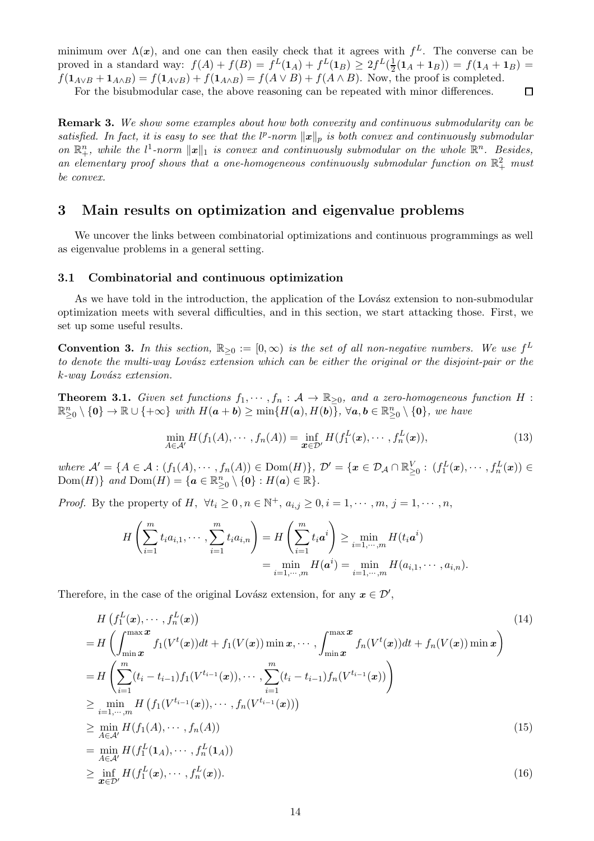minimum over  $\Lambda(x)$ , and one can then easily check that it agrees with  $f^L$ . The converse can be proved in a standard way:  $f(A) + f(B) = f<sup>L</sup>(1<sub>A</sub>) + f<sup>L</sup>(1<sub>B</sub>) \ge 2f<sup>L</sup>(\frac{1}{2})$  $\frac{1}{2}(\mathbf{1}_A + \mathbf{1}_B)) = f(\mathbf{1}_A + \mathbf{1}_B) =$  $f(\mathbf{1}_{A\vee B} + \mathbf{1}_{A\wedge B}) = f(\mathbf{1}_{A\vee B}) + f(\mathbf{1}_{A\wedge B}) = f(A \vee B) + f(A \wedge B)$ . Now, the proof is completed.

For the bisubmodular case, the above reasoning can be repeated with minor differences.  $\Box$ 

**Remark 3.** We show some examples about how both convexity and continuous submodularity can be satisfied. In fact, it is easy to see that the  $l^p$ -norm  $\|\boldsymbol{x}\|_p$  is both convex and continuously submodular on  $\mathbb{R}^n_+$ , while the  $l^1$ -norm  $||x||_1$  is convex and continuously submodular on the whole  $\mathbb{R}^n$ . Besides, an elementary proof shows that a one-homogeneous continuously submodular function on  $\mathbb{R}^2_+$  must be convex.

# <span id="page-13-0"></span>3 Main results on optimization and eigenvalue problems

We uncover the links between combinatorial optimizations and continuous programmings as well as eigenvalue problems in a general setting.

## <span id="page-13-1"></span>3.1 Combinatorial and continuous optimization

As we have told in the introduction, the application of the Lovász extension to non-submodular optimization meets with several difficulties, and in this section, we start attacking those. First, we set up some useful results.

**Convention 3.** In this section,  $\mathbb{R}_{\geq 0} := [0, \infty)$  is the set of all non-negative numbers. We use  $f^L$ to denote the multi-way Lovász extension which can be either the original or the disjoint-pair or the  $k$ -way Lovász extension.

<span id="page-13-2"></span>**Theorem 3.1.** Given set functions  $f_1, \dots, f_n : A \to \mathbb{R}_{\geq 0}$ , and a zero-homogeneous function H :  $\mathbb{R}_{\geq 0}^n\setminus\{\mathbf{0}\}\to\mathbb{R}\cup\{+\infty\}$  with  $H(a+b)\geq \min\{H(a),H(b)\},\ \forall a,b\in\mathbb{R}_{\geq 0}^n\setminus\{\mathbf{0}\},\ we\ have$ 

<span id="page-13-6"></span><span id="page-13-3"></span>
$$
\min_{A \in \mathcal{A}'} H(f_1(A), \cdots, f_n(A)) = \inf_{\boldsymbol{x} \in \mathcal{D}'} H(f_1^L(\boldsymbol{x}), \cdots, f_n^L(\boldsymbol{x})),
$$
\n(13)

where  $\mathcal{A}' = \{A \in \mathcal{A} : (f_1(A), \dots, f_n(A)) \in \text{Dom}(H)\}, \ \mathcal{D}' = \{x \in \mathcal{D}_{\mathcal{A}} \cap \mathbb{R}_{\geq 0}^V : (f_1^L(x), \dots, f_n^L(x)) \in \mathcal{D}_{\mathcal{A}}\}$ Dom $(H)$ } and Dom $(H) = \{a \in \mathbb{R}^n_{\geq 0} \setminus \{0\} : H(a) \in \mathbb{R}\}.$ 

*Proof.* By the property of H,  $\forall t_i \geq 0, n \in \mathbb{N}^+$ ,  $a_{i,j} \geq 0, i = 1, \dots, m, j = 1, \dots, n$ ,

<span id="page-13-4"></span>
$$
H\left(\sum_{i=1}^{m} t_i a_{i,1}, \cdots, \sum_{i=1}^{m} t_i a_{i,n}\right) = H\left(\sum_{i=1}^{m} t_i a^i\right) \ge \min_{i=1,\cdots,m} H(t_i a^i)
$$
  
= 
$$
\min_{i=1,\cdots,m} H(a^i) = \min_{i=1,\cdots,m} H(a_{i,1}, \cdots, a_{i,n}).
$$

Therefore, in the case of the original Lovász extension, for any  $x \in \mathcal{D}'$ ,

<span id="page-13-5"></span>
$$
H\left(f_1^L(x), \dots, f_n^L(x)\right)
$$
\n
$$
= H\left(\int_{\min x}^{\max x} f_1(V^t(x))dt + f_1(V(x))\min x, \dots, \int_{\min x}^{\max x} f_n(V^t(x))dt + f_n(V(x))\min x\right)
$$
\n
$$
= H\left(\sum_{i=1}^m (t_i - t_{i-1})f_1(V^{t_{i-1}}(x)), \dots, \sum_{i=1}^m (t_i - t_{i-1})f_n(V^{t_{i-1}}(x))\right)
$$
\n
$$
\geq \min_{i=1,\dots,m} H\left(f_1(V^{t_{i-1}}(x)), \dots, f_n(V^{t_{i-1}}(x))\right)
$$
\n
$$
\geq \min_{A \in \mathcal{A}'} H(f_1(A), \dots, f_n(A))
$$
\n
$$
= \min_{A \in \mathcal{A}'} H(f_1^L(1_A), \dots, f_n^L(1_A))
$$
\n
$$
\geq \inf_{x \in \mathcal{D}'} H(f_1^L(x), \dots, f_n^L(x)).
$$
\n(16)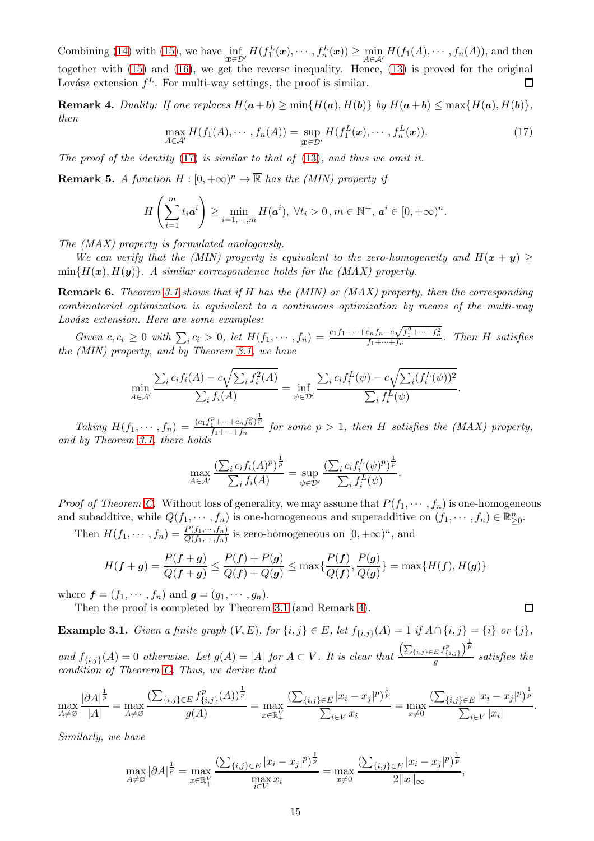Combining [\(14\)](#page-13-3) with [\(15\)](#page-13-4), we have  $\inf_{\mathbf{x}\in\mathcal{D}'} H(f_1^L(\mathbf{x}),\cdots,f_n^L(\mathbf{x})) \geq \min_{A\in\mathcal{A}'} H(f_1(A),\cdots,f_n(A)),$  and then together with [\(15\)](#page-13-4) and [\(16\)](#page-13-5), we get the reverse inequality. Hence, [\(13\)](#page-13-6) is proved for the original Lovász extension  $f^L$ . For multi-way settings, the proof is similar. Г

<span id="page-14-1"></span>**Remark 4.** Duality: If one replaces  $H(a + b) \ge \min\{H(a), H(b)\}$  by  $H(a + b) \le \max\{H(a), H(b)\}\$ , then

<span id="page-14-0"></span>
$$
\max_{A \in \mathcal{A}'} H(f_1(A), \cdots, f_n(A)) = \sup_{\boldsymbol{x} \in \mathcal{D}'} H(f_1^L(\boldsymbol{x}), \cdots, f_n^L(\boldsymbol{x})).
$$
\n(17)

The proof of the identity  $(17)$  is similar to that of  $(13)$ , and thus we omit it.

**Remark 5.** A function  $H : [0, +\infty)^n \to \overline{\mathbb{R}}$  has the (MIN) property if

$$
H\left(\sum_{i=1}^m t_i a^i\right) \ge \min_{i=1,\cdots,m} H(a^i), \ \forall t_i > 0, m \in \mathbb{N}^+, \ a^i \in [0, +\infty)^n.
$$

The (MAX) property is formulated analogously.

We can verify that the (MIN) property is equivalent to the zero-homogeneity and  $H(x + y) \ge$  $\min\{H(\bm{x}), H(\bm{y})\}\$ . A similar correspondence holds for the (MAX) property.

**Remark 6.** Theorem [3.1](#page-13-2) shows that if H has the (MIN) or (MAX) property, then the corresponding combinatorial optimization is equivalent to a continuous optimization by means of the multi-way Lovász extension. Here are some examples:

Given  $c, c_i \geq 0$  with  $\sum_i c_i > 0$ , let  $H(f_1, \dots, f_n) = \frac{c_1 f_1 + \dots + c_n f_n - c \sqrt{f_1^2 + \dots + f_n^2}}{f_1 + \dots + f_n}$ . Then *H* satisfies the (MIN) property, and by Theorem [3.1,](#page-13-2) we have

$$
\min_{A \in \mathcal{A}'} \frac{\sum_i c_i f_i(A) - c \sqrt{\sum_i f_i^2(A)}}{\sum_i f_i(A)} = \inf_{\psi \in \mathcal{D}'} \frac{\sum_i c_i f_i^L(\psi) - c \sqrt{\sum_i (f_i^L(\psi))^2}}{\sum_i f_i^L(\psi)}.
$$

Taking  $H(f_1, \dots, f_n) = \frac{(c_1 f_1^p + \dots + c_n f_n^p)^{\frac{1}{p}}}{f_1 + \dots + f_n}$  $f_1 + \cdots + f_n$  for some  $p > 1$ , then H satisfies the (MAX) property, and by Theorem [3.1,](#page-13-2) there holds

$$
\max_{A \in \mathcal{A}'} \frac{\left(\sum_i c_i f_i(A)^p\right)^{\frac{1}{p}}}{\sum_i f_i(A)} = \sup_{\psi \in \mathcal{D}'} \frac{\left(\sum_i c_i f_i^L(\psi)^p\right)^{\frac{1}{p}}}{\sum_i f_i^L(\psi)}.
$$

*Proof of Theorem [C.](#page-5-0)* Without loss of generality, we may assume that  $P(f_1, \dots, f_n)$  is one-homogeneous and subaddtive, while  $Q(f_1, \dots, f_n)$  is one-homogeneous and superadditive on  $(f_1, \dots, f_n) \in \mathbb{R}_{\geq 0}^n$ .

Then  $H(f_1, \dots, f_n) = \frac{P(f_1, \dots, f_n)}{Q(f_1, \dots, f_n)}$  is zero-homogeneous on  $[0, +\infty)^n$ , and

$$
H(\boldsymbol{f} + \boldsymbol{g}) = \frac{P(\boldsymbol{f} + \boldsymbol{g})}{Q(\boldsymbol{f} + \boldsymbol{g})} \le \frac{P(\boldsymbol{f}) + P(\boldsymbol{g})}{Q(\boldsymbol{f}) + Q(\boldsymbol{g})} \le \max\{\frac{P(\boldsymbol{f})}{Q(\boldsymbol{f})}, \frac{P(\boldsymbol{g})}{Q(\boldsymbol{g})}\} = \max\{H(\boldsymbol{f}), H(\boldsymbol{g})\}
$$

where  $\mathbf{f} = (f_1, \dots, f_n)$  and  $\mathbf{g} = (g_1, \dots, g_n)$ .

Then the proof is completed by Theorem [3.1](#page-13-2) (and Remark [4\)](#page-14-1).

<span id="page-14-2"></span>**Example 3.1.** Given a finite graph  $(V, E)$ , for  $\{i, j\} \in E$ , let  $f_{\{i, j\}}(A) = 1$  if  $A \cap \{i, j\} = \{i\}$  or  $\{j\}$ , and  $f_{\{i,j\}}(A) = 0$  otherwise. Let  $g(A) = |A|$  for  $A \subset V$ . It is clear that  $\left( \sum_{\{i,j\} \in E} f_{\{i,j\}}^p \right)^{\frac{1}{p}}$  $\frac{g}{g}$  satisfies the condition of Theorem [C.](#page-5-0) Thus, we derive that

$$
\max_{A \neq \emptyset} \frac{|\partial A|^{\frac{1}{p}}}{|A|} = \max_{A \neq \emptyset} \frac{(\sum_{\{i,j\} \in E} f_{\{i,j\}}^p(A))^{\frac{1}{p}}}{g(A)} = \max_{x \in \mathbb{R}_+^V} \frac{(\sum_{\{i,j\} \in E} |x_i - x_j|^p)^{\frac{1}{p}}}{\sum_{i \in V} x_i} = \max_{x \neq 0} \frac{(\sum_{\{i,j\} \in E} |x_i - x_j|^p)^{\frac{1}{p}}}{\sum_{i \in V} |x_i|}.
$$

Similarly, we have

$$
\max_{A \neq \emptyset} |\partial A|^{\frac{1}{p}} = \max_{x \in \mathbb{R}_+^V} \frac{\left(\sum_{\{i,j\} \in E} |x_i - x_j|^p\right)^{\frac{1}{p}}}{\max_{i \in V} x_i} = \max_{x \neq 0} \frac{\left(\sum_{\{i,j\} \in E} |x_i - x_j|^p\right)^{\frac{1}{p}}}{2\|x\|_{\infty}},
$$

 $\Box$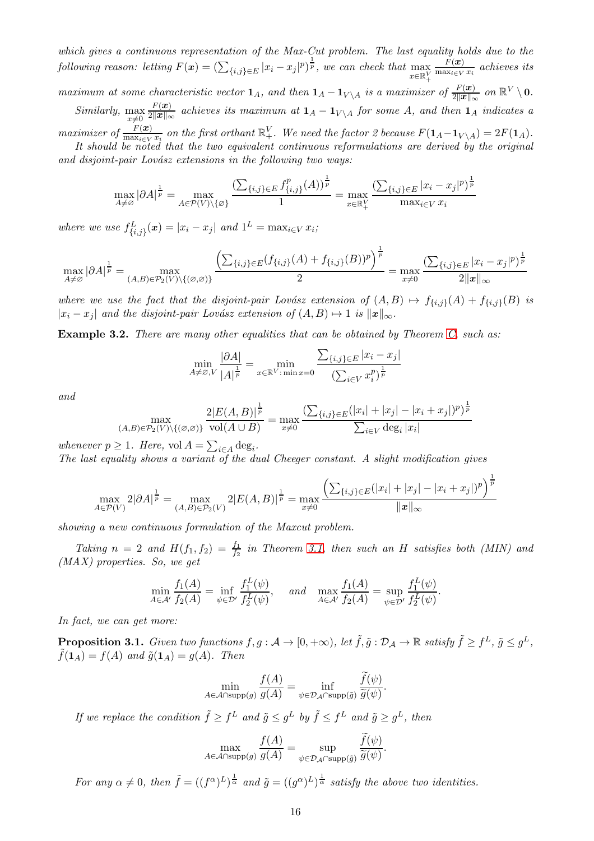which gives a continuous representation of the Max-Cut problem. The last equality holds due to the following reason: letting  $F(x) = \left(\sum_{\{i,j\} \in E} |x_i - x_j|^p\right)^{\frac{1}{p}}$ , we can check that  $\max_{x \in \mathbb{R}^N}$  $x \in \mathbb{R}^V_+$  $F(\boldsymbol{x})$  $\frac{r(\boldsymbol{u})}{\max_{i\in V} x_i}$  achieves its

maximum at some characteristic vector  $1_A$ , and then  $1_A - 1_{V \setminus A}$  is a maximizer of  $\frac{F(x)}{2||x||_{\infty}}$  on  $\mathbb{R}^V \setminus 0$ .

Similarly,  $\max_{x\neq 0}$  $F(\boldsymbol{x})$  $\frac{F(x)}{2\|x\|_{\infty}}$  achieves its maximum at  $1_A - 1_{V \setminus A}$  for some A, and then  $1_A$  indicates a  $maximize \ of \ \frac{F(x)}{\max_{i \in V} x_i}$  on the first orthant  $\mathbb{R}^V_+$ . We need the factor 2 because  $F(\mathbf{1}_A-\mathbf{1}_{V \setminus A}) = 2F(\mathbf{1}_A)$ .

It should be noted that the two equivalent continuous reformulations are derived by the original and disjoint-pair Lovász extensions in the following two ways:

$$
\max_{A \neq \varnothing} |\partial A|^{\frac{1}{p}} = \max_{A \in \mathcal{P}(V) \setminus \{\varnothing\}} \frac{\left(\sum_{\{i,j\} \in E} f_{\{i,j\}}^p(A)\right)^{\frac{1}{p}}}{1} = \max_{x \in \mathbb{R}_+^V} \frac{\left(\sum_{\{i,j\} \in E} |x_i - x_j|^p\right)^{\frac{1}{p}}}{\max_{i \in V} x_i}
$$

where we use  $f_{\{i,j\}}^L(\boldsymbol{x}) = |x_i - x_j|$  and  $1^L = \max_{i \in V} x_i$ ;

$$
\max_{A \neq \emptyset} |\partial A|^{\frac{1}{p}} = \max_{(A,B) \in \mathcal{P}_2(V) \setminus \{(\emptyset, \emptyset)\}} \frac{\left(\sum_{\{i,j\} \in E} (f_{\{i,j\}}(A) + f_{\{i,j\}}(B))^p\right)^{\frac{1}{p}}}{2} = \max_{x \neq 0} \frac{\left(\sum_{\{i,j\} \in E} |x_i - x_j|^p\right)^{\frac{1}{p}}}{2||x||_{\infty}}
$$

where we use the fact that the disjoint-pair Lovász extension of  $(A, B) \mapsto f_{\{i,j\}}(A) + f_{\{i,j\}}(B)$  is  $|x_i - x_j|$  and the disjoint-pair Lovász extension of  $(A, B) \mapsto 1$  is  $||x||_{\infty}$ .

<span id="page-15-1"></span>**Example 3.2.** There are many other equalities that can be obtained by Theorem [C,](#page-5-0) such as:

$$
\min_{A \neq \emptyset, V} \frac{|\partial A|}{|A|^{\frac{1}{p}}} = \min_{x \in \mathbb{R}^V : \min x = 0} \frac{\sum_{\{i,j\} \in E} |x_i - x_j|}{\left(\sum_{i \in V} x_i^p\right)^{\frac{1}{p}}}
$$

and

$$
\max_{(A,B)\in\mathcal{P}_2(V)\backslash\{(\emptyset,\emptyset)\}}\frac{2|E(A,B)|^{\frac{1}{p}}}{\text{vol}(A\cup B)} = \max_{x\neq 0}\frac{(\sum_{\{i,j\}\in E}(|x_i|+|x_j|-|x_i+x_j|)^p)^{\frac{1}{p}}}{\sum_{i\in V}\deg_i|x_i|}
$$

whenever  $p \geq 1$ . Here, vol  $A = \sum_{i \in A} \deg_i$ .

The last equality shows a variant of the dual Cheeger constant. A slight modification gives

$$
\max_{A \in \mathcal{P}(V)} 2|\partial A|^{\frac{1}{p}} = \max_{(A,B) \in \mathcal{P}_2(V)} 2|E(A,B)|^{\frac{1}{p}} = \max_{x \neq 0} \frac{\left(\sum_{\{i,j\} \in E} (|x_i| + |x_j| - |x_i + x_j|)^p\right)^{\frac{1}{p}}}{\|x\|_{\infty}}
$$

 $\sqrt{1}$ 

showing a new continuous formulation of the Maxcut problem.

Taking  $n = 2$  and  $H(f_1, f_2) = \frac{f_1}{f_2}$  in Theorem [3.1,](#page-13-2) then such an H satisfies both (MIN) and (MAX) properties. So, we get

$$
\min_{A \in \mathcal{A}'} \frac{f_1(A)}{f_2(A)} = \inf_{\psi \in \mathcal{D}'} \frac{f_1^L(\psi)}{f_2^L(\psi)}, \quad \text{and} \quad \max_{A \in \mathcal{A}'} \frac{f_1(A)}{f_2(A)} = \sup_{\psi \in \mathcal{D}'} \frac{f_1^L(\psi)}{f_2^L(\psi)}.
$$

In fact, we can get more:

<span id="page-15-0"></span>**Proposition 3.1.** Given two functions  $f, g: \mathcal{A} \to [0, +\infty)$ , let  $\tilde{f}, \tilde{g}: \mathcal{D}_{\mathcal{A}} \to \mathbb{R}$  satisfy  $\tilde{f} \geq f^L$ ,  $\tilde{g} \leq g^L$ ,  $\tilde{f}(1_A) = f(A)$  and  $\tilde{g}(1_A) = g(A)$ . Then

$$
\min_{A \in \mathcal{A} \cap \text{supp}(g)} \frac{f(A)}{g(A)} = \inf_{\psi \in \mathcal{D}_{\mathcal{A}} \cap \text{supp}(\tilde{g})} \frac{f(\psi)}{\tilde{g}(\psi)}.
$$

If we replace the condition  $\tilde{f} \geq f^L$  and  $\tilde{g} \leq g^L$  by  $\tilde{f} \leq f^L$  and  $\tilde{g} \geq g^L$ , then

$$
\max_{A \in \mathcal{A} \cap \text{supp}(g)} \frac{f(A)}{g(A)} = \sup_{\psi \in \mathcal{D}_{\mathcal{A}} \cap \text{supp}(\tilde{g})} \frac{f(\psi)}{\tilde{g}(\psi)}.
$$

For any  $\alpha \neq 0$ , then  $\tilde{f} = ((f^{\alpha})^L)^{\frac{1}{\alpha}}$  and  $\tilde{g} = ((g^{\alpha})^L)^{\frac{1}{\alpha}}$  satisfy the above two identities.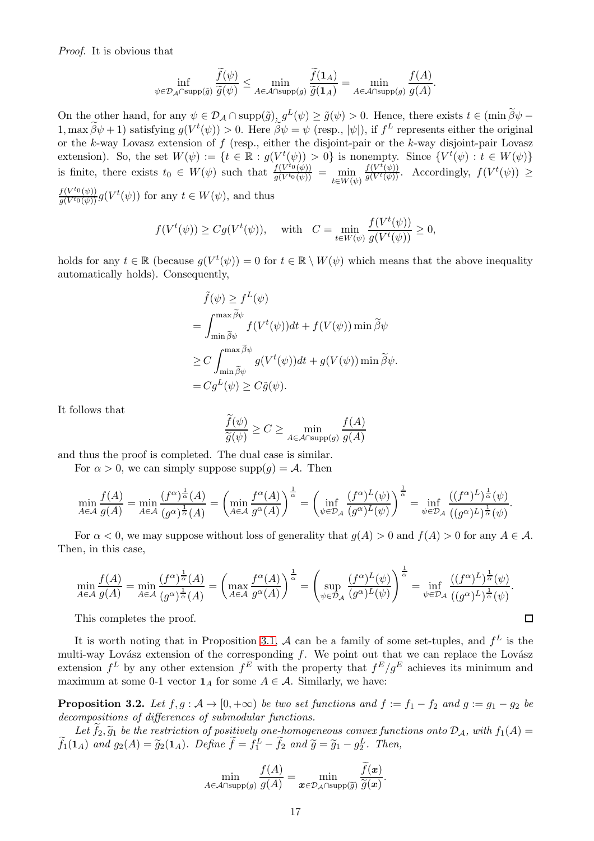Proof. It is obvious that

$$
\inf_{\psi \in \mathcal{D}_{\mathcal{A}} \cap \text{supp}(\tilde{g})} \frac{\tilde{f}(\psi)}{\tilde{g}(\psi)} \le \min_{A \in \mathcal{A} \cap \text{supp}(g)} \frac{\tilde{f}(1_A)}{\tilde{g}(1_A)} = \min_{A \in \mathcal{A} \cap \text{supp}(g)} \frac{f(A)}{g(A)}.
$$

On the other hand, for any  $\psi \in \mathcal{D}_\mathcal{A} \cap \text{supp}(\tilde{g}) \circ \tilde{g}(\psi) \ge \tilde{g}(\psi) > 0$ . Hence, there exists  $t \in (\min \tilde{\beta}\psi - \tilde{\beta}\psi)$  $(1, \max \beta \psi + 1)$  satisfying  $g(V^t(\psi)) > 0$ . Here  $\beta \psi = \psi$  (resp.,  $|\psi|$ ), if  $f^L$  represents either the original or the  $k$ -way Lovasz extension of  $f$  (resp., either the disjoint-pair or the  $k$ -way disjoint-pair Lovasz extension). So, the set  $W(\psi) := \{t \in \mathbb{R} : g(V^t(\psi)) > 0\}$  is nonempty. Since  $\{V^t(\psi) : t \in W(\psi)\}$ is finite, there exists  $t_0 \in W(\psi)$  such that  $\frac{f(V^{t_0}(\psi))}{g(V^{t_0}(\psi))}$  $\frac{f(V^{t_0}(\psi))}{g(V^{t_0}(\psi))} = \min_{t \in W(\psi)}$  $\frac{f(V^t(\psi))}{g(V^t(\psi))}$ . Accordingly,  $f(V^t(\psi)) \geq$  $f(V^{t_0}(\psi))$ 

 $\frac{f(V^{t_0}(\psi))}{g(V^{t_0}(\psi))}g(V^t(\psi))$  for any  $t \in W(\psi)$ , and thus

$$
f(V^t(\psi)) \ge Cg(V^t(\psi)), \quad \text{with} \quad C = \min_{t \in W(\psi)} \frac{f(V^t(\psi))}{g(V^t(\psi))} \ge 0,
$$

holds for any  $t \in \mathbb{R}$  (because  $g(V^t(\psi)) = 0$  for  $t \in \mathbb{R} \setminus W(\psi)$  which means that the above inequality automatically holds). Consequently,

$$
\tilde{f}(\psi) \ge f^L(\psi)
$$
\n
$$
= \int_{\min \widetilde{\beta}\psi}^{\max \widetilde{\beta}\psi} f(V^t(\psi))dt + f(V(\psi)) \min \widetilde{\beta}\psi
$$
\n
$$
\ge C \int_{\min \widetilde{\beta}\psi}^{\max \widetilde{\beta}\psi} g(V^t(\psi))dt + g(V(\psi)) \min \widetilde{\beta}\psi.
$$
\n
$$
= C g^L(\psi) \ge C \tilde{g}(\psi).
$$

It follows that

$$
\frac{f(\psi)}{\widetilde{g}(\psi)} \ge C \ge \min_{A \in \mathcal{A} \cap \text{supp}(g)} \frac{f(A)}{g(A)}
$$

and thus the proof is completed. The dual case is similar.

For  $\alpha > 0$ , we can simply suppose supp $(q) = A$ . Then

$$
\min_{A \in \mathcal{A}} \frac{f(A)}{g(A)} = \min_{A \in \mathcal{A}} \frac{(f^{\alpha})^{\frac{1}{\alpha}}(A)}{(g^{\alpha})^{\frac{1}{\alpha}}(A)} = \left(\min_{A \in \mathcal{A}} \frac{f^{\alpha}(A)}{g^{\alpha}(A)}\right)^{\frac{1}{\alpha}} = \left(\inf_{\psi \in \mathcal{D}_{\mathcal{A}}} \frac{(f^{\alpha})^L(\psi)}{(g^{\alpha})^L(\psi)}\right)^{\frac{1}{\alpha}} = \inf_{\psi \in \mathcal{D}_{\mathcal{A}}} \frac{((f^{\alpha})^L)^{\frac{1}{\alpha}}(\psi)}{((g^{\alpha})^L)^{\frac{1}{\alpha}}(\psi)}.
$$

For  $\alpha < 0$ , we may suppose without loss of generality that  $g(A) > 0$  and  $f(A) > 0$  for any  $A \in \mathcal{A}$ . Then, in this case,

$$
\min_{A \in \mathcal{A}} \frac{f(A)}{g(A)} = \min_{A \in \mathcal{A}} \frac{(f^{\alpha})^{\frac{1}{\alpha}}(A)}{(g^{\alpha})^{\frac{1}{\alpha}}(A)} = \left(\max_{A \in \mathcal{A}} \frac{f^{\alpha}(A)}{g^{\alpha}(A)}\right)^{\frac{1}{\alpha}} = \left(\sup_{\psi \in \mathcal{D}_{\mathcal{A}}} \frac{(f^{\alpha})^L(\psi)}{(g^{\alpha})^L(\psi)}\right)^{\frac{1}{\alpha}} = \inf_{\psi \in \mathcal{D}_{\mathcal{A}}} \frac{((f^{\alpha})^L)^{\frac{1}{\alpha}}(\psi)}{((g^{\alpha})^L)^{\frac{1}{\alpha}}(\psi)}.
$$

 $\Box$ 

This completes the proof.

It is worth noting that in Proposition [3.1,](#page-15-0) A can be a family of some set-tuples, and  $f<sup>L</sup>$  is the multi-way Lovász extension of the corresponding  $f$ . We point out that we can replace the Lovász extension  $f^L$  by any other extension  $f^E$  with the property that  $f^E/g^E$  achieves its minimum and maximum at some 0-1 vector  $\mathbf{1}_A$  for some  $A \in \mathcal{A}$ . Similarly, we have:

<span id="page-16-0"></span>**Proposition 3.2.** Let  $f, g : A \to [0, +\infty)$  be two set functions and  $f := f_1 - f_2$  and  $g := g_1 - g_2$  be decompositions of differences of submodular functions.

Let  $f_2, \widetilde{g}_1$  be the restriction of positively one-homogeneous convex functions onto  $\mathcal{D}_\mathcal{A}$ , with  $f_1(A) =$  $\widetilde{f}_1(\mathbf{1}_A)$  and  $g_2(A) = \widetilde{g}_2(\mathbf{1}_A)$ . Define  $\widetilde{f} = f_1^L - \widetilde{f}_2$  and  $\widetilde{g} = \widetilde{g}_1 - g_2^L$ . Then,

$$
\min_{A \in \mathcal{A} \cap \text{supp}(g)} \frac{f(A)}{g(A)} = \min_{\bm{x} \in \mathcal{D}_{\mathcal{A}} \cap \text{supp}(\widetilde{g})} \frac{f(\bm{x})}{\widetilde{g}(\bm{x})}.
$$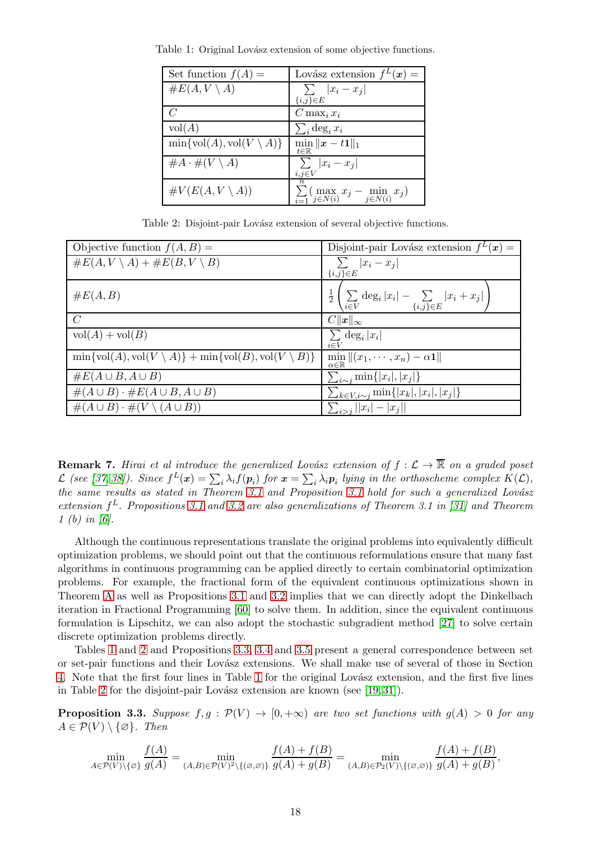| Set function $f(A) =$                             | Lovász extension $f^L(x) =$                                                                   |
|---------------------------------------------------|-----------------------------------------------------------------------------------------------|
| $\#E(A, V \setminus A)$                           | $\sum  x_i - x_j $                                                                            |
|                                                   | $\{i,j\} \in E$                                                                               |
|                                                   | $C \max_i x_i$                                                                                |
| vol(A)                                            | $\sum_i \deg_i x_i$                                                                           |
| $\min\{\text{vol}(A),\text{vol}(V\setminus A)\}\$ | $\min_{t\in\mathbb{R}}\ \boldsymbol{x}-t\mathbf{1}\ _{1}$                                     |
| $\#A \cdot \#(V \setminus A)$                     | $\sum  x_i - x_j $<br>$i, j \in V$                                                            |
| $\#V(E(A, V \setminus A))$                        | $\it n$<br>$\sum_{i=1}^{\infty} \left( \max_{j \in N(i)} x_j - \min_{j \in N(i)} x_j \right)$ |

<span id="page-17-0"></span>Table 1: Original Lovász extension of some objective functions.

Table 2: Disjoint-pair Lovász extension of several objective functions.

<span id="page-17-1"></span>

| Objective function $f(A, B) =$                                                                   | Disjoint-pair Lovász extension $f^L(x) =$                                                   |
|--------------------------------------------------------------------------------------------------|---------------------------------------------------------------------------------------------|
| $\#E(A, V \setminus A) + \#E(B, V \setminus B)$                                                  | $\sum  x_i - x_j $                                                                          |
|                                                                                                  | ${i,j}\in E$                                                                                |
| $\#E(A, B)$                                                                                      | $\frac{1}{2} \left( \sum_{i \in V} \deg_i  x_i  - \sum_{\{i,j\} \in E}  x_i + x_j  \right)$ |
| $\mathcal{C}$                                                                                    | $C\ x\ _{\infty}$                                                                           |
| $vol(A) + vol(B)$                                                                                | $\sum$ deg <sub>i</sub>  x <sub>i</sub>  <br>$i \in V$                                      |
| $\min\{\text{vol}(A),\text{vol}(V\setminus A)\}+\min\{\text{vol}(B),\text{vol}(V\setminus B)\}\$ | $\min    (x_1, \cdots, x_n) - \alpha \mathbf{1}   $<br>$\alpha \in \mathbb{R}$              |
| $\#E(A\cup B, A\cup B)$                                                                          | $\sum_{i\sim j}$ min $\{ x_i ,  x_j \}$                                                     |
| $\#(A\cup B)\cdot\#E(A\cup B,A\cup B)$                                                           | $\sum_{k \in V, i \sim j} \min\{ x_k ,  x_i ,  x_j \}$                                      |
| $\#(A\cup B)\cdot\#(V\setminus(A\cup B))$                                                        | $\sum_{i > j}   x_i  -  x_j  $                                                              |

**Remark 7.** Hirai et al introduce the generalized Lovász extension of  $f : \mathcal{L} \to \mathbb{R}$  on a graded poset L (see [\[37,](#page-42-12) [38\]](#page-42-13)). Since  $f^L(x) = \sum_i \lambda_i f(p_i)$  for  $x = \sum_i \lambda_i p_i$  lying in the orthoscheme complex  $K(\mathcal{L})$ , the same results as stated in Theorem [3.1](#page-15-0) and Proposition 3.1 hold for such a generalized Lovász extension  $f^L$ . Propositions [3.1](#page-15-0) and [3.2](#page-16-0) are also generalizations of Theorem 3.1 in [\[31\]](#page-42-0) and Theorem 1 (b) in  $[6]$ .

Although the continuous representations translate the original problems into equivalently difficult optimization problems, we should point out that the continuous reformulations ensure that many fast algorithms in continuous programming can be applied directly to certain combinatorial optimization problems. For example, the fractional form of the equivalent continuous optimizations shown in Theorem [A](#page-4-0) as well as Propositions [3.1](#page-15-0) and [3.2](#page-16-0) implies that we can directly adopt the Dinkelbach iteration in Fractional Programming [\[60\]](#page-43-6) to solve them. In addition, since the equivalent continuous formulation is Lipschitz, we can also adopt the stochastic subgradient method [\[27\]](#page-42-14) to solve certain discrete optimization problems directly.

Tables [1](#page-17-0) and [2](#page-17-1) and Propositions [3.3,](#page-17-2) [3.4](#page-18-1) and [3.5](#page-18-2) present a general correspondence between set or set-pair functions and their Lovász extensions. We shall make use of several of those in Section [4.](#page-28-0) Note that the first four lines in Table [1](#page-17-0) for the original Lovász extension, and the first five lines in Table [2](#page-17-1) for the disjoint-pair Lovász extension are known (see  $[19, 31]$  $[19, 31]$ ).

<span id="page-17-2"></span>**Proposition 3.3.** Suppose  $f, g : \mathcal{P}(V) \to [0, +\infty)$  are two set functions with  $g(A) > 0$  for any  $A \in \mathcal{P}(V) \setminus \{\emptyset\}.$  Then

$$
\min_{A \in \mathcal{P}(V) \setminus \{\varnothing\}} \frac{f(A)}{g(A)} = \min_{(A,B) \in \mathcal{P}(V)^2 \setminus \{(\varnothing, \varnothing)\}} \frac{f(A) + f(B)}{g(A) + g(B)} = \min_{(A,B) \in \mathcal{P}_2(V) \setminus \{(\varnothing, \varnothing)\}} \frac{f(A) + f(B)}{g(A) + g(B)},
$$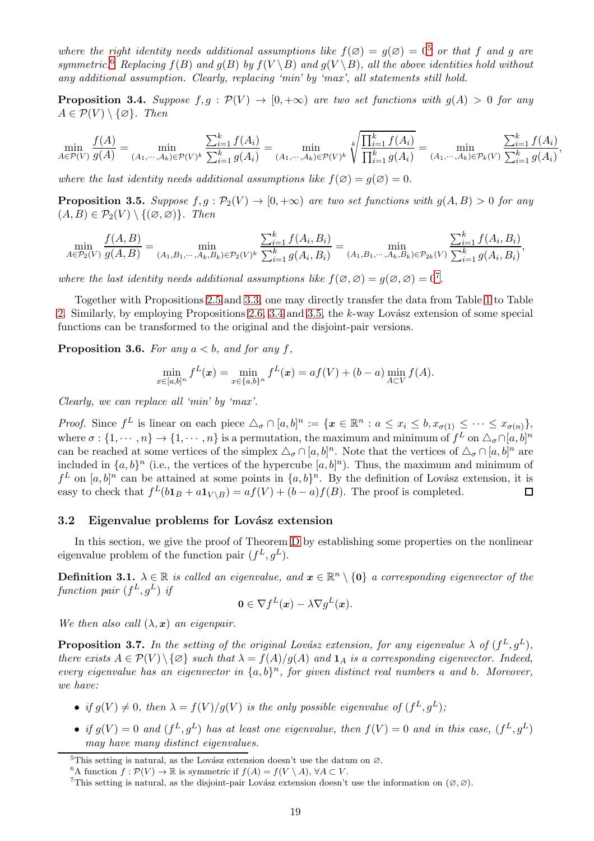where the right identity needs additional assumptions like  $f(\emptyset) = g(\emptyset) = 0^5$  $f(\emptyset) = g(\emptyset) = 0^5$  or that f and g are symmetric.<sup>[6](#page-18-4)</sup> Replacing  $f(B)$  and  $g(B)$  by  $f(V \setminus B)$  and  $g(V \setminus B)$ , all the above identities hold without any additional assumption. Clearly, replacing 'min' by 'max', all statements still hold.

<span id="page-18-1"></span>**Proposition 3.4.** Suppose  $f, g : \mathcal{P}(V) \to [0, +\infty)$  are two set functions with  $g(A) > 0$  for any  $A \in \mathcal{P}(V) \setminus \{\emptyset\}$ . Then

$$
\min_{A \in \mathcal{P}(V)} \frac{f(A)}{g(A)} = \min_{(A_1, \dots, A_k) \in \mathcal{P}(V)^k} \frac{\sum_{i=1}^k f(A_i)}{\sum_{i=1}^k g(A_i)} = \min_{(A_1, \dots, A_k) \in \mathcal{P}(V)^k} \sqrt[k]{\frac{\prod_{i=1}^k f(A_i)}{\prod_{i=1}^k g(A_i)}} = \min_{(A_1, \dots, A_k) \in \mathcal{P}_k(V)} \frac{\sum_{i=1}^k f(A_i)}{\sum_{i=1}^k g(A_i)}
$$

,

where the last identity needs additional assumptions like  $f(\emptyset) = g(\emptyset) = 0$ .

<span id="page-18-2"></span>**Proposition 3.5.** Suppose  $f, g : \mathcal{P}_2(V) \to [0, +\infty)$  are two set functions with  $g(A, B) > 0$  for any  $(A, B) \in \mathcal{P}_2(V) \setminus \{(\emptyset, \emptyset)\}.$  Then

$$
\min_{A \in \mathcal{P}_2(V)} \frac{f(A, B)}{g(A, B)} = \min_{(A_1, B_1, \cdots, A_k, B_k) \in \mathcal{P}_2(V)^k} \frac{\sum_{i=1}^k f(A_i, B_i)}{\sum_{i=1}^k g(A_i, B_i)} = \min_{(A_1, B_1, \cdots, A_k, B_k) \in \mathcal{P}_{2k}(V)} \frac{\sum_{i=1}^k f(A_i, B_i)}{\sum_{i=1}^k g(A_i, B_i)},
$$

where the last identity needs additional assumptions like  $f(\emptyset, \emptyset) = g(\emptyset, \emptyset) = 0^7$  $f(\emptyset, \emptyset) = g(\emptyset, \emptyset) = 0^7$ .

Together with Propositions [2.5](#page-9-1) and [3.3,](#page-17-2) one may directly transfer the data from Table [1](#page-17-0) to Table [2.](#page-17-1) Similarly, by employing Propositions [2.6,](#page-10-3) [3.4](#page-18-1) and [3.5,](#page-18-2) the  $k$ -way Lovász extension of some special functions can be transformed to the original and the disjoint-pair versions.

<span id="page-18-7"></span>**Proposition 3.6.** For any  $a < b$ , and for any f,

$$
\min_{x \in [a,b]^n} f^L(x) = \min_{x \in \{a,b\}^n} f^L(x) = af(V) + (b-a) \min_{A \subset V} f(A).
$$

Clearly, we can replace all 'min' by 'max'.

*Proof.* Since  $f^L$  is linear on each piece  $\Delta_{\sigma} \cap [a, b]^n := \{x \in \mathbb{R}^n : a \leq x_i \leq b, x_{\sigma(1)} \leq \cdots \leq x_{\sigma(n)}\},\$ where  $\sigma: \{1, \dots, n\} \to \{1, \dots, n\}$  is a permutation, the maximum and minimum of  $f^L$  on  $\Delta_{\sigma} \cap [a, b]^n$ can be reached at some vertices of the simplex  $\Delta_{\sigma} \cap [a, b]^n$ . Note that the vertices of  $\Delta_{\sigma} \cap [a, b]^n$  are included in  $\{a, b\}^n$  (i.e., the vertices of the hypercube  $[a, b]^n$ ). Thus, the maximum and minimum of  $f^L$  on  $[a, b]^n$  can be attained at some points in  $\{a, b\}^n$ . By the definition of Lovász extension, it is easy to check that  $f^L(b\mathbf{1}_B + a\mathbf{1}_{V \setminus B}) = af(V) + (b-a)f(B)$ . The proof is completed.  $\Box$ 

#### <span id="page-18-0"></span>3.2 Eigenvalue problems for Lovász extension

In this section, we give the proof of Theorem [D](#page-6-1) by establishing some properties on the nonlinear eigenvalue problem of the function pair  $(f^L, g^L)$ .

**Definition 3.1.**  $\lambda \in \mathbb{R}$  is called an eigenvalue, and  $x \in \mathbb{R}^n \setminus \{0\}$  a corresponding eigenvector of the function pair  $(f^L, g^L)$  if

$$
\mathbf{0} \in \nabla f^L(\mathbf{x}) - \lambda \nabla g^L(\mathbf{x}).
$$

We then also call  $(\lambda, x)$  an eigenpair.

<span id="page-18-6"></span>**Proposition 3.7.** In the setting of the original Lovász extension, for any eigenvalue  $\lambda$  of  $(f^L, g^L)$ , there exists  $A \in \mathcal{P}(V) \setminus \{\emptyset\}$  such that  $\lambda = f(A)/g(A)$  and  $\mathbf{1}_A$  is a corresponding eigenvector. Indeed, every eigenvalue has an eigenvector in  $\{a, b\}^n$ , for given distinct real numbers a and b. Moreover, we have:

- if  $g(V) \neq 0$ , then  $\lambda = f(V)/g(V)$  is the only possible eigenvalue of  $(f^L, g^L)$ ;
- if  $g(V) = 0$  and  $(f^L, g^L)$  has at least one eigenvalue, then  $f(V) = 0$  and in this case,  $(f^L, g^L)$ may have many distinct eigenvalues.

 $5$ This setting is natural, as the Lovász extension doesn't use the datum on  $\varnothing$ .

<span id="page-18-3"></span><sup>&</sup>lt;sup>6</sup>A function  $f : \mathcal{P}(V) \to \mathbb{R}$  is symmetric if  $f(A) = f(V \setminus A)$ ,  $\forall A \subset V$ .

<span id="page-18-5"></span><span id="page-18-4"></span><sup>&</sup>lt;sup>7</sup>This setting is natural, as the disjoint-pair Lovász extension doesn't use the information on  $(\emptyset, \emptyset)$ .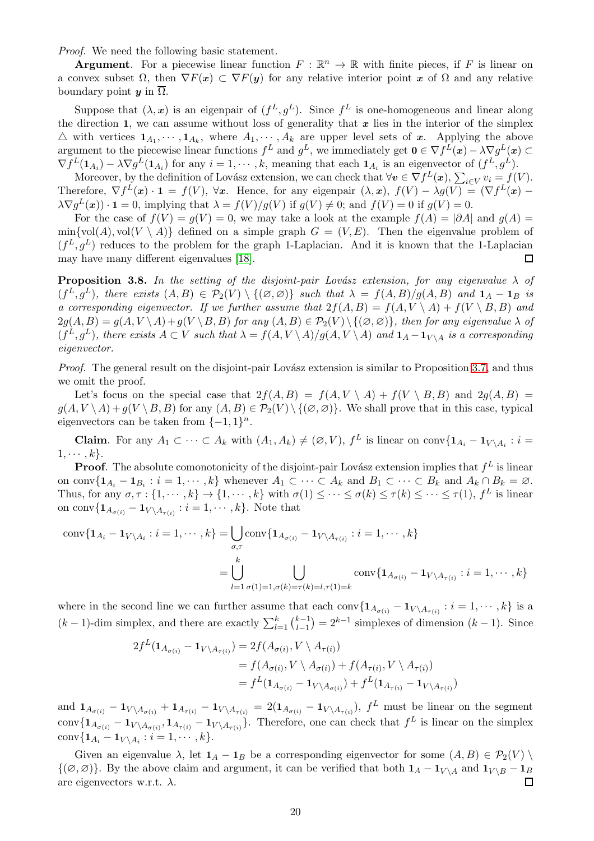Proof. We need the following basic statement.

**Argument.** For a piecewise linear function  $F : \mathbb{R}^n \to \mathbb{R}$  with finite pieces, if F is linear on a convex subset  $\Omega$ , then  $\nabla F(x) \subset \nabla F(y)$  for any relative interior point x of  $\Omega$  and any relative boundary point  $y$  in  $\overline{\Omega}$ .

Suppose that  $(\lambda, x)$  is an eigenpair of  $(f^L, g^L)$ . Since  $f^L$  is one-homogeneous and linear along the direction 1, we can assume without loss of generality that  $x$  lies in the interior of the simplex  $\triangle$  with vertices  $1_{A_1}, \dots, 1_{A_k}$ , where  $A_1, \dots, A_k$  are upper level sets of x. Applying the above argument to the piecewise linear functions  $f^L$  and  $g^L$ , we immediately get  $\mathbf{0} \in \nabla f^L(\mathbf{x}) - \lambda \nabla g^L(\mathbf{x}) \subset$  $\nabla f^L(\mathbf{1}_{A_i}) - \lambda \nabla g^L(\mathbf{1}_{A_i})$  for any  $i = 1, \dots, k$ , meaning that each  $\mathbf{1}_{A_i}$  is an eigenvector of  $(f^L, g^L)$ .

Moreover, by the definition of Lovász extension, we can check that  $\forall v \in \nabla f^L(x)$ ,  $\sum_{i \in V} v_i = f(V)$ . Therefore,  $\nabla f^L(x) \cdot \mathbf{1} = f(V)$ ,  $\forall x$ . Hence, for any eigenpair  $(\lambda, x)$ ,  $f(V) - \lambda g(V) = (\nabla f^L(x) \lambda \nabla g^{L}(\boldsymbol{x}) \cdot \mathbf{1} = 0$ , implying that  $\lambda = f(V)/g(V)$  if  $g(V) \neq 0$ ; and  $f(V) = 0$  if  $g(V) = 0$ .

For the case of  $f(V) = g(V) = 0$ , we may take a look at the example  $f(A) = |\partial A|$  and  $g(A) =$  $\min\{\text{vol}(A), \text{vol}(V \setminus A)\}\$  defined on a simple graph  $G = (V, E)$ . Then the eigenvalue problem of  $(f^L, g^L)$  reduces to the problem for the graph 1-Laplacian. And it is known that the 1-Laplacian may have many different eigenvalues [\[18\]](#page-42-9). П

<span id="page-19-0"></span>**Proposition 3.8.** In the setting of the disjoint-pair Lovász extension, for any eigenvalue  $\lambda$  of  $(f^L, g^L)$ , there exists  $(A, B) \in \mathcal{P}_2(V) \setminus \{(\emptyset, \emptyset)\}\$  such that  $\lambda = f(A, B)/g(A, B)$  and  $\mathbf{1}_A - \mathbf{1}_B$  is a corresponding eigenvector. If we further assume that  $2f(A, B) = f(A, V \setminus A) + f(V \setminus B, B)$  and  $2g(A, B) = g(A, V \setminus A) + g(V \setminus B, B)$  for any  $(A, B) \in \mathcal{P}_2(V) \setminus \{(\emptyset, \emptyset)\}\$ , then for any eigenvalue  $\lambda$  of  $(f^L, g^L)$ , there exists  $A \subset V$  such that  $\lambda = f(A, V \setminus A)/g(A, V \setminus A)$  and  $\mathbf{1}_A - \mathbf{1}_{V \setminus A}$  is a corresponding eigenvector.

Proof. The general result on the disjoint-pair Lovász extension is similar to Proposition [3.7,](#page-18-6) and thus we omit the proof.

Let's focus on the special case that  $2f(A, B) = f(A, V \setminus A) + f(V \setminus B, B)$  and  $2g(A, B) =$  $g(A, V \setminus A) + g(V \setminus B, B)$  for any  $(A, B) \in \mathcal{P}_2(V) \setminus \{(\emptyset, \emptyset)\}.$  We shall prove that in this case, typical eigenvectors can be taken from  $\{-1, 1\}^n$ .

**Claim.** For any  $A_1 \subset \cdots \subset A_k$  with  $(A_1, A_k) \neq (\emptyset, V)$ ,  $f^L$  is linear on conv $\{1_{A_i} - 1_{V \setminus A_i} : i =$  $1, \cdots, k$ .

**Proof.** The absolute comonotonicity of the disjoint-pair Lovász extension implies that  $f^L$  is linear on conv $\{1_{A_i}-1_{B_i}: i=1,\dots,k\}$  whenever  $A_1\subset \dots \subset A_k$  and  $B_1\subset \dots \subset B_k$  and  $A_k\cap B_k=\emptyset$ . Thus, for any  $\sigma, \tau : \{1, \dots, k\} \to \{1, \dots, k\}$  with  $\sigma(1) \leq \dots \leq \sigma(k) \leq \tau(k) \leq \dots \leq \tau(1)$ ,  $f^L$  is linear on conv $\{ {\bf 1}_{A_{\sigma(i)}} - {\bf 1}_{V\setminus A_{\tau(i)}} : i=1,\cdots,k\}$ . Note that

$$
\text{conv}\{\mathbf{1}_{A_i} - \mathbf{1}_{V \setminus A_i} : i = 1, \cdots, k\} = \bigcup_{\sigma, \tau} \text{conv}\{\mathbf{1}_{A_{\sigma(i)}} - \mathbf{1}_{V \setminus A_{\tau(i)}} : i = 1, \cdots, k\}
$$

$$
= \bigcup_{l=1}^k \bigcup_{\sigma(1)=1, \sigma(k)=\tau(k)=l, \tau(1)=k} \text{conv}\{\mathbf{1}_{A_{\sigma(i)}} - \mathbf{1}_{V \setminus A_{\tau(i)}} : i = 1, \cdots, k\}
$$

where in the second line we can further assume that each conv $\{1_{A_{\sigma(i)}} - 1_{V \setminus A_{\tau(i)}} : i = 1, \cdots, k\}$  is a  $(k-1)$ -dim simplex, and there are exactly  $\sum_{l=1}^{k} {k-1 \choose l-1}$  $\binom{k-1}{l-1} = 2^{k-1}$  simplexes of dimension  $(k-1)$ . Since

$$
2f^{L}(\mathbf{1}_{A_{\sigma(i)}} - \mathbf{1}_{V \setminus A_{\tau(i)}}) = 2f(A_{\sigma(i)}, V \setminus A_{\tau(i)})
$$
  
=  $f(A_{\sigma(i)}, V \setminus A_{\sigma(i)}) + f(A_{\tau(i)}, V \setminus A_{\tau(i)})$   
=  $f^{L}(\mathbf{1}_{A_{\sigma(i)}} - \mathbf{1}_{V \setminus A_{\sigma(i)}}) + f^{L}(\mathbf{1}_{A_{\tau(i)}} - \mathbf{1}_{V \setminus A_{\tau(i)}})$ 

and  $\mathbf{1}_{A_{\sigma(i)}} - \mathbf{1}_{V \setminus A_{\sigma(i)}} + \mathbf{1}_{A_{\tau(i)}} - \mathbf{1}_{V \setminus A_{\tau(i)}} = 2(\mathbf{1}_{A_{\sigma(i)}} - \mathbf{1}_{V \setminus A_{\tau(i)}}), \ f^L$  must be linear on the segment conv $\{1_{A_{\sigma(i)}}-1_{V\setminus A_{\sigma(i)}}$ ,  $1_{A_{\tau(i)}}-1_{V\setminus A_{\tau(i)}}\}$ . Therefore, one can check that  $f^L$  is linear on the simplex conv $\{ {\bf 1}_{A_i} - {\bf 1}_{V \setminus A_i} : i = 1, \cdots, k \}.$ 

Given an eigenvalue  $\lambda$ , let  $\mathbf{1}_A - \mathbf{1}_B$  be a corresponding eigenvector for some  $(A, B) \in \mathcal{P}_2(V) \setminus \mathcal{P}_2(V)$ {( $\emptyset$ ,  $\emptyset$ )}. By the above claim and argument, it can be verified that both  $\mathbf{1}_A - \mathbf{1}_{V \setminus A}$  and  $\mathbf{1}_{V \setminus B} - \mathbf{1}_B$  are eigenvectors w.r.t.  $\lambda$ . are eigenvectors w.r.t.  $\lambda$ .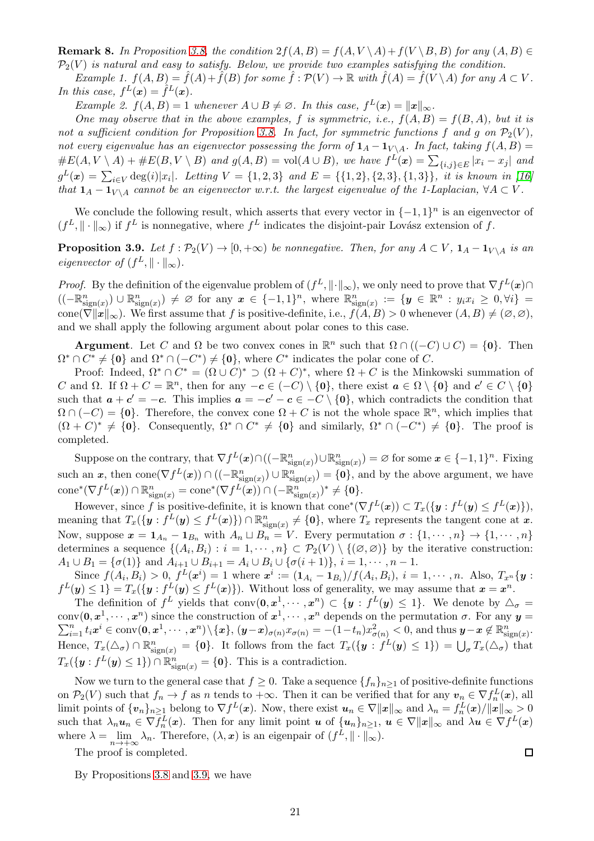**Remark 8.** In Proposition [3.8,](#page-19-0) the condition  $2f(A, B) = f(A, V \setminus A) + f(V \setminus B, B)$  for any  $(A, B) \in$  $\mathcal{P}_2(V)$  is natural and easy to satisfy. Below, we provide two examples satisfying the condition.

Example 1.  $f(A, B) = \overline{f}(A) + \overline{f}(B)$  for some  $\overline{f}: \mathcal{P}(V) \to \mathbb{R}$  with  $f(A) = \overline{f}(V \setminus A)$  for any  $A \subset V$ . In this case,  $f^L(x) = \hat{f}^L(x)$ .

Example 2.  $f(A, B) = 1$  whenever  $A \cup B \neq \emptyset$ . In this case,  $f^L(\boldsymbol{x}) = ||\boldsymbol{x}||_{\infty}$ .

One may observe that in the above examples, f is symmetric, i.e.,  $f(A, B) = f(B, A)$ , but it is not a sufficient condition for Proposition [3.8.](#page-19-0) In fact, for symmetric functions f and g on  $\mathcal{P}_2(V)$ , not every eigenvalue has an eigenvector possessing the form of  $\mathbf{1}_A - \mathbf{1}_{V \setminus A}$ . In fact, taking  $f(A, B) =$  $\#E(A, V \setminus A) + \#E(B, V \setminus B)$  and  $g(A, B) = vol(A \cup B)$ , we have  $f^{L}(x) = \sum_{\{i,j\} \in E} |x_i - x_j|$  and  $g^L(x) = \sum_{i \in V} \deg(i)|x_i|$ . Letting  $V = \{1, 2, 3\}$  and  $E = \{\{1, 2\}, \{2, 3\}, \{1, 3\}\}\$ , it is known in [\[16\]](#page-41-4) that  $1_A - 1_{V \setminus A}$  cannot be an eigenvector w.r.t. the largest eigenvalue of the 1-Laplacian,  $\forall A \subset V$ .

We conclude the following result, which asserts that every vector in  $\{-1,1\}^n$  is an eigenvector of  $(f^L, \|\cdot\|_{\infty})$  if  $f^L$  is nonnegative, where  $f^L$  indicates the disjoint-pair Lovász extension of f.

<span id="page-20-0"></span>**Proposition 3.9.** Let  $f : \mathcal{P}_2(V) \to [0, +\infty)$  be nonnegative. Then, for any  $A \subset V$ ,  $\mathbf{1}_A - \mathbf{1}_{V \setminus A}$  is an *eigenvector of*  $(f^L, \|\cdot\|_{\infty})$ .

*Proof.* By the definition of the eigenvalue problem of  $(f^L, \|\cdot\|_{\infty})$ , we only need to prove that  $\nabla f^L(\boldsymbol{x}) \cap$  $((-\mathbb{R}^n_{{\rm sign}(x)}) \cup \mathbb{R}^n_{{\rm sign}(x)}) \neq \emptyset$  for any  $x \in \{-1,1\}^n$ , where  $\mathbb{R}^n_{{\rm sign}(x)} := \{y \in \mathbb{R}^n : y_i x_i \geq 0, \forall i\} =$ cone( $\nabla ||\mathbf{x}||_{\infty}$ ). We first assume that f is positive-definite, i.e.,  $f(A, B) > 0$  whenever  $(A, B) \neq (\emptyset, \emptyset)$ , and we shall apply the following argument about polar cones to this case.

**Argument**. Let C and  $\Omega$  be two convex cones in  $\mathbb{R}^n$  such that  $\Omega \cap ((-C) \cup C) = \{0\}$ . Then  $\Omega^* \cap C^* \neq \{0\}$  and  $\Omega^* \cap (-C^*) \neq \{0\}$ , where  $C^*$  indicates the polar cone of C.

Proof: Indeed,  $\Omega^* \cap C^* = (\Omega \cup C)^* \supset (\Omega + C)^*$ , where  $\Omega + C$  is the Minkowski summation of C and  $\Omega$ . If  $\Omega + C = \mathbb{R}^n$ , then for any  $-c \in (-C) \setminus \{0\}$ , there exist  $a \in \Omega \setminus \{0\}$  and  $c' \in C \setminus \{0\}$ such that  $a + c' = -c$ . This implies  $a = -c' - c \in -C \setminus \{0\}$ , which contradicts the condition that  $\Omega \cap (-C) = \{0\}.$  Therefore, the convex cone  $\Omega + C$  is not the whole space  $\mathbb{R}^n$ , which implies that  $(\Omega + C)^* \neq \{0\}$ . Consequently,  $\Omega^* \cap C^* \neq \{0\}$  and similarly,  $\Omega^* \cap (-C^*) \neq \{0\}$ . The proof is completed.

Suppose on the contrary, that  $\nabla f^L(\boldsymbol{x}) \cap ((-\mathbb{R}^n_{\text{sign}(\boldsymbol{x})}) \cup \mathbb{R}^n_{\text{sign}(\boldsymbol{x})}) = \varnothing$  for some  $\boldsymbol{x} \in \{-1,1\}^n$ . Fixing such an x, then  $cone(\nabla f^L(x)) \cap ((-\mathbb{R}^n_{{sign}(x)}) \cup \mathbb{R}^n_{{sign}(x)}) = \{0\}$ , and by the above argument, we have  $\mathrm{cone}^*(\nabla f^L(\boldsymbol{x})) \cap \mathbb{R}^n_{\mathrm{sign}(x)} = \mathrm{cone}^*(\nabla f^L(\boldsymbol{x})) \cap (-\mathbb{R}^n_{\mathrm{sign}(x)})^* \neq \{0\}.$ 

However, since f is positive-definite, it is known that  $cone^*(\nabla f^L(\boldsymbol{x})) \subset T_x(\{\boldsymbol{y} : f^L(\boldsymbol{y}) \leq f^L(\boldsymbol{x})\}),$ meaning that  $T_x(\{y : f^L(y) \le f^L(x)\}) \cap \mathbb{R}^n_{\text{sign}(x)} \neq \{0\}$ , where  $T_x$  represents the tangent cone at  $x$ . Now, suppose  $x = \mathbf{1}_{A_n} - \mathbf{1}_{B_n}$  with  $A_n \sqcup B_n = V$ . Every permutation  $\sigma : \{1, \dots, n\} \to \{1, \dots, n\}$ determines a sequence  $\{(A_i, B_i) : i = 1, \dots, n\} \subset \mathcal{P}_2(V) \setminus \{(\emptyset, \emptyset)\}\$  by the iterative construction:  $A_1 \cup B_1 = \{\sigma(1)\}\$ and  $A_{i+1} \cup B_{i+1} = A_i \cup B_i \cup \{\sigma(i+1)\}, i = 1, \cdots, n-1.$ 

Since  $f(A_i, B_i) > 0$ ,  $f^L(x^i) = 1$  where  $x^i := (1_{A_i} - 1_{B_i})/f(A_i, B_i)$ ,  $i = 1, \dots, n$ . Also,  $T_{x^n}{y}$ :  $f^L(y) \leq 1$  =  $T_x({y : f^L(y) \leq f^L(x)})$ . Without loss of generality, we may assume that  $x = x^n$ .

The definition of  $f^L$  yields that conv $(0, x_1^1, \dots, x^n) \subset \{y : f^L(y) \leq 1\}$ . We denote by  $\Delta_{\sigma} =$ conv $(0, x^1, \dots, x^n)$  since the construction of  $x^1, \dots, x^n$  depends on the permutation  $\sigma$ . For any  $y =$  $\sum_{i=1}^n t_i x^i \in \operatorname{conv}(\mathbf{0}, \boldsymbol{x}^1, \cdots, \boldsymbol{x}^n) \setminus \{\boldsymbol{x}\}, \, (\boldsymbol{y}-\boldsymbol{x})_{\sigma(n)} x_{\sigma(n)} = -(1-t_n)x_{\sigma(n)}^2 < 0, \, \text{and thus } \boldsymbol{y}-\boldsymbol{x} \not\in \mathbb{R}^n_{\operatorname{sign}(\boldsymbol{x})}.$ Hence,  $T_x(\Delta_{\sigma}) \cap \mathbb{R}^n_{\text{sign}(x)} = \{0\}$ . It follows from the fact  $T_x(\{y : f^L(y) \leq 1\}) = \bigcup_{\sigma} T_x(\Delta_{\sigma})$  that  $T_x(\{y : f^L(y) \le 1\}) \cap \mathbb{R}^n_{\text{sign}(x)} = \{0\}.$  This is a contradiction.

Now we turn to the general case that  $f \geq 0$ . Take a sequence  $\{f_n\}_{n\geq 1}$  of positive-definite functions on  $\mathcal{P}_2(V)$  such that  $f_n \to f$  as n tends to  $+\infty$ . Then it can be verified that for any  $v_n \in \nabla f_n^L(x)$ , all limit points of  $\{v_n\}_{n\geq 1}$  belong to  $\nabla f^L(x)$ . Now, there exist  $u_n \in \nabla ||x||_{\infty}$  and  $\lambda_n = \frac{f_n^L(x)}{||x||_{\infty}} > 0$ such that  $\lambda_n u_n \in \nabla f_n^L(x)$ . Then for any limit point  $u$  of  $\{u_n\}_{n\geq 1}$ ,  $u \in \nabla ||x||_{\infty}$  and  $\lambda u \in \nabla f^L(x)$ where  $\lambda = \lim_{n \to +\infty} \lambda_n$ . Therefore,  $(\lambda, x)$  is an eigenpair of  $(f^L, \|\cdot\|_{\infty})$ .

The proof is completed.

By Propositions [3.8](#page-19-0) and [3.9,](#page-20-0) we have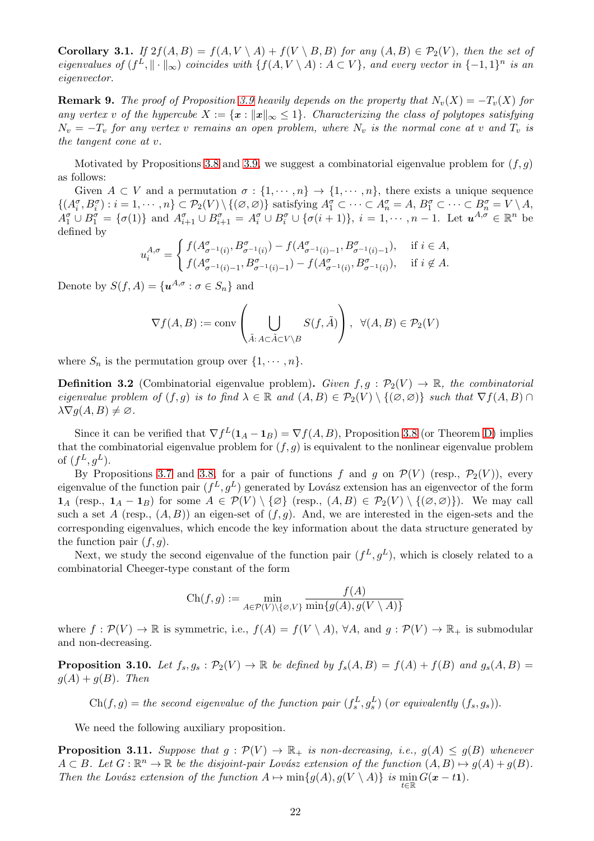Corollary 3.1. If  $2f(A, B) = f(A, V \setminus A) + f(V \setminus B, B)$  for any  $(A, B) \in \mathcal{P}_2(V)$ , then the set of eigenvalues of  $(f^L, \|\cdot\|_{\infty})$  coincides with  $\{f(A, V \setminus A) : A \subset V\}$ , and every vector in  $\{-1, 1\}^n$  is an eigenvector.

**Remark 9.** The proof of Proposition [3.9](#page-20-0) heavily depends on the property that  $N_v(X) = -T_v(X)$  for any vertex v of the hypercube  $X := \{x : ||x||_{\infty} \leq 1\}$ . Characterizing the class of polytopes satisfying  $N_v = -T_v$  for any vertex v remains an open problem, where  $N_v$  is the normal cone at v and  $T_v$  is the tangent cone at v.

Motivated by Propositions [3.8](#page-19-0) and [3.9,](#page-20-0) we suggest a combinatorial eigenvalue problem for  $(f, q)$ as follows:

Given  $A \subset V$  and a permutation  $\sigma : \{1, \dots, n\} \to \{1, \dots, n\}$ , there exists a unique sequence  $\{(A_i^{\sigma}, B_i^{\sigma}) : i = 1, \cdots, n\} \subset \mathcal{P}_2(V) \setminus \{(\emptyset, \emptyset)\}\$  satisfying  $A_1^{\sigma} \subset \cdots \subset A_n^{\sigma} = A, B_1^{\sigma} \subset \cdots \subset B_n^{\sigma} = V \setminus A,$  $A_1^{\sigma} \cup B_1^{\sigma} = \{\sigma(1)\}\$ and  $A_{i+1}^{\sigma} \cup B_{i+1}^{\sigma} = A_i^{\sigma} \cup B_i^{\sigma} \cup \{\sigma(i+1)\}, i = 1, \cdots, n-1$ . Let  $u^{A,\sigma} \in \mathbb{R}^n$  be defined by

$$
u_i^{A,\sigma} = \begin{cases} f(A^{\sigma}_{\sigma^{-1}(i)}, B^{\sigma}_{\sigma^{-1}(i)}) - f(A^{\sigma}_{\sigma^{-1}(i)-1}, B^{\sigma}_{\sigma^{-1}(i)-1}), & \text{if } i \in A, \\ f(A^{\sigma}_{\sigma^{-1}(i)-1}, B^{\sigma}_{\sigma^{-1}(i)-1}) - f(A^{\sigma}_{\sigma^{-1}(i)}, B^{\sigma}_{\sigma^{-1}(i)}), & \text{if } i \notin A. \end{cases}
$$

Denote by  $S(f, A) = \{u^{A, \sigma} : \sigma \in S_n\}$  and

$$
\nabla f(A,B):=\textup{conv}\left(\bigcup_{\tilde A:\,A\subset \tilde A\subset V\backslash B}S(f,\tilde A)\right),\;\;\forall (A,B)\in\mathcal{P}_2(V)
$$

where  $S_n$  is the permutation group over  $\{1, \dots, n\}$ .

**Definition 3.2** (Combinatorial eigenvalue problem). Given  $f, g : \mathcal{P}_2(V) \to \mathbb{R}$ , the combinatorial eigenvalue problem of  $(f, g)$  is to find  $\lambda \in \mathbb{R}$  and  $(A, B) \in \mathcal{P}_2(V) \setminus \{(\emptyset, \emptyset)\}\$  such that  $\nabla f(A, B) \cap \Omega$  $\lambda \nabla q(A, B) \neq \emptyset$ .

Since it can be verified that  $\nabla f^L(\mathbf{1}_A - \mathbf{1}_B) = \nabla f(A, B)$ , Proposition [3.8](#page-19-0) (or Theorem [D\)](#page-6-1) implies that the combinatorial eigenvalue problem for  $(f, g)$  is equivalent to the nonlinear eigenvalue problem of  $(f^L, g^L)$ .

By Propositions [3.7](#page-18-6) and [3.8,](#page-19-0) for a pair of functions f and g on  $\mathcal{P}(V)$  (resp.,  $\mathcal{P}_2(V)$ ), every eigenvalue of the function pair  $(f^L, g^L)$  generated by Lovász extension has an eigenvector of the form  $1_A$  (resp.,  $1_A - 1_B$ ) for some  $A \in \mathcal{P}(V) \setminus \{\emptyset\}$  (resp.,  $(A, B) \in \mathcal{P}_2(V) \setminus \{(\emptyset, \emptyset)\}\)$ . We may call such a set A (resp.,  $(A, B)$ ) an eigen-set of  $(f, g)$ . And, we are interested in the eigen-sets and the corresponding eigenvalues, which encode the key information about the data structure generated by the function pair  $(f, g)$ .

Next, we study the second eigenvalue of the function pair  $(f^L, g^L)$ , which is closely related to a combinatorial Cheeger-type constant of the form

$$
\text{Ch}(f,g):=\min_{A\in\mathcal{P}(V)\backslash\{\varnothing,V\}}\frac{f(A)}{\min\{g(A),g(V\setminus A)\}}
$$

where  $f : \mathcal{P}(V) \to \mathbb{R}$  is symmetric, i.e.,  $f(A) = f(V \setminus A)$ ,  $\forall A$ , and  $g : \mathcal{P}(V) \to \mathbb{R}_+$  is submodular and non-decreasing.

<span id="page-21-0"></span>**Proposition 3.10.** Let  $f_s, g_s : \mathcal{P}_2(V) \to \mathbb{R}$  be defined by  $f_s(A, B) = f(A) + f(B)$  and  $g_s(A, B) = f(A) + f(B)$  $g(A) + g(B)$ . Then

 $\text{Ch}(f,g) =$  the second eigenvalue of the function pair  $(f_s^L, g_s^L)$  (or equivalently  $(f_s, g_s)$ ).

We need the following auxiliary proposition.

<span id="page-21-1"></span>**Proposition 3.11.** Suppose that  $g : \mathcal{P}(V) \to \mathbb{R}_+$  is non-decreasing, i.e.,  $g(A) \leq g(B)$  whenever  $A \subset B$ . Let  $G : \mathbb{R}^n \to \mathbb{R}$  be the disjoint-pair Lovász extension of the function  $(A, B) \mapsto g(A) + g(B)$ . Then the Lovász extension of the function  $A \mapsto \min\{g(A), g(V \setminus A)\}\;$  is  $\min_{t \in \mathbb{R}} G(x - t)$ .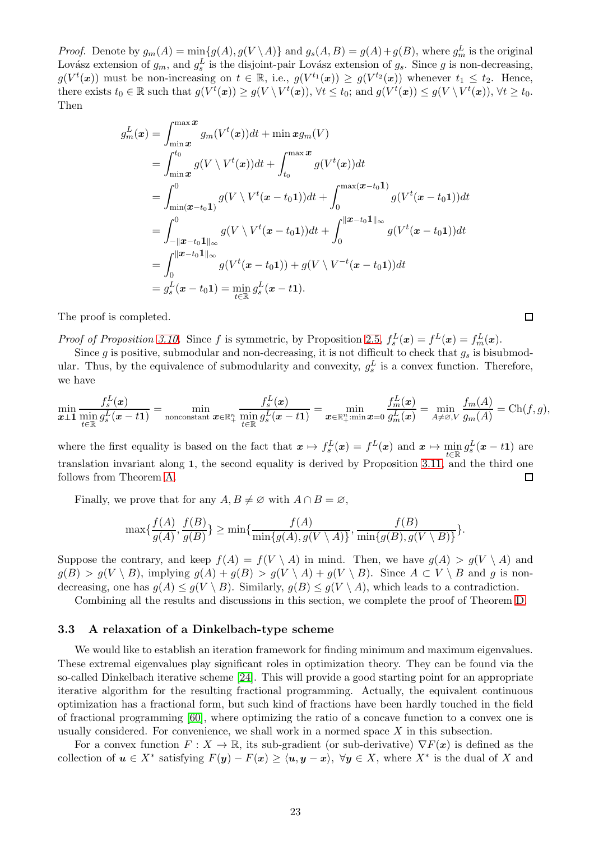*Proof.* Denote by  $g_m(A) = \min\{g(A), g(V \setminus A)\}\$ and  $g_s(A, B) = g(A) + g(B)$ , where  $g_m^L$  is the original Lovász extension of  $g_m$ , and  $g_s^L$  is the disjoint-pair Lovász extension of  $g_s$ . Since g is non-decreasing,  $g(V^t(x))$  must be non-increasing on  $t \in \mathbb{R}$ , i.e.,  $g(V^{t_1}(x)) \geq g(V^{t_2}(x))$  whenever  $t_1 \leq t_2$ . Hence, there exists  $t_0 \in \mathbb{R}$  such that  $g(V^t(\boldsymbol{x})) \ge g(V \setminus V^t(\boldsymbol{x}))$ ,  $\forall t \le t_0$ ; and  $g(V^t(\boldsymbol{x})) \le g(V \setminus V^t(\boldsymbol{x}))$ ,  $\forall t \ge t_0$ . Then

$$
g_m^L(\mathbf{x}) = \int_{\min \mathbf{x}}^{\max \mathbf{x}} g_m(V^t(\mathbf{x})) dt + \min \mathbf{x} g_m(V)
$$
  
\n
$$
= \int_{\min \mathbf{x}}^{t_0} g(V \setminus V^t(\mathbf{x})) dt + \int_{t_0}^{\max \mathbf{x}} g(V^t(\mathbf{x})) dt
$$
  
\n
$$
= \int_{\min(\mathbf{x}-t_0\mathbf{1})}^{0} g(V \setminus V^t(\mathbf{x}-t_0\mathbf{1})) dt + \int_{0}^{\max(\mathbf{x}-t_0\mathbf{1})} g(V^t(\mathbf{x}-t_0\mathbf{1})) dt
$$
  
\n
$$
= \int_{-\|\mathbf{x}-t_0\mathbf{1}\|_{\infty}}^{0} g(V \setminus V^t(\mathbf{x}-t_0\mathbf{1})) dt + \int_{0}^{\|\mathbf{x}-t_0\mathbf{1}\|_{\infty}} g(V^t(\mathbf{x}-t_0\mathbf{1})) dt
$$
  
\n
$$
= \int_{0}^{\|\mathbf{x}-t_0\mathbf{1}\|_{\infty}} g(V^t(\mathbf{x}-t_0\mathbf{1})) + g(V \setminus V^{-t}(\mathbf{x}-t_0\mathbf{1})) dt
$$
  
\n
$$
= g_s^L(\mathbf{x}-t_0\mathbf{1}) = \min_{t \in \mathbb{R}} g_s^L(\mathbf{x}-t\mathbf{1}).
$$

The proof is completed.

*Proof of Proposition [3.10.](#page-21-0)* Since f is symmetric, by Proposition [2.5,](#page-9-1)  $f_s^L(\mathbf{x}) = f^L(\mathbf{x}) = f_m^L(\mathbf{x})$ .

Since g is positive, submodular and non-decreasing, it is not difficult to check that  $g_s$  is bisubmodular. Thus, by the equivalence of submodularity and convexity,  $g_s^L$  is a convex function. Therefore, we have

 $\Box$ 

$$
\min_{\boldsymbol x\perp \boldsymbol 1} \frac{f_s^L(\boldsymbol x)}{\min_{t\in \mathbb R} g_s^L(\boldsymbol x-t\boldsymbol 1)}=\min_{\text{nonconstant}} \frac{f_s^L(\boldsymbol x)}{\boldsymbol x\in \mathbb R_+^n} \frac{f_s^L(\boldsymbol x)}{\min_{t\in \mathbb R} g_s^L(\boldsymbol x-t\boldsymbol 1)}=\min_{\boldsymbol x\in \mathbb R_+^n:\min \boldsymbol x=0} \frac{f_m^L(\boldsymbol x)}{g_m^L(\boldsymbol x)}=\min_{A\neq \varnothing, V} \frac{f_m(A)}{g_m(A)}=\mathrm{Ch}(f,g),
$$

where the first equality is based on the fact that  $x \mapsto f_s^L(x) = f^L(x)$  and  $x \mapsto \min_{t \in \mathbb{R}} g_s^L(x - t_1)$  are translation invariant along 1, the second equality is derived by Proposition [3.11,](#page-21-1) and the third one follows from Theorem [A.](#page-4-0) П

Finally, we prove that for any  $A, B \neq \emptyset$  with  $A \cap B = \emptyset$ ,

$$
\max\{\frac{f(A)}{g(A)},\frac{f(B)}{g(B)}\}\geq \min\{\frac{f(A)}{\min\{g(A),g(V\setminus A)\}},\frac{f(B)}{\min\{g(B),g(V\setminus B)\}}\}.
$$

Suppose the contrary, and keep  $f(A) = f(V \setminus A)$  in mind. Then, we have  $g(A) > g(V \setminus A)$  and  $g(B) > g(V \setminus B)$ , implying  $g(A) + g(B) > g(V \setminus A) + g(V \setminus B)$ . Since  $A \subset V \setminus B$  and g is nondecreasing, one has  $q(A) \leq q(V \setminus B)$ . Similarly,  $q(B) \leq q(V \setminus A)$ , which leads to a contradiction.

Combining all the results and discussions in this section, we complete the proof of Theorem [D.](#page-6-1)

#### <span id="page-22-0"></span>3.3 A relaxation of a Dinkelbach-type scheme

We would like to establish an iteration framework for finding minimum and maximum eigenvalues. These extremal eigenvalues play significant roles in optimization theory. They can be found via the so-called Dinkelbach iterative scheme [\[24\]](#page-42-15). This will provide a good starting point for an appropriate iterative algorithm for the resulting fractional programming. Actually, the equivalent continuous optimization has a fractional form, but such kind of fractions have been hardly touched in the field of fractional programming [\[60\]](#page-43-6), where optimizing the ratio of a concave function to a convex one is usually considered. For convenience, we shall work in a normed space  $X$  in this subsection.

For a convex function  $F: X \to \mathbb{R}$ , its sub-gradient (or sub-derivative)  $\nabla F(\mathbf{x})$  is defined as the collection of  $u \in X^*$  satisfying  $F(y) - F(x) \ge \langle u, y - x \rangle$ ,  $\forall y \in X$ , where  $X^*$  is the dual of X and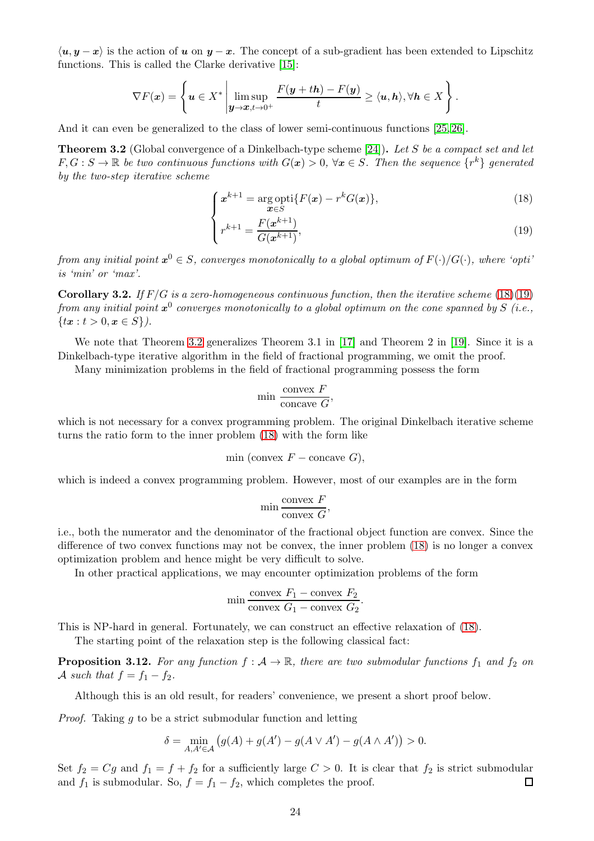$\langle u, y - x \rangle$  is the action of u on  $y - x$ . The concept of a sub-gradient has been extended to Lipschitz functions. This is called the Clarke derivative [\[15\]](#page-41-9):

$$
\nabla F(\boldsymbol{x}) = \left\{ \boldsymbol{u} \in X^* \, \middle| \, \limsup_{\boldsymbol{y} \to \boldsymbol{x}, t \to 0^+} \frac{F(\boldsymbol{y} + t\boldsymbol{h}) - F(\boldsymbol{y})}{t} \ge \langle \boldsymbol{u}, \boldsymbol{h} \rangle, \forall \boldsymbol{h} \in X \right\}.
$$

And it can even be generalized to the class of lower semi-continuous functions [\[25,](#page-42-16) [26\]](#page-42-17).

<span id="page-23-1"></span>Theorem 3.2 (Global convergence of a Dinkelbach-type scheme [\[24\]](#page-42-15)). Let S be a compact set and let  $F,G:S\to\mathbb{R}$  be two continuous functions with  $G(\bm{x})>0, \ \forall \bm{x}\in S.$  Then the sequence  $\{r^k\}$  generated by the two-step iterative scheme

$$
\int x^{k+1} = \underset{\mathbf{x} \in S}{\arg \operatorname{opti}} \{ F(\mathbf{x}) - r^k G(\mathbf{x}) \},\tag{18}
$$

$$
\begin{cases} r^{k+1} = \frac{F(x^{k+1})}{G(x^{k+1})}, \end{cases} \tag{19}
$$

<span id="page-23-0"></span>from any initial point  $\bm{x}^0\in S,$  converges monotonically to a global optimum of  $F(\cdot)/G(\cdot),$  where 'opti' is 'min' or 'max'.

**Corollary 3.2.** If  $F/G$  is a zero-homogeneous continuous function, then the iterative scheme [\(18\)\(19\)](#page-23-0) from any initial point  $\pmb{x}^0$  converges monotonically to a global optimum on the cone spanned by S (i.e.,  ${x : t > 0, x \in S}.$ 

We note that Theorem [3.2](#page-23-1) generalizes Theorem 3.1 in [\[17\]](#page-42-18) and Theorem 2 in [\[19\]](#page-42-6). Since it is a Dinkelbach-type iterative algorithm in the field of fractional programming, we omit the proof.

Many minimization problems in the field of fractional programming possess the form

$$
min \frac{convex F}{concave G},
$$

which is not necessary for a convex programming problem. The original Dinkelbach iterative scheme turns the ratio form to the inner problem [\(18\)](#page-23-0) with the form like

$$
min (convex F - concave G),
$$

which is indeed a convex programming problem. However, most of our examples are in the form

$$
\min \frac{\text{convex } F}{\text{convex } G},
$$

i.e., both the numerator and the denominator of the fractional object function are convex. Since the difference of two convex functions may not be convex, the inner problem [\(18\)](#page-23-0) is no longer a convex optimization problem and hence might be very difficult to solve.

In other practical applications, we may encounter optimization problems of the form

$$
\min \frac{\text{convex } F_1 - \text{convex } F_2}{\text{convex } G_1 - \text{convex } G_2}.
$$

This is NP-hard in general. Fortunately, we can construct an effective relaxation of [\(18\)](#page-23-0).

The starting point of the relaxation step is the following classical fact:

<span id="page-23-2"></span>**Proposition 3.12.** For any function  $f : A \to \mathbb{R}$ , there are two submodular functions  $f_1$  and  $f_2$  on A such that  $f = f_1 - f_2$ .

Although this is an old result, for readers' convenience, we present a short proof below.

Proof. Taking g to be a strict submodular function and letting

$$
\delta = \min_{A,A' \in \mathcal{A}} \left( g(A) + g(A') - g(A \vee A') - g(A \wedge A') \right) > 0.
$$

Set  $f_2 = Cg$  and  $f_1 = f + f_2$  for a sufficiently large  $C > 0$ . It is clear that  $f_2$  is strict submodular and  $f_1$  is submodular. So,  $f = f_1 - f_2$ , which completes the proof.  $\Box$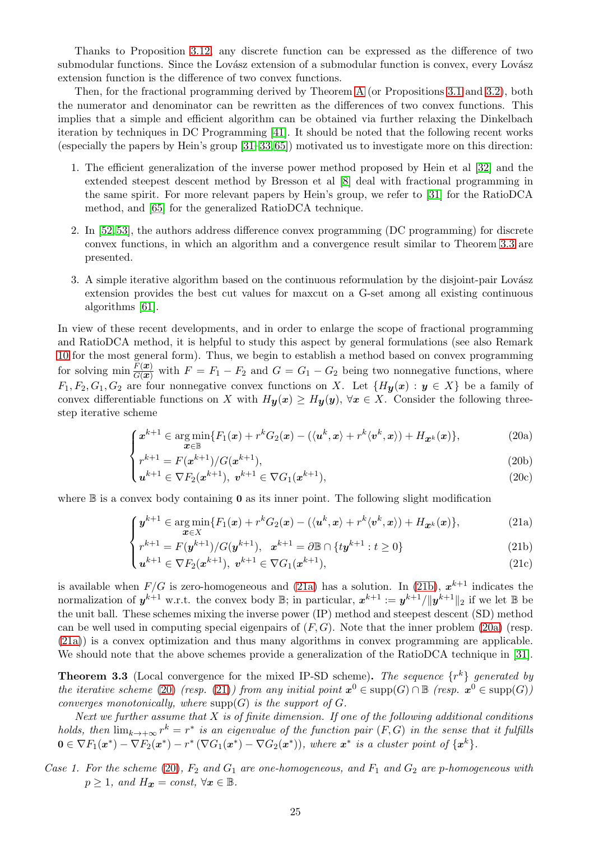Thanks to Proposition [3.12,](#page-23-2) any discrete function can be expressed as the difference of two submodular functions. Since the Lovász extension of a submodular function is convex, every Lovász extension function is the difference of two convex functions.

Then, for the fractional programming derived by Theorem [A](#page-4-0) (or Propositions [3.1](#page-15-0) and [3.2\)](#page-16-0), both the numerator and denominator can be rewritten as the differences of two convex functions. This implies that a simple and efficient algorithm can be obtained via further relaxing the Dinkelbach iteration by techniques in DC Programming [\[41\]](#page-42-19). It should be noted that the following recent works (especially the papers by Hein's group [\[31–](#page-42-0)[33,](#page-42-1)[65\]](#page-43-7)) motivated us to investigate more on this direction:

- 1. The efficient generalization of the inverse power method proposed by Hein et al [\[32\]](#page-42-10) and the extended steepest descent method by Bresson et al [\[8\]](#page-41-10) deal with fractional programming in the same spirit. For more relevant papers by Hein's group, we refer to [\[31\]](#page-42-0) for the RatioDCA method, and [\[65\]](#page-43-7) for the generalized RatioDCA technique.
- 2. In [\[52,](#page-43-8) [53\]](#page-43-9), the authors address difference convex programming (DC programming) for discrete convex functions, in which an algorithm and a convergence result similar to Theorem [3.3](#page-24-0) are presented.
- 3. A simple iterative algorithm based on the continuous reformulation by the disjoint-pair Lovász extension provides the best cut values for maxcut on a G-set among all existing continuous algorithms [\[61\]](#page-43-10).

In view of these recent developments, and in order to enlarge the scope of fractional programming and RatioDCA method, it is helpful to study this aspect by general formulations (see also Remark [10](#page-27-0) for the most general form). Thus, we begin to establish a method based on convex programming for solving min  $\frac{\overline{F(x)}}{G(x)}$  with  $F = F_1 - F_2$  and  $G = G_1 - G_2$  being two nonnegative functions, where  $F_1, F_2, G_1, G_2$  are four nonnegative convex functions on X. Let  $\{H_\mathbf{y}(x) : y \in X\}$  be a family of convex differentiable functions on X with  $H_y(x) \geq H_y(y)$ ,  $\forall x \in X$ . Consider the following threestep iterative scheme

<span id="page-24-3"></span>
$$
\int \boldsymbol{x}^{k+1} \in \arg\min_{\boldsymbol{x} \in \mathbb{B}} \{ F_1(\boldsymbol{x}) + r^k G_2(\boldsymbol{x}) - (\langle \boldsymbol{u}^k, \boldsymbol{x} \rangle + r^k \langle \boldsymbol{v}^k, \boldsymbol{x} \rangle) + H_{\boldsymbol{x}^k}(\boldsymbol{x}) \},\tag{20a}
$$

$$
r^{k+1} = F(x^{k+1})/G(x^{k+1}),
$$
\n(20b)

$$
\begin{pmatrix} u^{k+1} \in \nabla F_2(x^{k+1}), v^{k+1} \in \nabla G_1(x^{k+1}), \end{pmatrix}
$$
 (20c)

<span id="page-24-2"></span><span id="page-24-1"></span>where  $\mathbb B$  is a convex body containing **0** as its inner point. The following slight modification

$$
\int \boldsymbol{y}^{k+1} \in \underset{\boldsymbol{x} \in X}{\arg \min} \{ F_1(\boldsymbol{x}) + r^k G_2(\boldsymbol{x}) - (\langle \boldsymbol{u}^k, \boldsymbol{x} \rangle + r^k \langle \boldsymbol{v}^k, \boldsymbol{x} \rangle) + H_{\boldsymbol{x}^k}(\boldsymbol{x}) \},\tag{21a}
$$

$$
\begin{cases} r^{k+1} = F(y^{k+1})/G(y^{k+1}), & x^{k+1} = \partial \mathbb{B} \cap \{ty^{k+1} : t \ge 0\} \\ u^{k+1} \in \nabla F_2(x^{k+1}), & v^{k+1} \in \nabla G_1(x^{k+1}), \end{cases}
$$
(21b)

<span id="page-24-4"></span>
$$
u^{k+1} \in \nabla F_2(x^{k+1}), \ v^{k+1} \in \nabla G_1(x^{k+1}), \tag{21c}
$$

is available when  $F/G$  is zero-homogeneous and [\(21a\)](#page-24-1) has a solution. In [\(21b\)](#page-24-1),  $x^{k+1}$  indicates the normalization of  $y^{k+1}$  w.r.t. the convex body  $\mathbb{B}$ ; in particular,  $x^{k+1} := y^{k+1} / \|y^{k+1}\|_2$  if we let  $\mathbb{B}$  be the unit ball. These schemes mixing the inverse power (IP) method and steepest descent (SD) method can be well used in computing special eigenpairs of  $(F, G)$ . Note that the inner problem [\(20a\)](#page-24-2) (resp. [\(21a\)](#page-24-1)) is a convex optimization and thus many algorithms in convex programming are applicable. We should note that the above schemes provide a generalization of the RatioDCA technique in [\[31\]](#page-42-0).

<span id="page-24-0"></span>**Theorem 3.3** (Local convergence for the mixed IP-SD scheme). The sequence  $\{r^k\}$  generated by the iterative scheme [\(20\)](#page-24-3) (resp. [\(21\)](#page-24-4)) from any initial point  $x^0 \in \text{supp}(G) \cap \mathbb{B}$  (resp.  $x^0 \in \text{supp}(G)$ ) converges monotonically, where  $\text{supp}(G)$  is the support of  $G$ .

Next we further assume that  $X$  is of finite dimension. If one of the following additional conditions holds, then  $\lim_{k\to+\infty} r^k = r^*$  is an eigenvalue of the function pair  $(F,G)$  in the sense that it fulfills  $0 \in \nabla F_1(\bm{x}^*) - \nabla F_2(\bm{x}^*) - r^* (\nabla G_1(\bm{x}^*) - \nabla G_2(\bm{x}^*)),$  where  $\bm{x}^*$  is a cluster point of  $\{\bm{x}^k\}.$ 

Case 1. For the scheme [\(20\)](#page-24-3),  $F_2$  and  $G_1$  are one-homogeneous, and  $F_1$  and  $G_2$  are p-homogeneous with  $p \geq 1$ , and  $H_{\mathbf{x}} = const, \ \forall \mathbf{x} \in \mathbb{B}$ .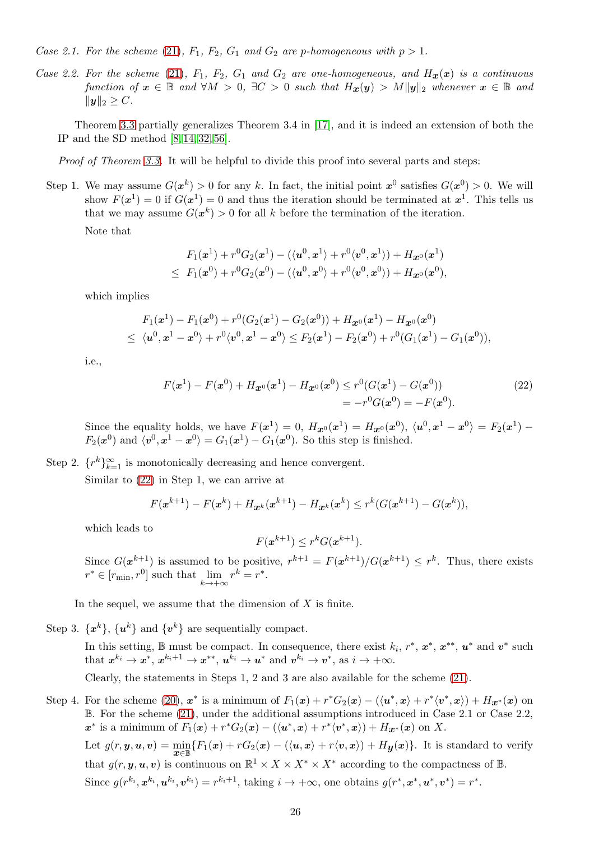Case 2.1. For the scheme [\(21\)](#page-24-4),  $F_1$ ,  $F_2$ ,  $G_1$  and  $G_2$  are p-homogeneous with  $p > 1$ .

Case 2.2. For the scheme [\(21\)](#page-24-4),  $F_1$ ,  $F_2$ ,  $G_1$  and  $G_2$  are one-homogeneous, and  $H_x(x)$  is a continuous function of  $x \in \mathbb{B}$  and  $\forall M > 0$ ,  $\exists C > 0$  such that  $H_x(y) > M||y||_2$  whenever  $x \in \mathbb{B}$  and  $||y||_2 \ge C$ .

Theorem [3.3](#page-24-0) partially generalizes Theorem 3.4 in [\[17\]](#page-42-18), and it is indeed an extension of both the IP and the SD method [\[8,](#page-41-10) [14,](#page-41-11) [32,](#page-42-10) [56\]](#page-43-11).

Proof of Theorem [3.3.](#page-24-0) It will be helpful to divide this proof into several parts and steps:

Step 1. We may assume  $G(x^k) > 0$  for any k. In fact, the initial point  $x^0$  satisfies  $G(x^0) > 0$ . We will show  $F(x^1) = 0$  if  $G(x^1) = 0$  and thus the iteration should be terminated at  $x^1$ . This tells us that we may assume  $G(x^k) > 0$  for all k before the termination of the iteration.

Note that

$$
F_1(x^1) + r^0 G_2(x^1) - (\langle u^0, x^1 \rangle + r^0 \langle v^0, x^1 \rangle) + H_{\mathbf{x}^0}(x^1) \leq F_1(x^0) + r^0 G_2(x^0) - (\langle u^0, x^0 \rangle + r^0 \langle v^0, x^0 \rangle) + H_{\mathbf{x}^0}(x^0),
$$

which implies

$$
F_1(x^1) - F_1(x^0) + r^0(G_2(x^1) - G_2(x^0)) + H_{\boldsymbol{x}^0}(x^1) - H_{\boldsymbol{x}^0}(x^0)
$$
  
 
$$
\leq \langle \boldsymbol{u}^0, \boldsymbol{x}^1 - \boldsymbol{x}^0 \rangle + r^0 \langle \boldsymbol{v}^0, \boldsymbol{x}^1 - \boldsymbol{x}^0 \rangle \leq F_2(\boldsymbol{x}^1) - F_2(\boldsymbol{x}^0) + r^0(G_1(\boldsymbol{x}^1) - G_1(\boldsymbol{x}^0)),
$$

i.e.,

$$
F(\mathbf{x}^1) - F(\mathbf{x}^0) + H_{\mathbf{x}^0}(\mathbf{x}^1) - H_{\mathbf{x}^0}(\mathbf{x}^0) \le r^0 (G(\mathbf{x}^1) - G(\mathbf{x}^0))
$$
  
=  $-r^0 G(\mathbf{x}^0) = -F(\mathbf{x}^0).$  (22)

Since the equality holds, we have  $F(x^1) = 0$ ,  $H_{x0}(x^1) = H_{x0}(x^0)$ ,  $\langle u^0, x^1 - x^0 \rangle = F_2(x^1) F_2(x^0)$  and  $\langle v^0, x^1 - x^0 \rangle = G_1(x^1) - G_1(x^0)$ . So this step is finished.

Step 2.  $\{r^k\}_{k=1}^{\infty}$  is monotonically decreasing and hence convergent.

Similar to [\(22\)](#page-25-0) in Step 1, we can arrive at

$$
F(\mathbf{x}^{k+1}) - F(\mathbf{x}^k) + H_{\mathbf{x}^k}(\mathbf{x}^{k+1}) - H_{\mathbf{x}^k}(\mathbf{x}^k) \le r^k (G(\mathbf{x}^{k+1}) - G(\mathbf{x}^k)),
$$

which leads to

<span id="page-25-0"></span>
$$
F(\mathbf{x}^{k+1}) \leq r^k G(\mathbf{x}^{k+1}).
$$

Since  $G(x^{k+1})$  is assumed to be positive,  $r^{k+1} = F(x^{k+1})/G(x^{k+1}) \leq r^k$ . Thus, there exists  $r^* \in [r_{\min}, r^0]$  such that  $\lim_{k \to +\infty} r^k = r^*$ .

In the sequel, we assume that the dimension of  $X$  is finite.

Step 3.  $\{x^k\}$ ,  $\{u^k\}$  and  $\{v^k\}$  are sequentially compact.

In this setting,  $\mathbb B$  must be compact. In consequence, there exist  $k_i, r^*, \mathbf x^*, \mathbf x^{**}, \mathbf u^*$  and  $\mathbf v^*$  such that  $x^{k_i} \to x^*$ ,  $x^{k_i+1} \to x^{**}$ ,  $u^{k_i} \to u^*$  and  $v^{k_i} \to v^*$ , as  $i \to +\infty$ .

Clearly, the statements in Steps 1, 2 and 3 are also available for the scheme [\(21\)](#page-24-4).

Step 4. For the scheme  $(20)$ ,  $x^*$  is a minimum of  $F_1(x) + r^*G_2(x) - (\langle u^*, x \rangle + r^* \langle v^*, x \rangle) + H_{\mathcal{X}^*}(x)$  on B. For the scheme [\(21\)](#page-24-4), under the additional assumptions introduced in Case 2.1 or Case 2.2,  $x^*$  is a minimum of  $F_1(x) + r^*G_2(x) - (\langle u^*, x \rangle + r^* \langle v^*, x \rangle) + H_{x^*}(x)$  on X.

Let  $g(r, y, u, v) = \min_{\mathbf{x} \in \mathbb{B}} \{F_1(\mathbf{x}) + rG_2(\mathbf{x}) - (\langle \mathbf{u}, \mathbf{x} \rangle + r\langle \mathbf{v}, \mathbf{x} \rangle) + H_{\mathbf{y}}(\mathbf{x})\}.$  It is standard to verify that  $g(r, y, u, v)$  is continuous on  $\mathbb{R}^1 \times X \times X^* \times X^*$  according to the compactness of  $\mathbb{B}$ . Since  $g(r^{k_i}, \mathbf{x}^{k_i}, \mathbf{u}^{k_i}, \mathbf{v}^{k_i}) = r^{k_i+1}$ , taking  $i \to +\infty$ , one obtains  $g(r^*, \mathbf{x}^*, \mathbf{u}^*, \mathbf{v}^*) = r^*$ .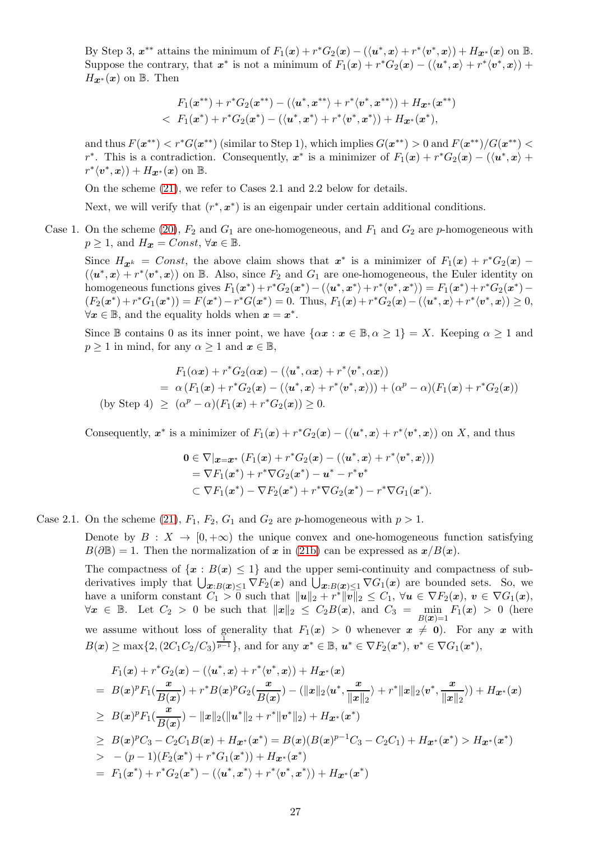By Step 3,  $x^{**}$  attains the minimum of  $F_1(x) + r^*G_2(x) - (\langle u^*, x \rangle + r^*\langle v^*, x \rangle) + H_{\mathcal{X}^*}(x)$  on  $\mathbb{B}$ . Suppose the contrary, that  $x^*$  is not a minimum of  $F_1(x) + r^*G_2(x) - (\langle u^*, x \rangle + r^* \langle v^*, x \rangle) +$  $H_{\mathbf{x}^*}(\mathbf{x})$  on B. Then

$$
F_1(x^{**}) + r^*G_2(x^{**}) - (\langle u^*, x^{**} \rangle + r^*\langle v^*, x^{**} \rangle) + H_{\boldsymbol{x}^*}(x^{**}) < F_1(x^*) + r^*G_2(x^*) - (\langle u^*, x^* \rangle + r^*\langle v^*, x^* \rangle) + H_{\boldsymbol{x}^*}(x^*),
$$

and thus  $F(x^{**}) < r^*G(x^{**})$  (similar to Step 1), which implies  $G(x^{**}) > 0$  and  $F(x^{**})/G(x^{**}) <$  $r^*$ . This is a contradiction. Consequently,  $x^*$  is a minimizer of  $F_1(x) + r^*G_2(x) - (\langle u^*, x \rangle +$  $r^*\langle v^*,x\rangle)+H_{\boldsymbol{x}^*}(x)$  on  $\mathbb{B}$ .

On the scheme [\(21\)](#page-24-4), we refer to Cases 2.1 and 2.2 below for details.

Next, we will verify that  $(r^*, x^*)$  is an eigenpair under certain additional conditions.

Case 1. On the scheme [\(20\)](#page-24-3),  $F_2$  and  $G_1$  are one-homogeneous, and  $F_1$  and  $G_2$  are p-homogeneous with  $p \geq 1$ , and  $H_{\boldsymbol{x}} = Const, \forall \boldsymbol{x} \in \mathbb{B}$ .

Since  $H_{\mathbf{x}^k} = Const$ , the above claim shows that  $\mathbf{x}^*$  is a minimizer of  $F_1(\mathbf{x}) + r^*G_2(\mathbf{x})$  –  $(\langle u^*, x \rangle + r^* \langle v^*, x \rangle)$  on B. Also, since  $F_2$  and  $G_1$  are one-homogeneous, the Euler identity on homogeneous functions gives  $F_1(x^*) + r^*G_2(x^*) - (\langle u^*, x^* \rangle + r^* \langle v^*, x^* \rangle) = F_1(x^*) + r^*G_2(x^*) (F_2(x^*) + r^*G_1(x^*)) = F(x^*) - r^*G(x^*) = 0.$  Thus,  $F_1(x) + r^*G_2(x) - (\langle u^*, x \rangle + r^*\langle v^*, x \rangle) \ge 0,$  $\forall x \in \mathbb{B}$ , and the equality holds when  $x = x^*$ .

Since B contains 0 as its inner point, we have  $\{\alpha x : x \in \mathbb{B}, \alpha \geq 1\} = X$ . Keeping  $\alpha \geq 1$  and  $p \geq 1$  in mind, for any  $\alpha \geq 1$  and  $x \in \mathbb{B}$ ,

$$
F_1(\alpha x) + r^* G_2(\alpha x) - (\langle u^*, \alpha x \rangle + r^* \langle v^*, \alpha x \rangle)
$$
  
=  $\alpha (F_1(x) + r^* G_2(x) - (\langle u^*, x \rangle + r^* \langle v^*, x \rangle)) + (\alpha^p - \alpha)(F_1(x) + r^* G_2(x))$   
(by Step 4)  $\geq (\alpha^p - \alpha)(F_1(x) + r^* G_2(x)) \geq 0$ .

Consequently,  $x^*$  is a minimizer of  $F_1(x) + r^*G_2(x) - (\langle u^*, x \rangle + r^* \langle v^*, x \rangle)$  on X, and thus

$$
0 \in \nabla |_{\mathbf{x} = \mathbf{x}^*} (F_1(\mathbf{x}) + r^* G_2(\mathbf{x}) - (\langle \mathbf{u}^*, \mathbf{x} \rangle + r^* \langle \mathbf{v}^*, \mathbf{x} \rangle))
$$
  
=  $\nabla F_1(\mathbf{x}^*) + r^* \nabla G_2(\mathbf{x}^*) - \mathbf{u}^* - r^* \mathbf{v}^*$   
 $\subset \nabla F_1(\mathbf{x}^*) - \nabla F_2(\mathbf{x}^*) + r^* \nabla G_2(\mathbf{x}^*) - r^* \nabla G_1(\mathbf{x}^*).$ 

Case 2.1. On the scheme [\(21\)](#page-24-4),  $F_1$ ,  $F_2$ ,  $G_1$  and  $G_2$  are p-homogeneous with  $p > 1$ .

Denote by  $B: X \to [0, +\infty)$  the unique convex and one-homogeneous function satisfying  $B(\partial \mathbb{B}) = 1$ . Then the normalization of x in [\(21b\)](#page-24-1) can be expressed as  $x/B(x)$ .

The compactness of  $\{x : B(x) \leq 1\}$  and the upper semi-continuity and compactness of subderivatives imply that  $\bigcup_{\bm{x}:B(\bm{x})\leq 1} \nabla F_2(\bm{x})$  and  $\bigcup_{\bm{x}:B(\bm{x})\leq 1} \nabla G_1(\bm{x})$  are bounded sets. So, we have a uniform constant  $C_1 > 0$  such that  $||u||_2 + r^*||v||_2 \leq C_1$ ,  $\forall u \in \nabla F_2(x)$ ,  $v \in \nabla G_1(x)$ ,  $\forall x \in \mathbb{B}$ . Let  $C_2 > 0$  be such that  $||x||_2 \leq C_2B(x)$ , and  $C_3 = \min_{B(x)=1} F_1(x) > 0$  (here we assume without loss of generality that  $F_1(x) > 0$  whenever  $x \neq 0$ . For any x with  $B(x) \ge \max\{2, (2C_1C_2/C_3)^{\frac{1}{p-1}}\},\$  and for any  $x^* \in \mathbb{B}, u^* \in \nabla F_2(x^*), v^* \in \nabla G_1(x^*),$ 

$$
F_1(x) + r^* G_2(x) - (\langle u^*, x \rangle + r^* \langle v^*, x \rangle) + H_{x^*}(x)
$$
  
=  $B(x)^p F_1(\frac{x}{B(x)}) + r^* B(x)^p G_2(\frac{x}{B(x)}) - (\|x\|_2 \langle u^*, \frac{x}{\|x\|_2}) + r^* \|x\|_2 \langle v^*, \frac{x}{\|x\|_2}) + H_{x^*}(x)$   
 $\geq B(x)^p F_1(\frac{x}{B(x)}) - \|x\|_2 (\|u^*\|_2 + r^* \|v^*\|_2) + H_{x^*}(x^*)$   
 $\geq B(x)^p C_3 - C_2 C_1 B(x) + H_{x^*}(x^*) = B(x) (B(x)^{p-1} C_3 - C_2 C_1) + H_{x^*}(x^*) > H_{x^*}(x^*)$   
 $\geq - (p-1)(F_2(x^*) + r^* G_1(x^*)) + H_{x^*}(x^*)$   
=  $F_1(x^*) + r^* G_2(x^*) - (\langle u^*, x^* \rangle + r^* \langle v^*, x^* \rangle) + H_{x^*}(x^*)$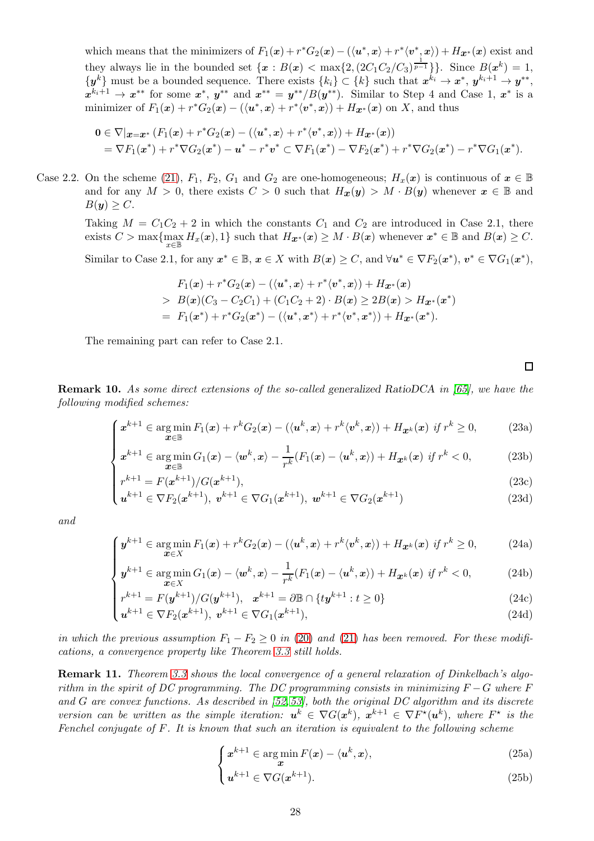which means that the minimizers of  $F_1(x) + r^*G_2(x) - (\langle u^*, x \rangle + r^* \langle v^*, x \rangle) + H_{\mathbf{x}^*}(x)$  exist and they always lie in the bounded set  $\{x : B(x) < \max\{2, (2C_1C_2/C_3)^{\frac{1}{p-1}}\}\}\.$  Since  $B(x^k) = 1$ ,  $\{y^k\}$  must be a bounded sequence. There exists  $\{k_i\} \subset \{k\}$  such that  $x^{k_i} \to x^*$ ,  $y^{k_i+1} \to y^{**}$ ,  $x^{k_i+1} \rightarrow x^{**}$  for some  $x^*$ ,  $y^{**}$  and  $x^{**} = y^{**}/B(y^{**})$ . Similar to Step 4 and Case 1,  $x^*$  is a minimizer of  $F_1(x) + r^*G_2(x) - (\langle u^*, x \rangle + r^* \langle v^*, x \rangle) + H_{\mathbf{x}^*}(x)$  on X, and thus

$$
0 \in \nabla |_{\boldsymbol{x} = \boldsymbol{x}^*} (F_1(\boldsymbol{x}) + r^* G_2(\boldsymbol{x}) - (\langle \boldsymbol{u}^*, \boldsymbol{x} \rangle + r^* \langle \boldsymbol{v}^*, \boldsymbol{x} \rangle) + H_{\boldsymbol{x}^*}(\boldsymbol{x}))
$$
  
=  $\nabla F_1(\boldsymbol{x}^*) + r^* \nabla G_2(\boldsymbol{x}^*) - \boldsymbol{u}^* - r^* \boldsymbol{v}^* \subset \nabla F_1(\boldsymbol{x}^*) - \nabla F_2(\boldsymbol{x}^*) + r^* \nabla G_2(\boldsymbol{x}^*) - r^* \nabla G_1(\boldsymbol{x}^*).$ 

Case 2.2. On the scheme [\(21\)](#page-24-4),  $F_1$ ,  $F_2$ ,  $G_1$  and  $G_2$  are one-homogeneous;  $H_x(x)$  is continuous of  $x \in \mathbb{B}$ and for any  $M > 0$ , there exists  $C > 0$  such that  $H_x(y) > M \cdot B(y)$  whenever  $x \in \mathbb{B}$  and  $B(y) > C$ .

Taking  $M = C_1C_2 + 2$  in which the constants  $C_1$  and  $C_2$  are introduced in Case 2.1, there exists  $C > \max\{\max_{x \in \mathbb{B}} H_x(x), 1\}$  such that  $H_{\mathbf{x}^*}(x) \geq M \cdot B(x)$  whenever  $\mathbf{x}^* \in \mathbb{B}$  and  $B(x) \geq C$ .

Similar to Case 2.1, for any  $x^* \in \mathbb{B}$ ,  $x \in X$  with  $B(x) \ge C$ , and  $\forall u^* \in \nabla F_2(x^*)$ ,  $v^* \in \nabla G_1(x^*)$ ,

$$
F_1(x) + r^*G_2(x) - (\langle u^*, x \rangle + r^*\langle v^*, x \rangle) + H_{\mathcal{X}^*}(x)
$$
  
>  $B(x)(C_3 - C_2C_1) + (C_1C_2 + 2) \cdot B(x) \ge 2B(x) > H_{\mathcal{X}^*}(x^*)$   
=  $F_1(x^*) + r^*G_2(x^*) - (\langle u^*, x^* \rangle + r^*\langle v^*, x^* \rangle) + H_{\mathcal{X}^*}(x^*).$ 

The remaining part can refer to Case 2.1.

 $\Box$ 

<span id="page-27-0"></span>Remark 10. As some direct extensions of the so-called generalized RatioDCA in [\[65\]](#page-43-7), we have the following modified schemes:

$$
\left(x^{k+1} \in \arg\min_{\boldsymbol{x}\in\mathbb{B}} F_1(\boldsymbol{x}) + r^k G_2(\boldsymbol{x}) - (\langle \boldsymbol{u}^k, \boldsymbol{x}\rangle + r^k \langle \boldsymbol{v}^k, \boldsymbol{x}\rangle) + H_{\boldsymbol{x}^k}(\boldsymbol{x}) \text{ if } r^k \geq 0,\right. \tag{23a}
$$

$$
\begin{cases}\nx & \text{if } x \in \mathbb{R} \\
x \in \mathbb{R} \\
x^{k+1} \in \arg\min G_1(x) - \langle w^k, x \rangle - \frac{1}{r^k} (F_1(x) - \langle u^k, x \rangle) + H_{\mathbf{X}^k}(x) \text{ if } r^k < 0,\n\end{cases} \tag{23b}
$$

$$
\begin{cases}\nr^{k+1} = F(x^{k+1})/G(x^{k+1}), & (23c) \\
u^{k+1} \in \nabla F_2(x^{k+1}), \ v^{k+1} \in \nabla G_1(x^{k+1}), \ w^{k+1} \in \nabla G_2(x^{k+1})\n\end{cases}
$$
\n(23d)

$$
\boldsymbol{u}^{k+1} \in \nabla F_2(\boldsymbol{x}^{k+1}), \ \boldsymbol{v}^{k+1} \in \nabla G_1(\boldsymbol{x}^{k+1}), \ \boldsymbol{w}^{k+1} \in \nabla G_2(\boldsymbol{x}^{k+1})
$$
\n(23d)

and

$$
\left(y^{k+1}\in\argmin_{\boldsymbol{x}\in X}F_1(\boldsymbol{x})+r^kG_2(\boldsymbol{x})-(\langle\boldsymbol{u}^k,\boldsymbol{x}\rangle+r^k\langle\boldsymbol{v}^k,\boldsymbol{x}\rangle)+H_{\boldsymbol{x}^k}(\boldsymbol{x})\text{ if }r^k\geq 0,\tag{24a}
$$

$$
\begin{cases}\n\mathbf{y} & \text{if } x \in \mathbb{R} \\
\mathbf{x} \in \mathbb{R} \\
\mathbf{y}^{k+1} \in \arg\min_{\mathbf{x} \in \mathbb{X}} G_1(\mathbf{x}) - \langle \mathbf{w}^k, \mathbf{x} \rangle - \frac{1}{r^k} (F_1(\mathbf{x}) - \langle \mathbf{u}^k, \mathbf{x} \rangle) + H_{\mathbf{x}^k}(\mathbf{x}) \text{ if } r^k < 0,\n\end{cases}\n\tag{24b}
$$

$$
r^{k+1} = F(y^{k+1}) / G(y^{k+1}), \quad x^{k+1} = \partial \mathbb{B} \cap \{ ty^{k+1} : t \ge 0 \}
$$
 (24c)

$$
\begin{cases} r^{k+1} = F(y^{k+1})/G(y^{k+1}), & x^{k+1} = \partial \mathbb{B} \cap \{ty^{k+1} : t \ge 0\} \\ u^{k+1} \in \nabla F_2(x^{k+1}), & v^{k+1} \in \nabla G_1(x^{k+1}), \end{cases}
$$
(24d)

in which the previous assumption  $F_1 - F_2 \geq 0$  in [\(20\)](#page-24-3) and [\(21\)](#page-24-4) has been removed. For these modifications, a convergence property like Theorem [3.3](#page-24-0) still holds.

**Remark 11.** Theorem [3.3](#page-24-0) shows the local convergence of a general relaxation of Dinkelbach's algorithm in the spirit of DC programming. The DC programming consists in minimizing  $F - G$  where F and G are convex functions. As described in  $[52, 53]$  $[52, 53]$ , both the original DC algorithm and its discrete version can be written as the simple iteration:  $u^k \in \nabla G(x^k)$ ,  $x^{k+1} \in \nabla F^{\star}(u^k)$ , where  $F^{\star}$  is the Fenchel conjugate of F. It is known that such an iteration is equivalent to the following scheme

$$
\begin{cases} x^{k+1} \in \arg\min_{\mathbf{x}} F(\mathbf{x}) - \langle \mathbf{u}^k, \mathbf{x} \rangle, \end{cases} \tag{25a}
$$

$$
\left(u^{k+1} \in \nabla G(x^{k+1}).\right) \tag{25b}
$$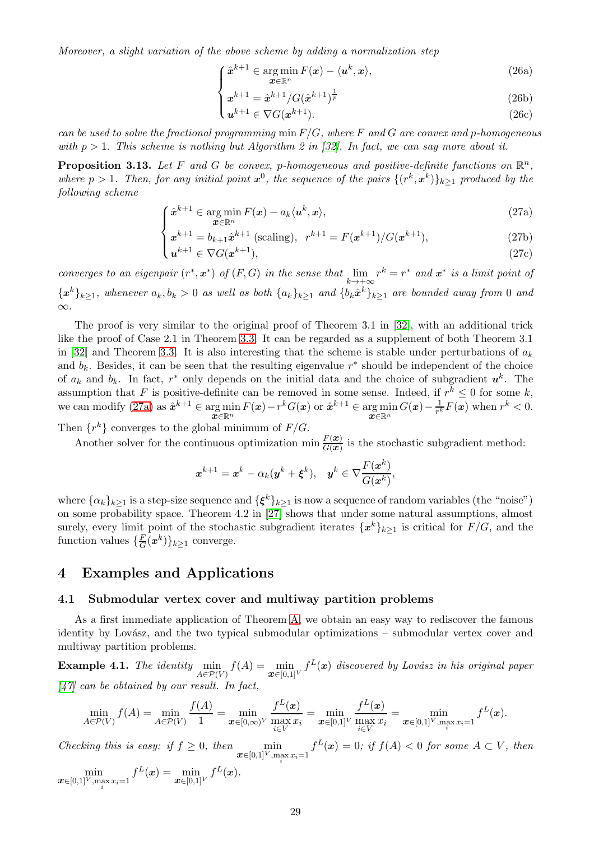Moreover, a slight variation of the above scheme by adding a normalization step

$$
\int \hat{\boldsymbol{x}}^{k+1} \in \operatorname*{arg\,min}_{\boldsymbol{x} \in \mathbb{R}^n} F(\boldsymbol{x}) - \langle \boldsymbol{u}^k, \boldsymbol{x} \rangle,\tag{26a}
$$

$$
x^{k+1} = \hat{x}^{k+1} / G(\hat{x}^{k+1})^{\frac{1}{p}}
$$
\n(26b)

$$
\begin{pmatrix}\n x & -x & 0 \\
 x & 1\n\end{pmatrix} \in \nabla G(x^{k+1}).\n\tag{26c}
$$

can be used to solve the fractional programming  $\min F/G$ , where F and G are convex and p-homogeneous with  $p > 1$ . This scheme is nothing but Algorithm 2 in [\[32\]](#page-42-10). In fact, we can say more about it.

**Proposition 3.13.** Let F and G be convex, p-homogeneous and positive-definite functions on  $\mathbb{R}^n$ , where  $p > 1$ . Then, for any initial point  $x^0$ , the sequence of the pairs  $\{(r^k, x^k)\}_{k \geq 1}$  produced by the following scheme

$$
\int \hat{\mathbf{x}}^{k+1} \in \arg\min_{\mathbf{x} \in \mathbb{R}^n} F(\mathbf{x}) - a_k \langle \mathbf{u}^k, \mathbf{x} \rangle,\tag{27a}
$$

$$
\begin{cases} x^{k+1} = b_{k+1} \hat{x}^{k+1} \text{ (scaling)}, \ \ r^{k+1} = F(x^{k+1}) / G(x^{k+1}),\\ u^{k+1} \in \nabla G(x^{k+1}). \end{cases} \tag{27b}
$$

$$
\mathbf{u}^{k+1} \in \nabla G(\mathbf{x}^{k+1}),\tag{27c}
$$

<span id="page-28-2"></span>converges to an eigenpair  $(r^*, \mathbf{x}^*)$  of  $(F, G)$  in the sense that  $\lim_{k \to +\infty} r^k = r^*$  and  $\mathbf{x}^*$  is a limit point of  ${x^k}_{k\geq 1}$ , whenever  $a_k, b_k > 0$  as well as both  ${a_k}_{k\geq 1}$  and  ${b_k \hat{x}^k}_{k\geq 1}$  are bounded away from 0 and ∞.

The proof is very similar to the original proof of Theorem 3.1 in [\[32\]](#page-42-10), with an additional trick like the proof of Case 2.1 in Theorem [3.3.](#page-24-0) It can be regarded as a supplement of both Theorem 3.1 in [\[32\]](#page-42-10) and Theorem [3.3.](#page-24-0) It is also interesting that the scheme is stable under perturbations of  $a_k$ and  $b_k$ . Besides, it can be seen that the resulting eigenvalue  $r^*$  should be independent of the choice of  $a_k$  and  $b_k$ . In fact,  $r^*$  only depends on the initial data and the choice of subgradient  $u^k$ . The assumption that F is positive-definite can be removed in some sense. Indeed, if  $r^k \leq 0$  for some k, we can modify [\(27a\)](#page-28-2) as  $\hat{\mathbf{x}}^{k+1} \in \argmin_{\mathbf{x} \in \mathbb{R}^n} F(\mathbf{x}) - r^k G(\mathbf{x})$  or  $\hat{\mathbf{x}}^{k+1} \in \argmin_{\mathbf{x} \in \mathbb{R}^n} G(\mathbf{x}) - \frac{1}{r^k}$  $\mathbf{x} \in \mathbb{R}^n$  $\frac{1}{r^k}F(x)$  when  $r^k < 0$ .

Then  $\{r^k\}$  converges to the global minimum of  $F/G$ .

Another solver for the continuous optimization  $\min \frac{F(x)}{G(x)}$  is the stochastic subgradient method:

$$
\boldsymbol{x}^{k+1} = \boldsymbol{x}^k - \alpha_k (\boldsymbol{y}^k + \boldsymbol{\xi}^k), \quad \boldsymbol{y}^k \in \nabla \frac{F(\boldsymbol{x}^k)}{G(\boldsymbol{x}^k)},
$$

where  $\{\alpha_k\}_{k\geq 1}$  is a step-size sequence and  $\{\boldsymbol{\xi}^k\}_{k\geq 1}$  is now a sequence of random variables (the "noise") on some probability space. Theorem 4.2 in [\[27\]](#page-42-14) shows that under some natural assumptions, almost surely, every limit point of the stochastic subgradient iterates  $\{x^k\}_{k\geq 1}$  is critical for  $F/G$ , and the function values  $\{\frac{F}{G}\}$  $\frac{F}{G}(x^k)\}_{k\geq 1}$  converge.

# <span id="page-28-0"></span>4 Examples and Applications

#### <span id="page-28-1"></span>4.1 Submodular vertex cover and multiway partition problems

As a first immediate application of Theorem [A,](#page-4-0) we obtain an easy way to rediscover the famous identity by Lovász, and the two typical submodular optimizations – submodular vertex cover and multiway partition problems.

**Example 4.1.** The identity  $\min_{A \in \mathcal{P}(V)} f(A) = \min_{\mathbf{x} \in [0,1]^V} f^L(\mathbf{x})$  discovered by Lovász in his original paper  $[47]$  can be obtained by our result. In fact,

$$
\min_{A \in \mathcal{P}(V)} f(A) = \min_{A \in \mathcal{P}(V)} \frac{f(A)}{1} = \min_{\mathbf{x} \in [0,\infty)} \frac{f^L(\mathbf{x})}{\max_{i \in V} x_i} = \min_{\mathbf{x} \in [0,1]^V} \frac{f^L(\mathbf{x})}{\max_{i \in V} x_i} = \min_{\mathbf{x} \in [0,1]^V, \max_i x_i = 1} f^L(\mathbf{x}).
$$

Checking this is easy: if  $f \geq 0$ , then  $\min_{\mathbf{x} \in [0,1]^V, \max_i x_i = 1} f^L(\mathbf{x}) = 0$ ; if  $f(A) < 0$  for some  $A \subset V$ , then

 $\min_{\boldsymbol{x}\in[0,1]^V,\max\limits_i x_i=1}f^L(\boldsymbol{x})=\min\limits_{\boldsymbol{x}\in[0,1]^V}f^L(\boldsymbol{x}).$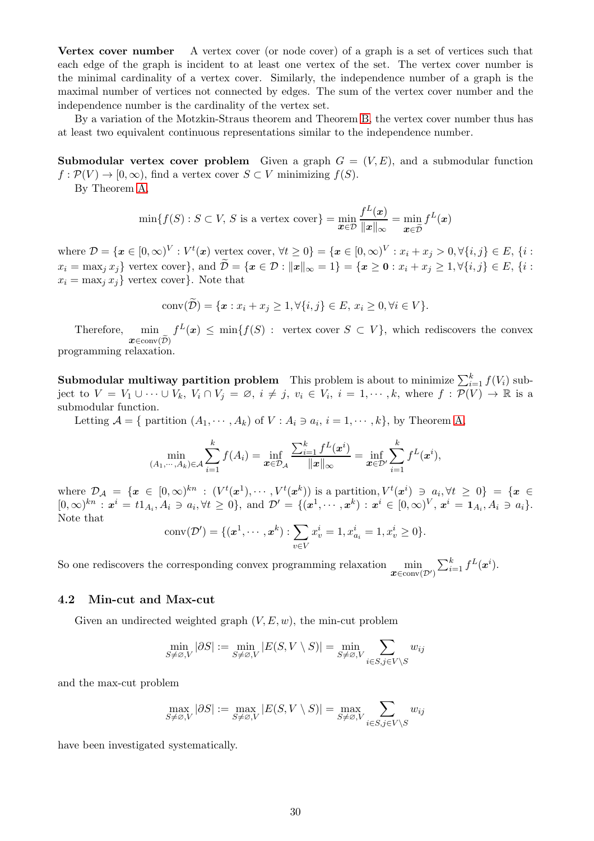Vertex cover number A vertex cover (or node cover) of a graph is a set of vertices such that each edge of the graph is incident to at least one vertex of the set. The vertex cover number is the minimal cardinality of a vertex cover. Similarly, the independence number of a graph is the maximal number of vertices not connected by edges. The sum of the vertex cover number and the independence number is the cardinality of the vertex set.

By a variation of the Motzkin-Straus theorem and Theorem [B,](#page-4-1) the vertex cover number thus has at least two equivalent continuous representations similar to the independence number.

**Submodular vertex cover problem** Given a graph  $G = (V, E)$ , and a submodular function  $f : \mathcal{P}(V) \to [0,\infty)$ , find a vertex cover  $S \subset V$  minimizing  $f(S)$ .

By Theorem [A,](#page-4-0)

$$
\min\{f(S) : S \subset V, S \text{ is a vertex cover}\} = \min_{\mathbf{x} \in \mathcal{D}} \frac{f^L(\mathbf{x})}{\|\mathbf{x}\|_{\infty}} = \min_{\mathbf{x} \in \widehat{\mathcal{D}}} f^L(\mathbf{x})
$$

where  $\mathcal{D} = \{ \boldsymbol{x} \in [0, \infty)^V : V^t(\boldsymbol{x}) \text{ vertex cover, } \forall t \geq 0 \} = \{ \boldsymbol{x} \in [0, \infty)^V : x_i + x_j > 0, \forall \{i, j\} \in E, \{i : j \in I\} \}$  $x_i = \max_j x_j$  vertex cover , and  $\widetilde{\mathcal{D}} = \{x \in \mathcal{D} : ||x||_{\infty} = 1\} = \{x \geq 0 : x_i + x_j \geq 1, \forall \{i, j\} \in E, \{i : j\} \in E\}$  $x_i = \max_i x_i$  vertex cover }. Note that

conv(
$$
\mathcal{D}
$$
) = { $\bm{x} : x_i + x_j \ge 1, \forall \{i, j\} \in E, x_i \ge 0, \forall i \in V\}.$ 

Therefore.  $\boldsymbol{x} \in \text{conv}(\widetilde{\mathcal{D}})$  $f^L(x) \leq \min\{f(S) : \text{vertex cover } S \subset V\},\$  which rediscovers the convex

programming relaxation.

**Submodular multiway partition problem** This problem is about to minimize  $\sum_{i=1}^{k} f(V_i)$  subject to  $V = V_1 \cup \cdots \cup V_k$ ,  $V_i \cap V_j = \emptyset$ ,  $i \neq j$ ,  $v_i \in V_i$ ,  $i = 1, \dots, k$ , where  $f : \mathcal{P}(V) \to \mathbb{R}$  is a submodular function.

Letting  $\mathcal{A} = \{$  partition  $(A_1, \dots, A_k)$  of  $V : A_i \ni a_i, i = 1, \dots, k\}$ , by Theorem [A,](#page-4-0)

$$
\min_{(A_1,\dots,A_k)\in\mathcal{A}} \sum_{i=1}^k f(A_i) = \inf_{\bm{x}\in\mathcal{D}_{\mathcal{A}}} \frac{\sum_{i=1}^k f^L(\bm{x}^i)}{\|\bm{x}\|_{\infty}} = \inf_{\bm{x}\in\mathcal{D}'} \sum_{i=1}^k f^L(\bm{x}^i),
$$

where  $\mathcal{D}_\mathcal{A} = \{\mathbf{x} \in [0,\infty)^{kn} : (V^t(\mathbf{x}^1), \cdots, V^t(\mathbf{x}^k)) \text{ is a partition}, V^t(\mathbf{x}^i) \ni a_i, \forall t \geq 0\} = \{\mathbf{x} \in \mathcal{A}\}$  $[0,\infty)^{kn} : x^i = t1_{A_i}, A_i \ni a_i, \forall t \ge 0\}, \text{ and } \mathcal{D}' = \{ (x^1, \dots, x^k) : x^i \in [0,\infty)^V, x^i = 1_{A_i}, A_i \ni a_i \}.$ Note that

conv(
$$
\mathcal{D}'
$$
) = { $(x^1, \dots, x^k)$  :  $\sum_{v \in V} x_v^i = 1, x_{a_i}^i = 1, x_v^i \ge 0$  }.

So one rediscovers the corresponding convex programming relaxation  $\min_{\mathbf{x} \in \text{conv}(\mathcal{D}')}$  $\sum_{i=1}^k f^L(\boldsymbol{x}^i).$ 

#### <span id="page-29-0"></span>4.2 Min-cut and Max-cut

Given an undirected weighted graph  $(V, E, w)$ , the min-cut problem

$$
\min_{S \neq \varnothing, V} |\partial S| := \min_{S \neq \varnothing, V} |E(S, V \setminus S)| = \min_{S \neq \varnothing, V} \sum_{i \in S, j \in V \setminus S} w_{ij}
$$

and the max-cut problem

$$
\max_{S \neq \varnothing, V} |\partial S| := \max_{S \neq \varnothing, V} |E(S, V \setminus S)| = \max_{S \neq \varnothing, V} \sum_{i \in S, j \in V \setminus S} w_{ij}
$$

have been investigated systematically.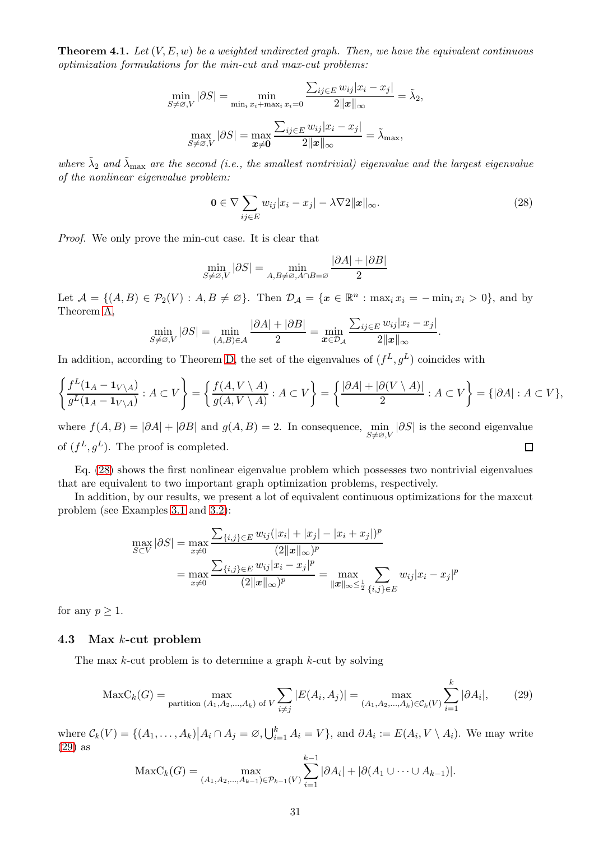<span id="page-30-1"></span>**Theorem 4.1.** Let  $(V, E, w)$  be a weighted undirected graph. Then, we have the equivalent continuous optimization formulations for the min-cut and max-cut problems:

$$
\min_{S \neq \varnothing, V} |\partial S| = \min_{\min_i x_i + \max_i x_i = 0} \frac{\sum_{ij \in E} w_{ij} |x_i - x_j|}{2 ||\mathbf{x}||_{\infty}} = \tilde{\lambda}_2,
$$
\n
$$
\max_{S \neq \varnothing, V} |\partial S| = \max_{\mathbf{x} \neq \mathbf{0}} \frac{\sum_{ij \in E} w_{ij} |x_i - x_j|}{2 ||\mathbf{x}||_{\infty}} = \tilde{\lambda}_{\max},
$$

where  $\tilde{\lambda}_2$  and  $\tilde{\lambda}_{\max}$  are the second (i.e., the smallest nontrivial) eigenvalue and the largest eigenvalue of the nonlinear eigenvalue problem:

<span id="page-30-2"></span>
$$
\mathbf{0} \in \nabla \sum_{ij \in E} w_{ij} |x_i - x_j| - \lambda \nabla 2 \|x\|_{\infty}.
$$
 (28)

Proof. We only prove the min-cut case. It is clear that

$$
\min_{S \neq \varnothing, V} |\partial S| = \min_{A, B \neq \varnothing, A \cap B = \varnothing} \frac{|\partial A| + |\partial B|}{2}
$$

Let  $\mathcal{A} = \{(A, B) \in \mathcal{P}_2(V) : A, B \neq \emptyset\}$ . Then  $\mathcal{D}_\mathcal{A} = \{\mathbf{x} \in \mathbb{R}^n : \max_i x_i = -\min_i x_i > 0\}$ , and by Theorem [A,](#page-4-0)

$$
\min_{S \neq \varnothing, V} |\partial S| = \min_{(A, B) \in \mathcal{A}} \frac{|\partial A| + |\partial B|}{2} = \min_{\mathbf{x} \in \mathcal{D}_{\mathcal{A}}} \frac{\sum_{ij \in E} w_{ij} |x_i - x_j|}{2\|\mathbf{x}\|_{\infty}}.
$$

In addition, according to Theorem [D,](#page-6-1) the set of the eigenvalues of  $(f^L, g^L)$  coincides with

$$
\left\{\frac{f^L(\mathbf{1}_A - \mathbf{1}_{V \setminus A})}{g^L(\mathbf{1}_A - \mathbf{1}_{V \setminus A})} : A \subset V\right\} = \left\{\frac{f(A, V \setminus A)}{g(A, V \setminus A)} : A \subset V\right\} = \left\{\frac{|\partial A| + |\partial(V \setminus A)|}{2} : A \subset V\right\} = \{|\partial A| : A \subset V\},\
$$

where  $f(A, B) = |\partial A| + |\partial B|$  and  $g(A, B) = 2$ . In consequence,  $\min_{S \neq \emptyset, V} |\partial S|$  is the second eigenvalue of  $(f^L, g^L)$ . The proof is completed.  $\Box$ 

Eq. [\(28\)](#page-30-2) shows the first nonlinear eigenvalue problem which possesses two nontrivial eigenvalues that are equivalent to two important graph optimization problems, respectively.

In addition, by our results, we present a lot of equivalent continuous optimizations for the maxcut problem (see Examples [3.1](#page-14-2) and [3.2\)](#page-15-1):

$$
\max_{S \subset V} |\partial S| = \max_{x \neq 0} \frac{\sum_{\{i,j\} \in E} w_{ij} (|x_i| + |x_j| - |x_i + x_j|)^p}{(2||x||_{\infty})^p}
$$
  
= 
$$
\max_{x \neq 0} \frac{\sum_{\{i,j\} \in E} w_{ij} |x_i - x_j|^p}{(2||x||_{\infty})^p} = \max_{\|x\|_{\infty} \le \frac{1}{2}} \sum_{\{i,j\} \in E} w_{ij} |x_i - x_j|^p
$$

for any  $p \geq 1$ .

## <span id="page-30-0"></span>4.3 Max k-cut problem

The max  $k$ -cut problem is to determine a graph  $k$ -cut by solving

<span id="page-30-3"></span>
$$
\text{MaxC}_k(G) = \max_{\text{partition } (A_1, A_2, ..., A_k) \text{ of } V} \sum_{i \neq j} |E(A_i, A_j)| = \max_{(A_1, A_2, ..., A_k) \in \mathcal{C}_k(V)} \sum_{i=1}^k |\partial A_i|, \tag{29}
$$

where  $\mathcal{C}_k(V) = \{(A_1, \ldots, A_k) | A_i \cap A_j = \emptyset, \bigcup_{i=1}^k A_i = V\}$ , and  $\partial A_i := E(A_i, V \setminus A_i)$ . We may write [\(29\)](#page-30-3) as

$$
\text{MaxC}_k(G) = \max_{(A_1, A_2, \dots, A_{k-1}) \in \mathcal{P}_{k-1}(V)} \sum_{i=1}^{k-1} |\partial A_i| + |\partial (A_1 \cup \dots \cup A_{k-1})|.
$$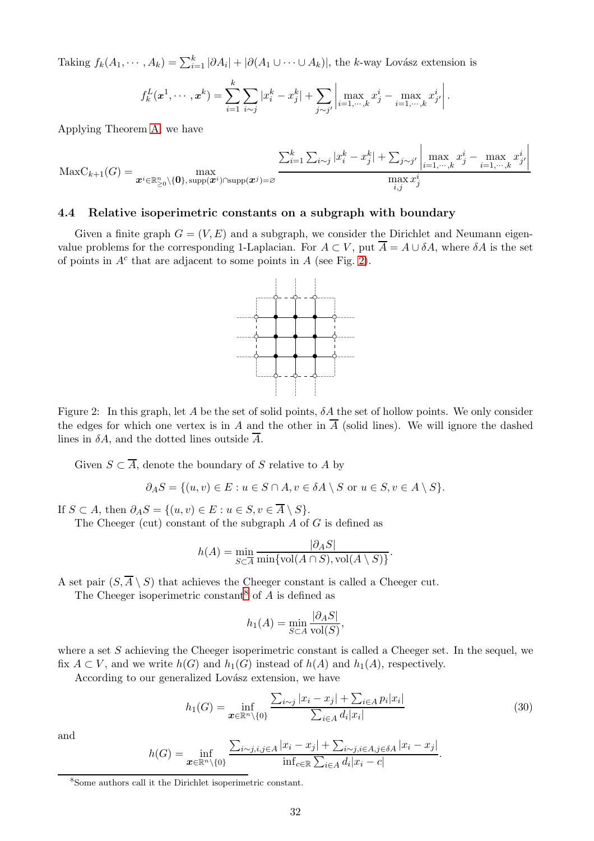Taking  $f_k(A_1, \dots, A_k) = \sum_{i=1}^k |\partial A_i| + |\partial (A_1 \cup \dots \cup A_k)|$ , the k-way Lovász extension is

$$
f_k^L(\mathbf{x}^1, \cdots, \mathbf{x}^k) = \sum_{i=1}^k \sum_{i \sim j} |x_i^k - x_j^k| + \sum_{j \sim j'} \left| \max_{i=1,\cdots,k} x_j^i - \max_{i=1,\cdots,k} x_{j'}^i \right|.
$$

Applying Theorem [A,](#page-4-0) we have

$$
\text{MaxC}_{k+1}(G) = \max_{\mathbf{x}^i \in \mathbb{R}_{\geq 0}^n \setminus \{\mathbf{0}\}, \, \text{supp}(\mathbf{x}^i) \cap \text{supp}(\mathbf{x}^j) = \varnothing} \frac{\sum_{i=1}^k \sum_{i \sim j} |x_i^k - x_j^k| + \sum_{j \sim j'} \left| \max_{i=1,\dots,k} x_j^i - \max_{i=1,\dots,k} x_{j'}^{i} \right|}{\max_{i,j} x_j^i}
$$

#### <span id="page-31-0"></span>4.4 Relative isoperimetric constants on a subgraph with boundary

<span id="page-31-1"></span>Given a finite graph  $G = (V, E)$  and a subgraph, we consider the Dirichlet and Neumann eigenvalue problems for the corresponding 1-Laplacian. For  $A \subset V$ , put  $\overline{A} = A \cup \delta A$ , where  $\delta A$  is the set of points in  $A<sup>c</sup>$  that are adjacent to some points in A (see Fig. [2\)](#page-31-1).



Figure 2: In this graph, let A be the set of solid points,  $\delta A$  the set of hollow points. We only consider the edges for which one vertex is in A and the other in  $\overline{A}$  (solid lines). We will ignore the dashed lines in  $\delta A$ , and the dotted lines outside  $\overline{A}$ .

Given  $S \subset \overline{A}$ , denote the boundary of S relative to A by

$$
\partial_AS = \{(u,v) \in E : u \in S \cap A, v \in \delta A \setminus S \text{ or } u \in S, v \in A \setminus S\}.
$$

If  $S \subset A$ , then  $\partial_A S = \{(u, v) \in E : u \in S, v \in \overline{A} \setminus S\}.$ 

The Cheeger (cut) constant of the subgraph  $A$  of  $G$  is defined as

$$
h(A) = \min_{S \subset \overline{A}} \frac{|\partial_A S|}{\min\{\text{vol}(A \cap S), \text{vol}(A \setminus S)\}}.
$$

A set pair  $(S, \overline{A} \setminus S)$  that achieves the Cheeger constant is called a Cheeger cut.

The Cheeger isoperimetric constant<sup>[8](#page-31-2)</sup> of  $A$  is defined as

$$
h_1(A) = \min_{S \subset A} \frac{|\partial_A S|}{\text{vol}(S)},
$$

where a set  $S$  achieving the Cheeger isoperimetric constant is called a Cheeger set. In the sequel, we fix  $A \subset V$ , and we write  $h(G)$  and  $h_1(G)$  instead of  $h(A)$  and  $h_1(A)$ , respectively.

According to our generalized Lovász extension, we have

<span id="page-31-3"></span>
$$
h_1(G) = \inf_{\mathbf{x} \in \mathbb{R}^n \setminus \{0\}} \frac{\sum_{i \sim j} |x_i - x_j| + \sum_{i \in A} p_i |x_i|}{\sum_{i \in A} d_i |x_i|} \tag{30}
$$

.

and

$$
h(G) = \inf_{\mathbf{x} \in \mathbb{R}^n \setminus \{0\}} \frac{\sum_{i \sim j, i, j \in A} |x_i - x_j| + \sum_{i \sim j, i \in A, j \in \delta A} |x_i - x_j|}{\inf_{c \in \mathbb{R}} \sum_{i \in A} d_i |x_i - c|}
$$

<span id="page-31-2"></span><sup>8</sup> Some authors call it the Dirichlet isoperimetric constant.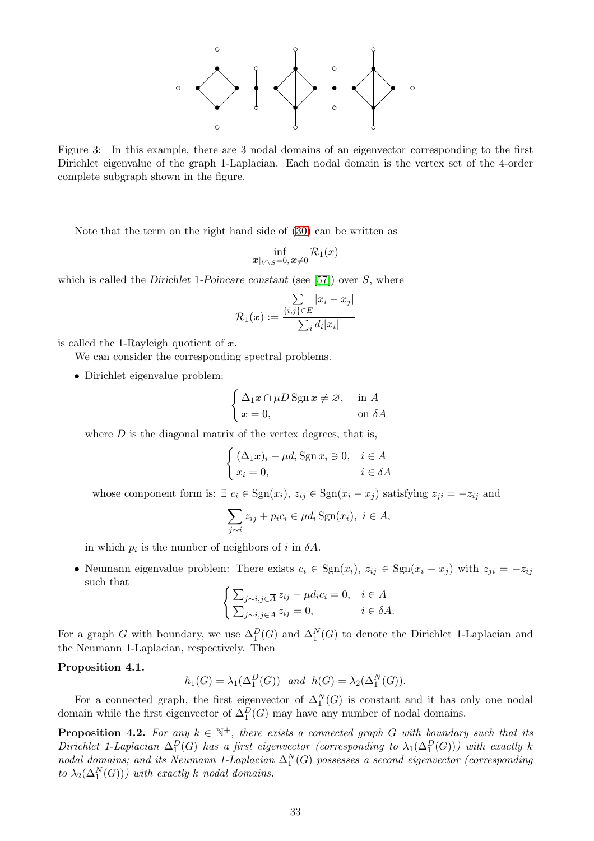

Figure 3: In this example, there are 3 nodal domains of an eigenvector corresponding to the first Dirichlet eigenvalue of the graph 1-Laplacian. Each nodal domain is the vertex set of the 4-order complete subgraph shown in the figure.

Note that the term on the right hand side of [\(30\)](#page-31-3) can be written as

$$
\inf_{\bm{x}|_{V\setminus S}=0, \bm{x}\neq 0} \mathcal{R}_1(x)
$$

which is called the Dirichlet 1-Poincare constant (see [\[57\]](#page-43-12)) over  $S$ , where

$$
\mathcal{R}_1(\boldsymbol{x}) := \frac{\sum\limits_{\{i,j\} \in E} |x_i - x_j|}{\sum\limits_{i} d_i |x_i|}
$$

is called the 1-Rayleigh quotient of  $x$ .

We can consider the corresponding spectral problems.

• Dirichlet eigenvalue problem:

$$
\begin{cases} \Delta_1 x \cap \mu D \operatorname{Sgn} x \neq \varnothing, & \text{in } A \\ x = 0, & \text{on } \delta A \end{cases}
$$

where  $D$  is the diagonal matrix of the vertex degrees, that is,

$$
\begin{cases} (\Delta_1 x)_i - \mu d_i \operatorname{Sgn} x_i \ni 0, & i \in A \\ x_i = 0, & i \in \delta A \end{cases}
$$

whose component form is:  $\exists c_i \in \text{Sgn}(x_i), z_{ij} \in \text{Sgn}(x_i - x_j)$  satisfying  $z_{ji} = -z_{ij}$  and

$$
\sum_{j\sim i} z_{ij} + p_i c_i \in \mu d_i \operatorname{Sgn}(x_i), \ i \in A,
$$

in which  $p_i$  is the number of neighbors of i in  $\delta A$ .

• Neumann eigenvalue problem: There exists  $c_i \in \text{Sgn}(x_i)$ ,  $z_{ij} \in \text{Sgn}(x_i - x_j)$  with  $z_{ji} = -z_{ij}$ such that

$$
\begin{cases} \sum_{j \sim i, j \in \overline{A}} z_{ij} - \mu d_i c_i = 0, & i \in A \\ \sum_{j \sim i, j \in A} z_{ij} = 0, & i \in \delta A. \end{cases}
$$

For a graph G with boundary, we use  $\Delta_1^D(G)$  and  $\Delta_1^N(G)$  to denote the Dirichlet 1-Laplacian and the Neumann 1-Laplacian, respectively. Then

#### Proposition 4.1.

$$
h_1(G) = \lambda_1(\Delta_1^D(G))
$$
 and  $h(G) = \lambda_2(\Delta_1^N(G)).$ 

For a connected graph, the first eigenvector of  $\Delta_1^N(G)$  is constant and it has only one nodal domain while the first eigenvector of  $\Delta_1^D(G)$  may have any number of nodal domains.

**Proposition 4.2.** For any  $k \in \mathbb{N}^+$ , there exists a connected graph G with boundary such that its Dirichlet 1-Laplacian  $\Delta_1^D(G)$  has a first eigenvector (corresponding to  $\lambda_1(\Delta_1^D(G))$ ) with exactly k nodal domains; and its Neumann 1-Laplacian  $\Delta_1^N(G)$  possesses a second eigenvector (corresponding to  $\lambda_2(\Delta_1^N(G))$ ) with exactly k nodal domains.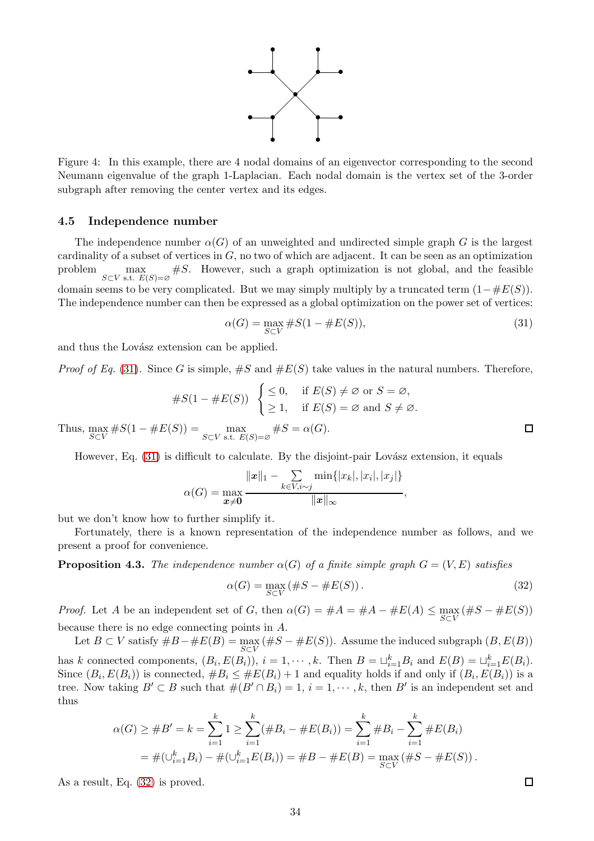

Figure 4: In this example, there are 4 nodal domains of an eigenvector corresponding to the second Neumann eigenvalue of the graph 1-Laplacian. Each nodal domain is the vertex set of the 3-order subgraph after removing the center vertex and its edges.

#### <span id="page-33-0"></span>4.5 Independence number

The independence number  $\alpha(G)$  of an unweighted and undirected simple graph G is the largest cardinality of a subset of vertices in  $G$ , no two of which are adjacent. It can be seen as an optimization problem  $\max_{S \subset V \text{ s.t. } E(S) = \varnothing}$  #S. However, such a graph optimization is not global, and the feasible domain seems to be very complicated. But we may simply multiply by a truncated term  $(1-\#E(S))$ . The independence number can then be expressed as a global optimization on the power set of vertices:

<span id="page-33-1"></span>
$$
\alpha(G) = \max_{S \subset V} \#S(1 - \#E(S)),\tag{31}
$$

and thus the Lovász extension can be applied.

*Proof of Eq.* [\(31\)](#page-33-1). Since G is simple,  $\#S$  and  $\#E(S)$  take values in the natural numbers. Therefore,

#S(1 <sup>−</sup> #E(S)) ( ≤ 0, if E(S) 6= ∅ or S = ∅, ≥ 1, if E(S) = ∅ and S 6= ∅.

Thus,  $\max_{S \subset V} \#S(1 - \#E(S)) = \max_{S \subset V \text{ s.t. } E(S) = \varnothing} \#S = \alpha(G).$ 

However, Eq.  $(31)$  is difficult to calculate. By the disjoint-pair Lovász extension, it equals

$$
\alpha(G) = \max_{\mathbf{x} \neq \mathbf{0}} \frac{\|\mathbf{x}\|_1 - \sum_{k \in V, i \sim j} \min\{|x_k|, |x_i|, |x_j|\}}{\|\mathbf{x}\|_{\infty}},
$$

but we don't know how to further simplify it.

Fortunately, there is a known representation of the independence number as follows, and we present a proof for convenience.

**Proposition 4.3.** The independence number  $\alpha(G)$  of a finite simple graph  $G = (V, E)$  satisfies

<span id="page-33-2"></span>
$$
\alpha(G) = \max_{S \subset V} (\#S - \#E(S)). \tag{32}
$$

*Proof.* Let A be an independent set of G, then  $\alpha(G) = #A = #A - #E(A) \le \max_{S \subset V} (\#S - #E(S))$ because there is no edge connecting points in A.

Let  $B \subset V$  satisfy  $\#B-\#E(B) = \max_{S \subset V} (\#S-\#E(S))$ . Assume the induced subgraph  $(B, E(B))$ has k connected components,  $(B_i, E(B_i))$ ,  $i = 1, \dots, k$ . Then  $B = \sqcup_{i=1}^k B_i$  and  $E(B) = \sqcup_{i=1}^k E(B_i)$ . Since  $(B_i, E(B_i))$  is connected,  $#B_i \leq #E(B_i) + 1$  and equality holds if and only if  $(B_i, E(B_i))$  is a tree. Now taking  $B' \subset B$  such that  $\#(B' \cap B_i) = 1$ ,  $i = 1, \dots, k$ , then  $B'$  is an independent set and thus

$$
\alpha(G) \geq \#B' = k = \sum_{i=1}^{k} 1 \geq \sum_{i=1}^{k} (\#B_i - \#E(B_i)) = \sum_{i=1}^{k} \#B_i - \sum_{i=1}^{k} \#E(B_i)
$$
  
=  $\#(\cup_{i=1}^{k} B_i) - \#(\cup_{i=1}^{k} E(B_i)) = \#B - \#E(B) = \max_{S \subset V} (\#S - \#E(S)).$ 

As a result, Eq. [\(32\)](#page-33-2) is proved.

 $\Box$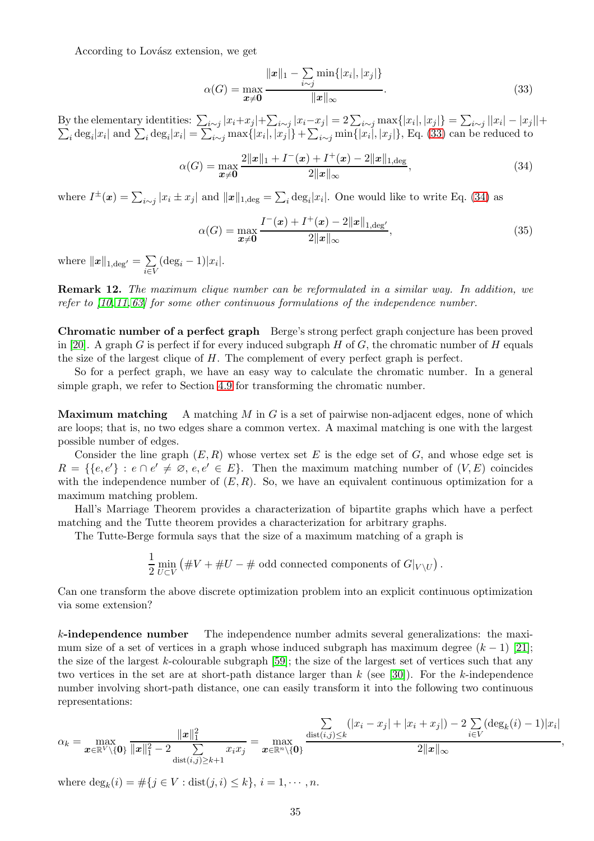According to Lovász extension, we get

<span id="page-34-0"></span>
$$
\alpha(G) = \max_{\mathbf{x} \neq \mathbf{0}} \frac{\|\mathbf{x}\|_1 - \sum_{i \sim j} \min\{|x_i|, |x_j|\}}{\|\mathbf{x}\|_{\infty}}.
$$
\n(33)

By the elementary identities:  $\sum_{i \sim j} |x_i + x_j| + \sum_{i \sim j} |x_i - x_j| = 2 \sum_{i \sim j} \max\{|x_i|, |x_j|\} = \sum_{i \sim j} ||x_i||$  $\sum$  $|-|x_j||+$  $i_{i}$  deg<sub>i</sub> $|x_i|$  and  $\sum_i$  deg<sub>i</sub> $|x_i| = \sum_{i \sim j} \max\{|x_i|, |x_j|\} + \sum_{i \sim j} \min\{|x_i|, |x_j|\}$ , Eq. [\(33\)](#page-34-0) can be reduced to

<span id="page-34-1"></span>
$$
\alpha(G) = \max_{\mathbf{x} \neq \mathbf{0}} \frac{2\|\mathbf{x}\|_1 + I^-(\mathbf{x}) + I^+(\mathbf{x}) - 2\|\mathbf{x}\|_{1, \text{deg}}}{2\|\mathbf{x}\|_{\infty}},\tag{34}
$$

where  $I^{\pm}(\boldsymbol{x}) = \sum_{i \sim j} |x_i \pm x_j|$  and  $\|\boldsymbol{x}\|_{1,\text{deg}} = \sum_i \text{deg}_i |x_i|$ . One would like to write Eq. [\(34\)](#page-34-1) as

$$
\alpha(G) = \max_{\mathbf{x} \neq \mathbf{0}} \frac{I^-(\mathbf{x}) + I^+(\mathbf{x}) - 2\|\mathbf{x}\|_{1, \text{deg}'}}{2\|\mathbf{x}\|_{\infty}},
$$
(35)

where  $||x||_{1,\text{deg'}} = \sum_{i=1}^{n}$  $\sum_{i\in V} (\deg_i - 1)|x_i|.$ 

Remark 12. The maximum clique number can be reformulated in a similar way. In addition, we refer to [\[10,](#page-41-12) [11,](#page-41-13) [63\]](#page-43-13) for some other continuous formulations of the independence number.

Chromatic number of a perfect graph Berge's strong perfect graph conjecture has been proved in [\[20\]](#page-42-20). A graph G is perfect if for every induced subgraph H of G, the chromatic number of H equals the size of the largest clique of H. The complement of every perfect graph is perfect.

So for a perfect graph, we have an easy way to calculate the chromatic number. In a general simple graph, we refer to Section [4.9](#page-40-0) for transforming the chromatic number.

**Maximum matching** A matching M in G is a set of pairwise non-adjacent edges, none of which are loops; that is, no two edges share a common vertex. A maximal matching is one with the largest possible number of edges.

Consider the line graph  $(E, R)$  whose vertex set E is the edge set of G, and whose edge set is  $R = \{ \{e, e'\} : e \cap e' \neq \emptyset, e, e' \in E \}.$  Then the maximum matching number of  $(V, E)$  coincides with the independence number of  $(E, R)$ . So, we have an equivalent continuous optimization for a maximum matching problem.

Hall's Marriage Theorem provides a characterization of bipartite graphs which have a perfect matching and the Tutte theorem provides a characterization for arbitrary graphs.

The Tutte-Berge formula says that the size of a maximum matching of a graph is

1  $rac{1}{2}$  min<br>2  $U\subset V$  $\left( \#V + \#U - \# \text{ odd connected components of } G|_{V \setminus U} \right).$ 

Can one transform the above discrete optimization problem into an explicit continuous optimization via some extension?

k-independence number The independence number admits several generalizations: the maximum size of a set of vertices in a graph whose induced subgraph has maximum degree  $(k-1)$  [\[21\]](#page-42-21); the size of the largest k-colourable subgraph [\[59\]](#page-43-14); the size of the largest set of vertices such that any two vertices in the set are at short-path distance larger than  $k$  (see [\[30\]](#page-42-22)). For the k-independence number involving short-path distance, one can easily transform it into the following two continuous representations:

$$
\alpha_k = \max_{\boldsymbol{x} \in \mathbb{R}^V \setminus \{\boldsymbol{0}\}} \frac{\|\boldsymbol{x}\|_1^2}{\|\boldsymbol{x}\|_1^2 - 2 \sum_{\text{dist}(i,j) \ge k+1} x_i x_j} = \max_{\boldsymbol{x} \in \mathbb{R}^n \setminus \{\boldsymbol{0}\}} \frac{\sum_{\text{dist}(i,j) \le k} (|x_i - x_j| + |x_i + x_j|) - 2 \sum_{i \in V} (\deg_k(i) - 1)|x_i|}{2\|\boldsymbol{x}\|_{\infty}}
$$

,

where  $\deg_k(i) = \#\{j \in V : \text{dist}(j, i) \leq k\}, i = 1, \dots, n.$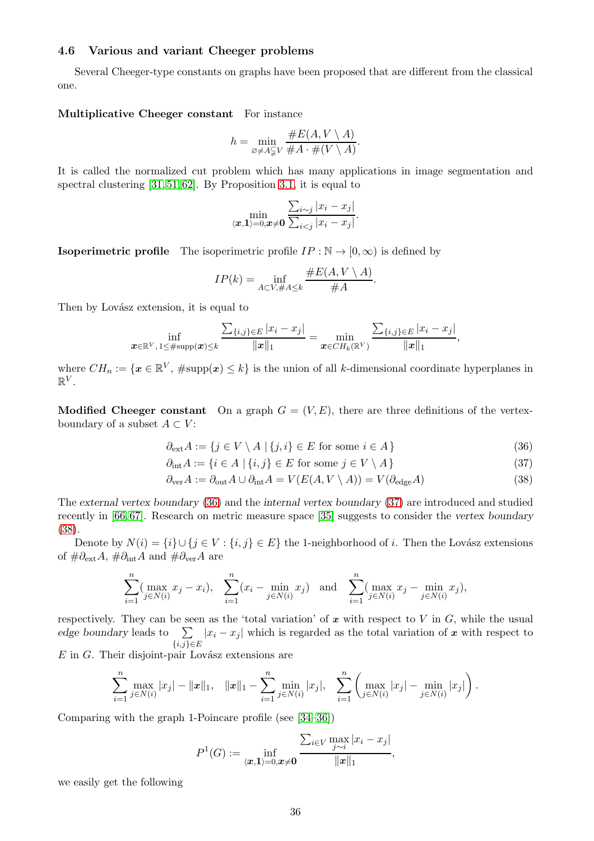## <span id="page-35-0"></span>4.6 Various and variant Cheeger problems

Several Cheeger-type constants on graphs have been proposed that are different from the classical one.

#### Multiplicative Cheeger constant For instance

$$
h = \min_{\varnothing \neq A \subsetneq V} \frac{\#E(A, V \setminus A)}{\#A \cdot \#(V \setminus A)}.
$$

It is called the normalized cut problem which has many applications in image segmentation and spectral clustering [\[31,](#page-42-0) [51,](#page-43-15) [62\]](#page-43-16). By Proposition [3.1,](#page-15-0) it is equal to

$$
\min_{\langle \boldsymbol{x}, \boldsymbol{1} \rangle = 0, \boldsymbol{x} \neq \boldsymbol{0}} \frac{\sum_{i \sim j} |x_i - x_j|}{\sum_{i < j} |x_i - x_j|}.
$$

**Isoperimetric profile** The isoperimetric profile  $IP : \mathbb{N} \to [0, \infty)$  is defined by

<span id="page-35-1"></span>
$$
IP(k) = \inf_{A \subset V, \#A \le k} \frac{\#E(A, V \setminus A)}{\#A}.
$$

Then by Lovász extension, it is equal to

$$
\inf_{\bm{x}\in\mathbb{R}^V,\,1\leq\#\text{supp}(\bm{x})\leq k}\frac{\sum_{\{i,j\}\in E}|x_i-x_j|}{\|\bm{x}\|_1}=\min_{\bm{x}\in CH_k(\mathbb{R}^V)}\frac{\sum_{\{i,j\}\in E}|x_i-x_j|}{\|\bm{x}\|_1},
$$

where  $CH_n := \{x \in \mathbb{R}^V, \# \text{supp}(x) \leq k\}$  is the union of all k-dimensional coordinate hyperplanes in  $\mathbb{R}^V$ .

**Modified Cheeger constant** On a graph  $G = (V, E)$ , there are three definitions of the vertexboundary of a subset  $A \subset V$ :

$$
\partial_{\text{ext}} A := \{ j \in V \setminus A \mid \{j, i\} \in E \text{ for some } i \in A \}
$$
\n(36)

<span id="page-35-3"></span><span id="page-35-2"></span>
$$
\partial_{\text{int}} A := \{ i \in A \mid \{i, j\} \in E \text{ for some } j \in V \setminus A \}
$$
\n(37)

$$
\partial_{\text{ver}} A := \partial_{\text{out}} A \cup \partial_{\text{int}} A = V(E(A, V \setminus A)) = V(\partial_{\text{edge}} A)
$$
\n(38)

The external vertex boundary [\(36\)](#page-35-1) and the internal vertex boundary [\(37\)](#page-35-2) are introduced and studied recently in [\[66,](#page-43-17) [67\]](#page-43-18). Research on metric measure space [\[35\]](#page-42-23) suggests to consider the vertex boundary [\(38\)](#page-35-3).

Denote by  $N(i) = \{i\} \cup \{j \in V : \{i, j\} \in E\}$  the 1-neighborhood of i. Then the Lovász extensions of  $\#\partial_{ext}A$ ,  $\#\partial_{int}A$  and  $\#\partial_{ver}A$  are

$$
\sum_{i=1}^{n} (\max_{j \in N(i)} x_j - x_i), \quad \sum_{i=1}^{n} (x_i - \min_{j \in N(i)} x_j) \quad \text{and} \quad \sum_{i=1}^{n} (\max_{j \in N(i)} x_j - \min_{j \in N(i)} x_j),
$$

respectively. They can be seen as the 'total variation' of  $x$  with respect to  $V$  in  $G$ , while the usual edge boundary leads to  $\sum$  $\sum_{\{i,j\}\in E} |x_i - x_j|$  which is regarded as the total variation of x with respect to

 $E$  in  $G$ . Their disjoint-pair Lovász extensions are

$$
\sum_{i=1}^n \max_{j \in N(i)} |x_j| - ||x||_1, \quad ||x||_1 - \sum_{i=1}^n \min_{j \in N(i)} |x_j|, \quad \sum_{i=1}^n \left( \max_{j \in N(i)} |x_j| - \min_{j \in N(i)} |x_j| \right).
$$

Comparing with the graph 1-Poincare profile (see [\[34–](#page-42-2)[36\]](#page-42-3))

$$
P^{1}(G) := \inf_{\langle \boldsymbol{x}, \boldsymbol{1} \rangle = 0, \boldsymbol{x} \neq \boldsymbol{0}} \frac{\sum_{i \in V} \max_{j \sim i} |x_{i} - x_{j}|}{\|\boldsymbol{x}\|_{1}},
$$

we easily get the following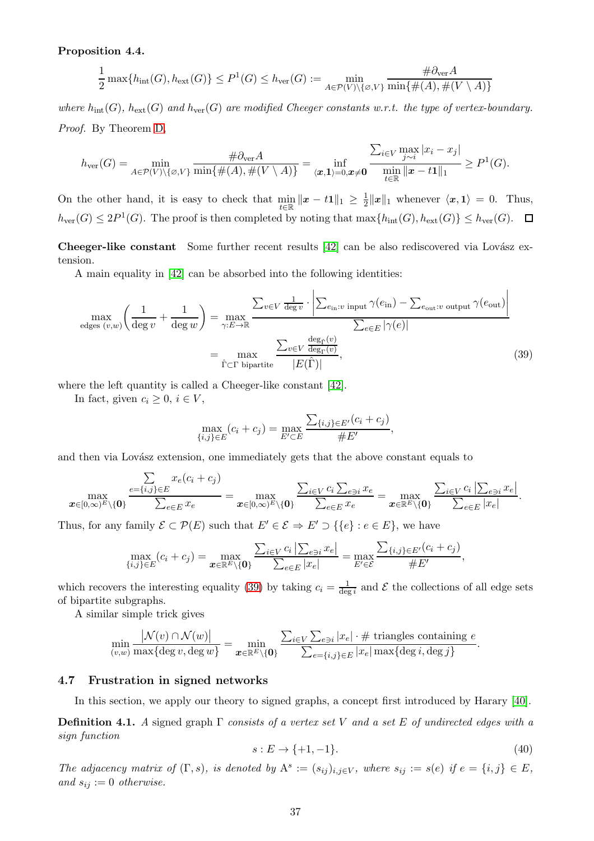### Proposition 4.4.

$$
\frac{1}{2}\max\{h_{\text{int}}(G), h_{\text{ext}}(G)\} \le P^1(G) \le h_{\text{ver}}(G) := \min_{A \in \mathcal{P}(V) \setminus \{\varnothing, V\}} \frac{\#\partial_{\text{ver}}A}{\min\{\#(A), \#(V \setminus A)\}}
$$

where  $h_{\text{int}}(G)$ ,  $h_{\text{ext}}(G)$  and  $h_{\text{ver}}(G)$  are modified Cheeger constants w.r.t. the type of vertex-boundary. Proof. By Theorem [D,](#page-6-1)

$$
h_{\mathrm{ver}}(G) = \min_{A \in \mathcal{P}(V) \setminus \{\varnothing, V\}} \frac{\#\partial_{\mathrm{ver}} A}{\min\{\#(A), \#(V \setminus A)\}} = \inf_{\langle \bm{x}, \bm{1} \rangle = 0, \bm{x} \neq \bm{0}} \frac{\sum_{i \in V} \max_{j \sim i} |x_i - x_j|}{\min_{t \in \mathbb{R}} ||\bm{x} - t\bm{1}||_1} \ge P^1(G).
$$

On the other hand, it is easy to check that  $\min_{t \in \mathbb{R}} ||x - t1||_1 \geq \frac{1}{2}$  $\frac{1}{2}||x||_1$  whenever  $\langle x, 1 \rangle = 0$ . Thus,  $h_{\text{ver}}(G) \leq 2P^1(G)$ . The proof is then completed by noting that  $\max\{h_{\text{int}}(G), h_{\text{ext}}(G)\} \leq h_{\text{ver}}(G)$ .

Cheeger-like constant Some further recent results [\[42\]](#page-42-24) can be also rediscovered via Lovász extension.

A main equality in [\[42\]](#page-42-24) can be absorbed into the following identities:

$$
\max_{\text{edges } (v,w)} \left( \frac{1}{\deg v} + \frac{1}{\deg w} \right) = \max_{\gamma: E \to \mathbb{R}} \frac{\sum_{v \in V} \frac{1}{\deg v} \cdot \left| \sum_{e_{\text{in}}: v \text{ input}} \gamma(e_{\text{in}}) - \sum_{e_{\text{out}}: v \text{ output}} \gamma(e_{\text{out}}) \right|}{\sum_{e \in E} |\gamma(e)|}
$$
\n
$$
= \max_{\hat{\Gamma} \subset \Gamma \text{ bipartite}} \frac{\sum_{v \in V} \frac{\deg_{\hat{\Gamma}}(v)}{\deg_{\Gamma}(v)}}{|E(\hat{\Gamma})|},
$$
\n(39)

where the left quantity is called a Cheeger-like constant [\[42\]](#page-42-24).

In fact, given  $c_i \geq 0, i \in V$ ,

<span id="page-36-1"></span>
$$
\max_{\{i,j\} \in E} (c_i + c_j) = \max_{E' \subset E} \frac{\sum_{\{i,j\} \in E'} (c_i + c_j)}{\# E'},
$$

and then via Lovász extension, one immediately gets that the above constant equals to

$$
\max_{\boldsymbol{x}\in[0,\infty)^E\setminus\{\boldsymbol{0}\}}\frac{\sum\limits_{e=\{i,j\}\in E}x_e(c_i+c_j)}{\sum_{e\in E}x_e}=\max_{\boldsymbol{x}\in[0,\infty)^E\setminus\{\boldsymbol{0}\}}\frac{\sum_{i\in V}c_i\sum_{e\ni i}x_e}{\sum_{e\in E}x_e}=\max_{\boldsymbol{x}\in\mathbb{R}^E\setminus\{\boldsymbol{0}\}}\frac{\sum_{i\in V}c_i\left|\sum_{e\ni i}x_e\right|}{\sum_{e\in E}|x_e|}.
$$

Thus, for any family  $\mathcal{E} \subset \mathcal{P}(E)$  such that  $E' \in \mathcal{E} \Rightarrow E' \supset {\{e\}} : e \in E$ , we have

$$
\max_{\{i,j\}\in E} (c_i + c_j) = \max_{\bm{x}\in \mathbb{R}^E\setminus\{\bm{0}\}} \frac{\sum_{i\in V} c_i |\sum_{e \ni i} x_e|}{\sum_{e \in E} |x_e|} = \max_{E' \in \mathcal{E}} \frac{\sum_{\{i,j\}\in E'} (c_i + c_j)}{\#E'},
$$

which recovers the interesting equality [\(39\)](#page-36-1) by taking  $c_i = \frac{1}{\deg i}$  and  $\mathcal E$  the collections of all edge sets of bipartite subgraphs.

A similar simple trick gives

$$
\min_{(v,w)} \frac{|\mathcal{N}(v) \cap \mathcal{N}(w)|}{\max\{\deg v, \deg w\}} = \min_{\boldsymbol{x} \in \mathbb{R}^E \setminus \{\boldsymbol{0}\}} \frac{\sum_{i \in V} \sum_{e \ni i} |x_e| \cdot \# \text{ triangles containing } e}{\sum_{e = \{i,j\} \in E} |x_e| \max\{\deg i, \deg j\}}.
$$

#### <span id="page-36-0"></span>4.7 Frustration in signed networks

In this section, we apply our theory to signed graphs, a concept first introduced by Harary [\[40\]](#page-42-25).

**Definition 4.1.** A signed graph  $\Gamma$  consists of a vertex set V and a set E of undirected edges with a sign function

$$
s: E \to \{+1, -1\}.\tag{40}
$$

The adjacency matrix of  $(\Gamma, s)$ , is denoted by  $A^s := (s_{ij})_{i,j \in V}$ , where  $s_{ij} := s(e)$  if  $e = \{i, j\} \in E$ , and  $s_{ij} := 0$  otherwise.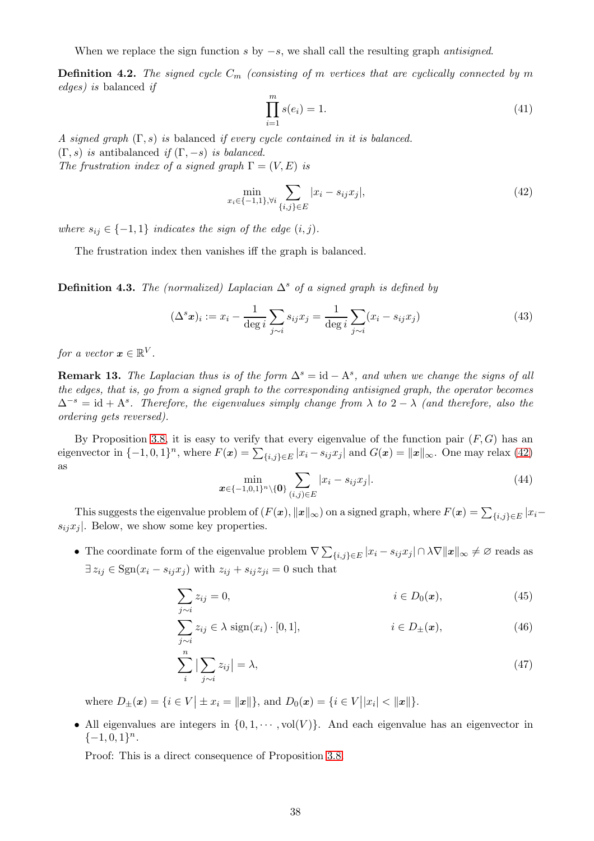When we replace the sign function s by  $-s$ , we shall call the resulting graph *antisigned*.

**Definition 4.2.** The signed cycle  $C_m$  (consisting of m vertices that are cyclically connected by m edges) is balanced if

$$
\prod_{i=1}^{m} s(e_i) = 1.
$$
\n(41)

A signed graph  $(\Gamma, s)$  is balanced if every cycle contained in it is balanced.  $(\Gamma, s)$  is antibalanced if  $(\Gamma, -s)$  is balanced.

The frustration index of a signed graph  $\Gamma = (V, E)$  is

<span id="page-37-0"></span>
$$
\min_{x_i \in \{-1,1\}, \forall i} \sum_{\{i,j\} \in E} |x_i - s_{ij} x_j|,\tag{42}
$$

where  $s_{ij} \in \{-1,1\}$  indicates the sign of the edge  $(i, j)$ .

The frustration index then vanishes iff the graph is balanced.

**Definition 4.3.** The (normalized) Laplacian  $\Delta^s$  of a signed graph is defined by

$$
(\Delta^s x)_i := x_i - \frac{1}{\deg i} \sum_{j \sim i} s_{ij} x_j = \frac{1}{\deg i} \sum_{j \sim i} (x_i - s_{ij} x_j)
$$
(43)

for a vector  $\mathbf{x} \in \mathbb{R}^V$ .

**Remark 13.** The Laplacian thus is of the form  $\Delta^s = id - A^s$ , and when we change the signs of all the edges, that is, go from a signed graph to the corresponding antisigned graph, the operator becomes  $\Delta^{-s} = id + A^s$ . Therefore, the eigenvalues simply change from  $\lambda$  to  $2 - \lambda$  (and therefore, also the ordering gets reversed).

By Proposition [3.8,](#page-19-0) it is easy to verify that every eigenvalue of the function pair  $(F, G)$  has an eigenvector in  $\{-1,0,1\}^n$ , where  $F(\mathbf{x}) = \sum_{\{i,j\} \in E} |x_i - s_{ij}x_j|$  and  $G(\mathbf{x}) = ||\mathbf{x}||_{\infty}$ . One may relax [\(42\)](#page-37-0) as

<span id="page-37-3"></span><span id="page-37-1"></span>
$$
\min_{\boldsymbol{x} \in \{-1,0,1\}^n \setminus \{\boldsymbol{0}\}} \sum_{(i,j) \in E} |x_i - s_{ij} x_j|.
$$
\n(44)

This suggests the eigenvalue problem of  $(F(\mathbf{x}), \|\mathbf{x}\|_{\infty})$  on a signed graph, where  $F(\mathbf{x}) = \sum_{\{i,j\} \in E} |x_i - x_j|$  $s_{ij}x_j$ . Below, we show some key properties.

• The coordinate form of the eigenvalue problem  $\nabla \sum_{\{i,j\} \in E} |x_i - s_{ij} x_j| \cap \lambda \nabla ||x||_{\infty} \neq \varnothing$  reads as  $\exists z_{ij} \in \text{Sgn}(x_i - s_{ij}x_j)$  with  $z_{ij} + s_{ij}z_{ji} = 0$  such that

$$
\sum_{j \sim i} z_{ij} = 0, \qquad i \in D_0(\mathbf{x}), \qquad (45)
$$

$$
\sum_{j \sim i} z_{ij} \in \lambda \text{ sign}(x_i) \cdot [0, 1], \qquad i \in D_{\pm}(\boldsymbol{x}), \qquad (46)
$$

<span id="page-37-2"></span>
$$
\sum_{i}^{n} \left| \sum_{j \sim i} z_{ij} \right| = \lambda,\tag{47}
$$

where  $D_{\pm}(x) = \{i \in V | \pm x_i = ||x||\}$ , and  $D_0(x) = \{i \in V | |x_i| < ||x||\}$ .

• All eigenvalues are integers in  $\{0, 1, \cdots, \text{vol}(V)\}\$ . And each eigenvalue has an eigenvector in  $\{-1,0,1\}^n$ .

Proof: This is a direct consequence of Proposition [3.8.](#page-19-0)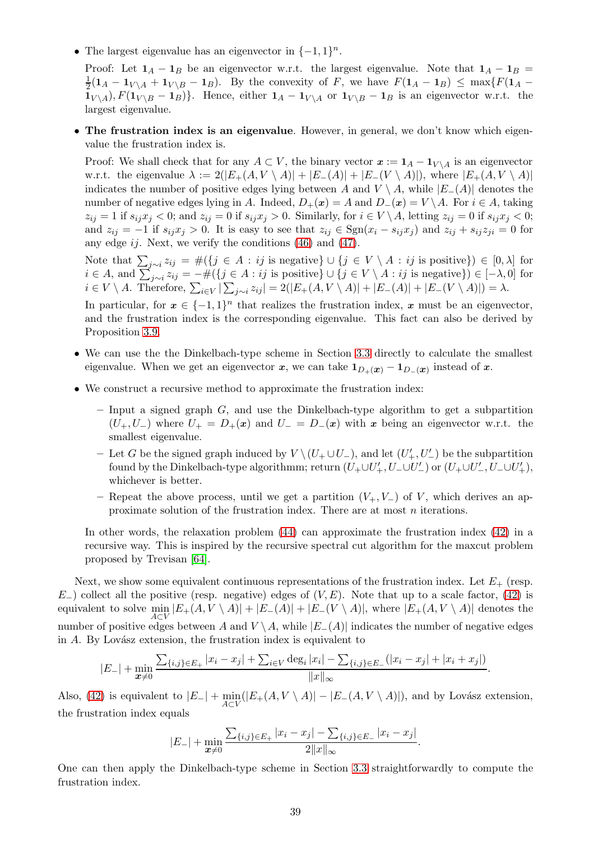• The largest eigenvalue has an eigenvector in  $\{-1,1\}^n$ .

Proof: Let  $1_A - 1_B$  be an eigenvector w.r.t. the largest eigenvalue. Note that  $1_A - 1_B =$ 1  $\frac{1}{2}(\mathbf{1}_A - \mathbf{1}_{V \setminus A} + \mathbf{1}_{V \setminus B} - \mathbf{1}_B)$ . By the convexity of F, we have  $F(\mathbf{1}_A - \mathbf{1}_B) \le \max\{F(\mathbf{1}_A - \mathbf{1}_B)\}$  $1_{V \setminus A}$ ,  $F(1_{V \setminus B} - 1_B)$ . Hence, either  $1_A - 1_{V \setminus A}$  or  $1_{V \setminus B} - 1_B$  is an eigenvector w.r.t. the largest eigenvalue.

• The frustration index is an eigenvalue. However, in general, we don't know which eigenvalue the frustration index is.

Proof: We shall check that for any  $A \subset V$ , the binary vector  $x := \mathbf{1}_A - \mathbf{1}_{V \setminus A}$  is an eigenvector w.r.t. the eigenvalue  $\lambda := 2(|E_{+}(A, V \setminus A)| + |E_{-}(A)| + |E_{-}(V \setminus A)|)$ , where  $|E_{+}(A, V \setminus A)|$ indicates the number of positive edges lying between A and  $V \setminus A$ , while  $|E-(A)|$  denotes the number of negative edges lying in A. Indeed,  $D_+(x) = A$  and  $D_-(x) = V \setminus A$ . For  $i \in A$ , taking  $z_{ij} = 1$  if  $s_{ij}x_j < 0$ ; and  $z_{ij} = 0$  if  $s_{ij}x_j > 0$ . Similarly, for  $i \in V \setminus A$ , letting  $z_{ij} = 0$  if  $s_{ij}x_j < 0$ ; and  $z_{ij} = -1$  if  $s_{ij}x_j > 0$ . It is easy to see that  $z_{ij} \in \text{Sgn}(x_i - s_{ij}x_j)$  and  $z_{ij} + s_{ij}z_{ji} = 0$  for any edge  $ij$ . Next, we verify the conditions  $(46)$  and  $(47)$ .

Note that  $\sum_{j\sim i} z_{ij} = #(\lbrace j \in A : ij \text{ is negative}\rbrace \cup \lbrace j \in V \setminus A : ij \text{ is positive}\rbrace) \in [0, \lambda]$  for  $i \in A$ , and  $\sum_{j\sim i}^{\infty} z_{ij} = -\#(\{j \in A : ij \text{ is positive}\}\cup\{j \in V \setminus A : ij \text{ is negative}\}) \in [-\lambda, 0]$  for  $i \in V \setminus A$ . Therefore,  $\sum_{i \in V} |\sum_{j \sim i} z_{ij}| = 2(|E_{+}(A, V \setminus A)| + |E_{-}(A)| + |E_{-}(V \setminus A)|) = \lambda$ .

In particular, for  $x \in \{-1,1\}^n$  that realizes the frustration index, x must be an eigenvector, and the frustration index is the corresponding eigenvalue. This fact can also be derived by Proposition [3.9.](#page-20-0)

- We can use the the Dinkelbach-type scheme in Section [3.3](#page-22-0) directly to calculate the smallest eigenvalue. When we get an eigenvector  $x$ , we can take  $1_{D_{+}}(x) - 1_{D_{-}}(x)$  instead of  $x$ .
- We construct a recursive method to approximate the frustration index:
	- $-$  Input a signed graph  $G$ , and use the Dinkelbach-type algorithm to get a subpartition  $(U_+, U_-)$  where  $U_+ = D_+(x)$  and  $U_- = D_-(x)$  with x being an eigenvector w.r.t. the smallest eigenvalue.
	- − Let G be the signed graph induced by  $V \setminus (U_+ \cup U_-)$ , and let  $(U'_+, U'_-)$  be the subpartition found by the Dinkelbach-type algorithmm; return  $(U_+ \cup U'_+, U_- \cup U'_-)$  or  $(U_+ \cup U'_-, U_- \cup U'_+),$ whichever is better.
	- Repeat the above process, until we get a partition  $(V_+, V_-)$  of V, which derives an approximate solution of the frustration index. There are at most  $n$  iterations.

In other words, the relaxation problem [\(44\)](#page-37-3) can approximate the frustration index [\(42\)](#page-37-0) in a recursive way. This is inspired by the recursive spectral cut algorithm for the maxcut problem proposed by Trevisan [\[64\]](#page-43-19).

Next, we show some equivalent continuous representations of the frustration index. Let  $E_{+}$  (resp.  $E_{-}$ ) collect all the positive (resp. negative) edges of  $(V, E)$ . Note that up to a scale factor, [\(42\)](#page-37-0) is equivalent to solve  $\min_{A \subset V} |E_+(A, V \setminus A)| + |E_-(A)| + |E_-(V \setminus A)|$ , where  $|E_+(A, V \setminus A)|$  denotes the  $A \subset V$ number of positive edges between A and  $V \setminus A$ , while  $|E_-(A)|$  indicates the number of negative edges in  $A$ . By Lovász extension, the frustration index is equivalent to

$$
|E_{-}| + \min_{\mathbf{x}\neq 0} \frac{\sum_{\{i,j\}\in E_{+}} |x_i - x_j| + \sum_{i\in V} \deg_i |x_i| - \sum_{\{i,j\}\in E_{-}} (|x_i - x_j| + |x_i + x_j|)}{||x||_{\infty}}.
$$

Also, [\(42\)](#page-37-0) is equivalent to  $|E_-| + \min_{A \subset V} (|E_+(A, V \setminus A)| - |E_-(A, V \setminus A)|)$ , and by Lovász extension, the frustration index equals

$$
|E_{-}| + \min_{\mathbf{x} \neq 0} \frac{\sum_{\{i,j\} \in E_{+}} |x_i - x_j| - \sum_{\{i,j\} \in E_{-}} |x_i - x_j|}{2||x||_{\infty}}.
$$

One can then apply the Dinkelbach-type scheme in Section [3.3](#page-22-0) straightforwardly to compute the frustration index.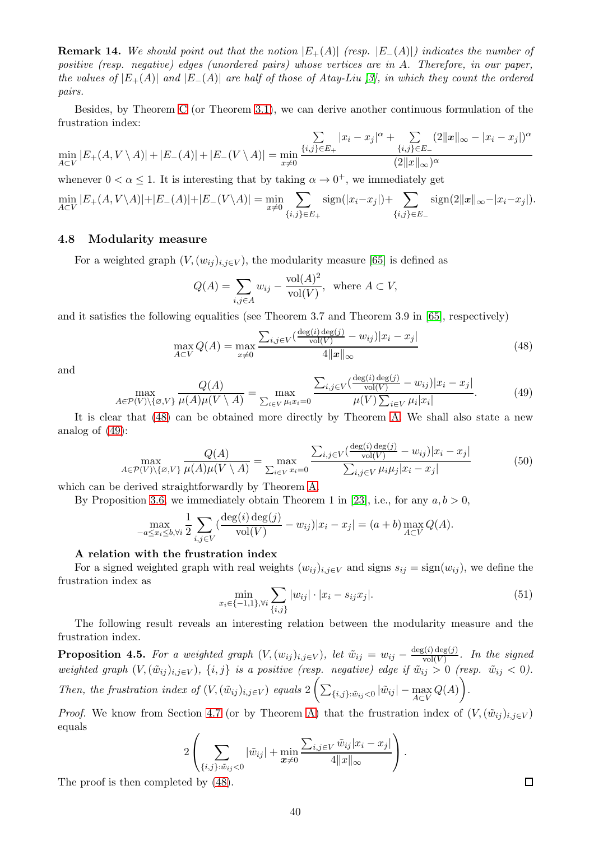**Remark 14.** We should point out that the notion  $|E_{+}(A)|$  (resp.  $|E_{-}(A)|$ ) indicates the number of positive (resp. negative) edges (unordered pairs) whose vertices are in A. Therefore, in our paper, the values of  $|E_{+}(A)|$  and  $|E_{-}(A)|$  are half of those of Atay-Liu [\[3\]](#page-41-14), in which they count the ordered pairs.

Besides, by Theorem [C](#page-5-0) (or Theorem [3.1\)](#page-13-2), we can derive another continuous formulation of the frustration index:

$$
\min_{A \subset V} |E_{+}(A, V \setminus A)| + |E_{-}(A)| + |E_{-}(V \setminus A)| = \min_{x \neq 0} \frac{\sum_{\{i,j\} \in E_{+}} |x_{i} - x_{j}|^{\alpha} + \sum_{\{i,j\} \in E_{-}} (2||x||_{\infty} - |x_{i} - x_{j}|)^{\alpha}}{(2||x||_{\infty})^{\alpha}}
$$

whenever  $0 < \alpha \leq 1$ . It is interesting that by taking  $\alpha \to 0^+$ , we immediately get

$$
\min_{A \subset V} |E_{+}(A, V \setminus A)| + |E_{-}(A)| + |E_{-}(V \setminus A)| = \min_{x \neq 0} \sum_{\{i,j\} \in E_{+}} \text{sign}(|x_{i} - x_{j}|) + \sum_{\{i,j\} \in E_{-}} \text{sign}(2||x||_{\infty} - |x_{i} - x_{j}|).
$$

#### <span id="page-39-0"></span>4.8 Modularity measure

For a weighted graph  $(V,(w_{ij})_{i,j\in V})$ , the modularity measure [\[65\]](#page-43-7) is defined as

$$
Q(A) = \sum_{i,j \in A} w_{ij} - \frac{\text{vol}(A)^2}{\text{vol}(V)}, \text{ where } A \subset V,
$$

and it satisfies the following equalities (see Theorem 3.7 and Theorem 3.9 in [\[65\]](#page-43-7), respectively)

<span id="page-39-1"></span>
$$
\max_{A \subset V} Q(A) = \max_{x \neq 0} \frac{\sum_{i,j \in V} \left( \frac{\deg(i) \deg(j)}{\text{vol}(V)} - w_{ij} \right) |x_i - x_j|}{4 \|x\|_{\infty}}
$$
(48)

and

<span id="page-39-2"></span>
$$
\max_{A \in \mathcal{P}(V) \setminus \{\varnothing, V\}} \frac{Q(A)}{\mu(A)\mu(V \setminus A)} = \max_{\sum_{i \in V} \mu_i x_i = 0} \frac{\sum_{i,j \in V} (\frac{\deg(i)\deg(j)}{\text{vol}(V)} - w_{ij}) |x_i - x_j|}{\mu(V) \sum_{i \in V} \mu_i |x_i|}.
$$
(49)

It is clear that [\(48\)](#page-39-1) can be obtained more directly by Theorem [A.](#page-4-0) We shall also state a new analog of [\(49\)](#page-39-2):

$$
\max_{A \in \mathcal{P}(V) \setminus \{\varnothing, V\}} \frac{Q(A)}{\mu(A)\mu(V \setminus A)} = \max_{\sum_{i \in V} x_i = 0} \frac{\sum_{i,j \in V} \frac{(\deg(i) \deg(j)}{\text{vol}(V)} - w_{ij}) |x_i - x_j|}{\sum_{i,j \in V} \mu_i \mu_j |x_i - x_j|}
$$
(50)

which can be derived straightforwardly by Theorem [A.](#page-4-0)

By Proposition [3.6,](#page-18-7) we immediately obtain Theorem 1 in [\[23\]](#page-42-26), i.e., for any  $a, b > 0$ ,

$$
\max_{-a \le x_i \le b, \forall i} \frac{1}{2} \sum_{i,j \in V} \left( \frac{\deg(i) \deg(j)}{\text{vol}(V)} - w_{ij} \right) |x_i - x_j| = (a+b) \max_{A \subset V} Q(A).
$$

#### A relation with the frustration index

For a signed weighted graph with real weights  $(w_{ij})_{i,j\in V}$  and signs  $s_{ij} = \text{sign}(w_{ij})$ , we define the frustration index as

$$
\min_{x_i \in \{-1,1\}, \forall i} \sum_{\{i,j\}} |w_{ij}| \cdot |x_i - s_{ij} x_j|.
$$
\n(51)

The following result reveals an interesting relation between the modularity measure and the frustration index.

**Proposition 4.5.** For a weighted graph  $(V,(w_{ij})_{i,j\in V})$ , let  $\tilde{w}_{ij} = w_{ij} - \frac{\deg(i)\deg(j)}{\text{vol}(V)}$  $\frac{\log(y)}{\log(V)}$ . In the signed weighted graph  $(V, (\tilde w_{ij})_{i,j\in V}), \; \{i,j\}$  is a positive (resp. negative) edge if  $\tilde w_{ij} > 0$  (resp.  $\tilde w_{ij} < 0$ ). Then, the frustration index of  $(V, (\tilde{w}_{ij})_{i,j\in V})$  equals  $2\left(\sum_{\{i,j\}: \tilde{w}_{ij} < 0} |\tilde{w}_{ij}| - \max_{A\subset V} Q(A)\right)$  $\setminus$ .

*Proof.* We know from Section [4.7](#page-36-0) (or by Theorem [A\)](#page-4-0) that the frustration index of  $(V, (\tilde{w}_{ij})_{i,j\in V})$ equals

$$
2\left(\sum_{\{i,j\}: \tilde{w}_{ij}<0}|\tilde{w}_{ij}|+\min_{\boldsymbol{x}\neq 0}\frac{\sum_{i,j\in V}\tilde{w}_{ij}|x_i-x_j|}{4||x||_{\infty}}\right).
$$

The proof is then completed by [\(48\)](#page-39-1).

 $\Box$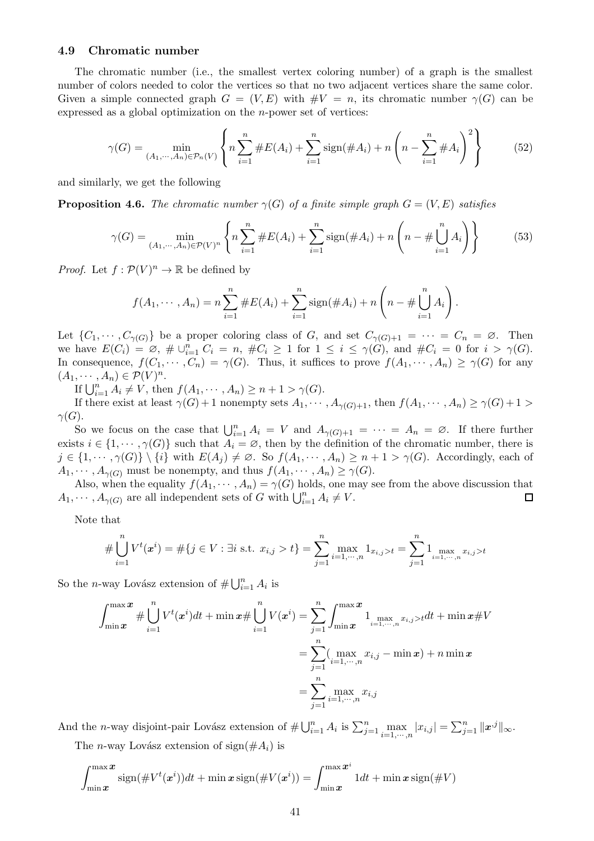### <span id="page-40-0"></span>4.9 Chromatic number

The chromatic number (i.e., the smallest vertex coloring number) of a graph is the smallest number of colors needed to color the vertices so that no two adjacent vertices share the same color. Given a simple connected graph  $G = (V, E)$  with  $\#V = n$ , its chromatic number  $\gamma(G)$  can be expressed as a global optimization on the n-power set of vertices:

$$
\gamma(G) = \min_{(A_1, \cdots, A_n) \in \mathcal{P}_n(V)} \left\{ n \sum_{i=1}^n \# E(A_i) + \sum_{i=1}^n \text{sign}(\# A_i) + n \left( n - \sum_{i=1}^n \# A_i \right)^2 \right\} \tag{52}
$$

and similarly, we get the following

**Proposition 4.6.** The chromatic number  $\gamma(G)$  of a finite simple graph  $G = (V, E)$  satisfies

$$
\gamma(G) = \min_{(A_1, \cdots, A_n) \in \mathcal{P}(V)^n} \left\{ n \sum_{i=1}^n \# E(A_i) + \sum_{i=1}^n \text{sign}(\# A_i) + n \left( n - \# \bigcup_{i=1}^n A_i \right) \right\} \tag{53}
$$

.

*Proof.* Let  $f: \mathcal{P}(V)^n \to \mathbb{R}$  be defined by

$$
f(A_1, \dots, A_n) = n \sum_{i=1}^n \#E(A_i) + \sum_{i=1}^n \text{sign}(\#A_i) + n \left(n - \# \bigcup_{i=1}^n A_i\right)
$$

Let  $\{C_1, \dots, C_{\gamma(G)}\}$  be a proper coloring class of G, and set  $C_{\gamma(G)+1} = \dots = C_n = \emptyset$ . Then we have  $E(C_i) = \emptyset$ ,  $\#\cup_{i=1}^n C_i = n$ ,  $\#C_i \ge 1$  for  $1 \le i \le \gamma(G)$ , and  $\#C_i = 0$  for  $i > \gamma(G)$ . In consequence,  $f(C_1, \dots, C_n) = \gamma(G)$ . Thus, it suffices to prove  $f(A_1, \dots, A_n) \geq \gamma(G)$  for any  $(A_1, \dots, A_n) \in \mathcal{P}(V)^n$ .

If  $\bigcup_{i=1}^{n} A_i \neq V$ , then  $f(A_1, \dots, A_n) \geq n + 1 > \gamma(G)$ .

If there exist at least  $\gamma(G) + 1$  nonempty sets  $A_1, \dots, A_{\gamma(G)+1}$ , then  $f(A_1, \dots, A_n) \geq \gamma(G)+1$  $\gamma(G)$ .

So we focus on the case that  $\bigcup_{i=1}^n A_i = V$  and  $A_{\gamma(G)+1} = \cdots = A_n = \emptyset$ . If there further exists  $i \in \{1, \dots, \gamma(G)\}\$  such that  $A_i = \emptyset$ , then by the definition of the chromatic number, there is  $j \in \{1, \dots, \gamma(G)\} \setminus \{i\}$  with  $E(A_j) \neq \emptyset$ . So  $f(A_1, \dots, A_n) \geq n+1 > \gamma(G)$ . Accordingly, each of  $A_1, \cdots, A_{\gamma(G)}$  must be nonempty, and thus  $f(A_1, \cdots, A_n) \geq \gamma(G)$ .

Also, when the equality  $f(A_1, \dots, A_n) = \gamma(G)$  holds, one may see from the above discussion that  $\cdots$ ,  $A_{\gamma(G)}$  are all independent sets of G with  $\bigcup_{i=1}^n A_i \neq V$ .  $A_1, \cdots, A_{\gamma(G)}$  are all independent sets of G with  $\bigcup_{i=1}^n A_i \neq V$ .

Note that

$$
\#\bigcup_{i=1}^n V^t(\boldsymbol{x}^i) = \#\{j \in V : \exists i \text{ s.t. } x_{i,j} > t\} = \sum_{j=1}^n \max_{i=1,\cdots,n} 1_{x_{i,j} > t} = \sum_{j=1}^n 1_{\max_{i=1,\cdots,n} x_{i,j} > t}
$$

So the *n*-way Lovász extension of  $\#\bigcup_{i=1}^{n} A_i$  is

$$
\int_{\min}^{\max} x \# \bigcup_{i=1}^{n} V^t(x^i) dt + \min x \# \bigcup_{i=1}^{n} V(x^i) = \sum_{j=1}^{n} \int_{\min}^{\max} x \, \mathbf{1}_{\max_{i=1,\cdots,n} x_{i,j} > t} dt + \min x \# V
$$

$$
= \sum_{j=1}^{n} (\max_{i=1,\cdots,n} x_{i,j} - \min x) + n \min x
$$

$$
= \sum_{j=1}^{n} \max_{i=1,\cdots,n} x_{i,j}
$$

And the *n*-way disjoint-pair Lovász extension of  $\#\bigcup_{i=1}^n A_i$  is  $\sum_{j=1}^n \max_{i=1,\dots,n} |x_{i,j}| = \sum_{j=1}^n ||\mathbf{x}^{,j}||_{\infty}$ . The *n*-way Lovász extension of sign( $\#A_i$ ) is

$$
\int_{\min x}^{\max x} \operatorname{sign}(\# V^t(x^i)) dt + \min x \operatorname{sign}(\# V(x^i)) = \int_{\min x}^{\max x^i} 1 dt + \min x \operatorname{sign}(\# V)
$$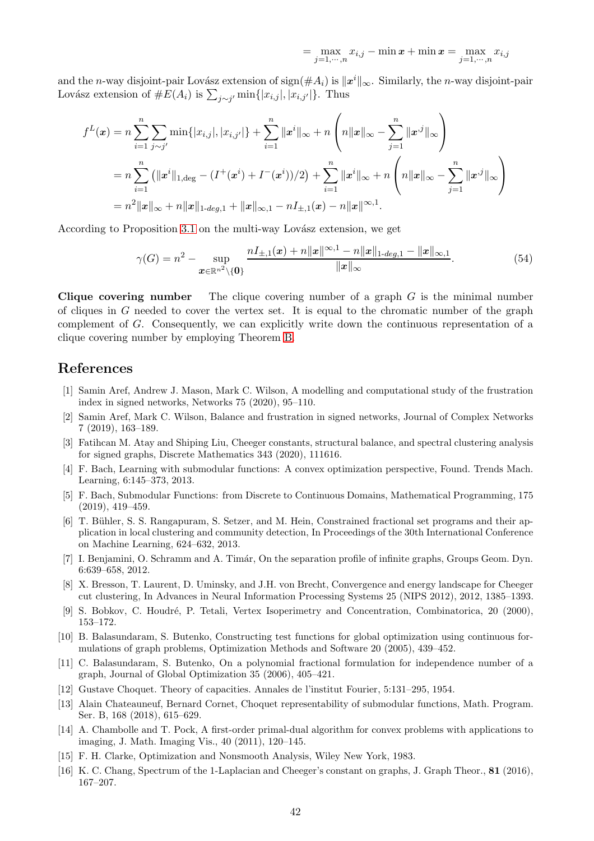$$
= \max_{j=1,\cdots,n} x_{i,j} - \min x + \min x = \max_{j=1,\cdots,n} x_{i,j}
$$

and the n-way disjoint-pair Lovász extension of sign( $\#A_i$ ) is  $\|\mathbf{x}^i\|_{\infty}$ . Similarly, the n-way disjoint-pair Lovász extension of  $#E(A_i)$  is  $\sum_{j \sim j'} \min\{|x_{i,j}|, |x_{i,j'}|\}$ . Thus

$$
f^{L}(\boldsymbol{x}) = n \sum_{i=1}^{n} \sum_{j \sim j'} \min\{|x_{i,j}|, |x_{i,j'}|\} + \sum_{i=1}^{n} ||x^{i}||_{\infty} + n \left(n||\boldsymbol{x}||_{\infty} - \sum_{j=1}^{n} ||x^{j}||_{\infty}\right)
$$
  
=  $n \sum_{i=1}^{n} (||x^{i}||_{1, \text{deg}} - (I^{+}(\boldsymbol{x}^{i}) + I^{-}(\boldsymbol{x}^{i}))/2) + \sum_{i=1}^{n} ||x^{i}||_{\infty} + n \left(n||\boldsymbol{x}||_{\infty} - \sum_{j=1}^{n} ||x^{j}||_{\infty}\right)$   
=  $n^{2}||\boldsymbol{x}||_{\infty} + n||\boldsymbol{x}||_{1\text{-deg},1} + ||\boldsymbol{x}||_{\infty,1} - nI_{\pm,1}(\boldsymbol{x}) - n||\boldsymbol{x}||^{\infty,1}.$ 

According to Proposition [3.1](#page-15-0) on the multi-way Lovász extension, we get

$$
\gamma(G) = n^2 - \sup_{\mathbf{x} \in \mathbb{R}^{n^2} \setminus \{\mathbf{0}\}} \frac{nI_{\pm,1}(\mathbf{x}) + n\|\mathbf{x}\|^{\infty,1} - n\|\mathbf{x}\|_{1-deg,1} - \|\mathbf{x}\|_{\infty,1}}{\|\mathbf{x}\|_{\infty}}.
$$
(54)

**Clique covering number** The clique covering number of a graph  $G$  is the minimal number of cliques in  $G$  needed to cover the vertex set. It is equal to the chromatic number of the graph complement of G. Consequently, we can explicitly write down the continuous representation of a clique covering number by employing Theorem [B.](#page-4-1)

## <span id="page-41-5"></span>References

- [1] Samin Aref, Andrew J. Mason, Mark C. Wilson, A modelling and computational study of the frustration index in signed networks, Networks 75 (2020), 95–110.
- <span id="page-41-6"></span>[2] Samin Aref, Mark C. Wilson, Balance and frustration in signed networks, Journal of Complex Networks 7 (2019), 163–189.
- <span id="page-41-14"></span>[3] Fatihcan M. Atay and Shiping Liu, Cheeger constants, structural balance, and spectral clustering analysis for signed graphs, Discrete Mathematics 343 (2020), 111616.
- <span id="page-41-2"></span>[4] F. Bach, Learning with submodular functions: A convex optimization perspective, Found. Trends Mach. Learning, 6:145–373, 2013.
- <span id="page-41-3"></span>[5] F. Bach, Submodular Functions: from Discrete to Continuous Domains, Mathematical Programming, 175 (2019), 419–459.
- <span id="page-41-8"></span>[6] T. B¨uhler, S. S. Rangapuram, S. Setzer, and M. Hein, Constrained fractional set programs and their application in local clustering and community detection, In Proceedings of the 30th International Conference on Machine Learning, 624–632, 2013.
- [7] I. Benjamini, O. Schramm and A. Timár, On the separation profile of infinite graphs, Groups Geom. Dyn. 6:639–658, 2012.
- <span id="page-41-10"></span>[8] X. Bresson, T. Laurent, D. Uminsky, and J.H. von Brecht, Convergence and energy landscape for Cheeger cut clustering, In Advances in Neural Information Processing Systems 25 (NIPS 2012), 2012, 1385–1393.
- <span id="page-41-12"></span><span id="page-41-0"></span>[9] S. Bobkov, C. Houdré, P. Tetali, Vertex Isoperimetry and Concentration, Combinatorica, 20 (2000), 153–172.
- [10] B. Balasundaram, S. Butenko, Constructing test functions for global optimization using continuous formulations of graph problems, Optimization Methods and Software 20 (2005), 439–452.
- <span id="page-41-13"></span>[11] C. Balasundaram, S. Butenko, On a polynomial fractional formulation for independence number of a graph, Journal of Global Optimization 35 (2006), 405–421.
- <span id="page-41-7"></span><span id="page-41-1"></span>[12] Gustave Choquet. Theory of capacities. Annales de l'institut Fourier, 5:131–295, 1954.
- [13] Alain Chateauneuf, Bernard Cornet, Choquet representability of submodular functions, Math. Program. Ser. B, 168 (2018), 615–629.
- <span id="page-41-11"></span>[14] A. Chambolle and T. Pock, A first-order primal-dual algorithm for convex problems with applications to imaging, J. Math. Imaging Vis., 40 (2011), 120–145.
- <span id="page-41-9"></span><span id="page-41-4"></span>[15] F. H. Clarke, Optimization and Nonsmooth Analysis, Wiley New York, 1983.
- [16] K. C. Chang, Spectrum of the 1-Laplacian and Cheeger's constant on graphs, J. Graph Theor., 81 (2016), 167–207.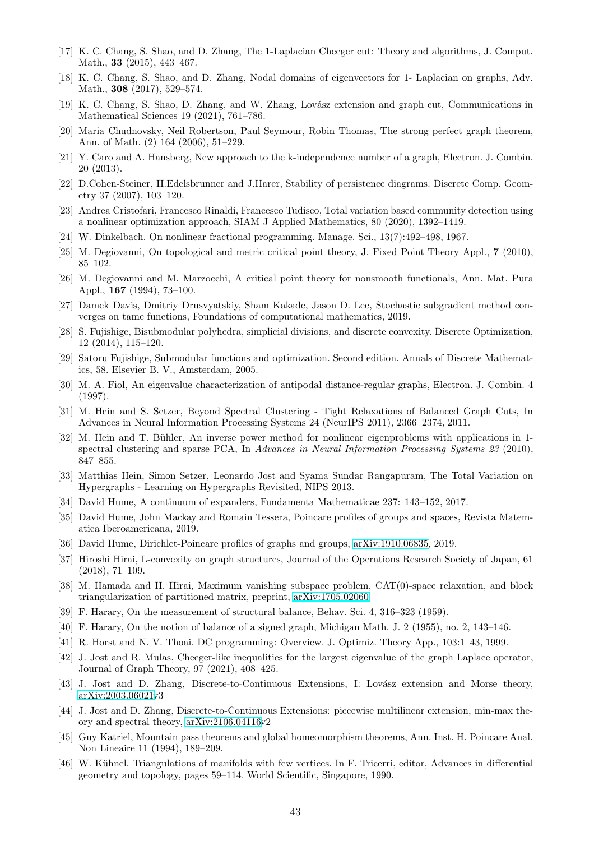- <span id="page-42-18"></span><span id="page-42-9"></span>[17] K. C. Chang, S. Shao, and D. Zhang, The 1-Laplacian Cheeger cut: Theory and algorithms, J. Comput. Math., **33** (2015), 443-467.
- <span id="page-42-6"></span>[18] K. C. Chang, S. Shao, and D. Zhang, Nodal domains of eigenvectors for 1- Laplacian on graphs, Adv. Math., 308 (2017), 529–574.
- <span id="page-42-20"></span>[19] K. C. Chang, S. Shao, D. Zhang, and W. Zhang, Lovász extension and graph cut, Communications in Mathematical Sciences 19 (2021), 761–786.
- <span id="page-42-21"></span>[20] Maria Chudnovsky, Neil Robertson, Paul Seymour, Robin Thomas, The strong perfect graph theorem, Ann. of Math. (2) 164 (2006), 51–229.
- [21] Y. Caro and A. Hansberg, New approach to the k-independence number of a graph, Electron. J. Combin. 20 (2013).
- <span id="page-42-26"></span>[22] D.Cohen-Steiner, H.Edelsbrunner and J.Harer, Stability of persistence diagrams. Discrete Comp. Geometry 37 (2007), 103–120.
- [23] Andrea Cristofari, Francesco Rinaldi, Francesco Tudisco, Total variation based community detection using a nonlinear optimization approach, SIAM J Applied Mathematics, 80 (2020), 1392–1419.
- <span id="page-42-16"></span><span id="page-42-15"></span>[24] W. Dinkelbach. On nonlinear fractional programming. Manage. Sci., 13(7):492–498, 1967.
- <span id="page-42-17"></span>[25] M. Degiovanni, On topological and metric critical point theory, J. Fixed Point Theory Appl., 7 (2010), 85–102.
- <span id="page-42-14"></span>[26] M. Degiovanni and M. Marzocchi, A critical point theory for nonsmooth functionals, Ann. Mat. Pura Appl., 167 (1994), 73–100.
- [27] Damek Davis, Dmitriy Drusvyatskiy, Sham Kakade, Jason D. Lee, Stochastic subgradient method converges on tame functions, Foundations of computational mathematics, 2019.
- <span id="page-42-7"></span>[28] S. Fujishige, Bisubmodular polyhedra, simplicial divisions, and discrete convexity. Discrete Optimization, 12 (2014), 115–120.
- <span id="page-42-22"></span><span id="page-42-4"></span>[29] Satoru Fujishige, Submodular functions and optimization. Second edition. Annals of Discrete Mathematics, 58. Elsevier B. V., Amsterdam, 2005.
- <span id="page-42-0"></span>[30] M. A. Fiol, An eigenvalue characterization of antipodal distance-regular graphs, Electron. J. Combin. 4 (1997).
- [31] M. Hein and S. Setzer, Beyond Spectral Clustering Tight Relaxations of Balanced Graph Cuts, In Advances in Neural Information Processing Systems 24 (NeurIPS 2011), 2366–2374, 2011.
- <span id="page-42-10"></span>[32] M. Hein and T. Bühler, An inverse power method for nonlinear eigenproblems with applications in 1spectral clustering and sparse PCA, In Advances in Neural Information Processing Systems 23 (2010), 847–855.
- <span id="page-42-1"></span>[33] Matthias Hein, Simon Setzer, Leonardo Jost and Syama Sundar Rangapuram, The Total Variation on Hypergraphs - Learning on Hypergraphs Revisited, NIPS 2013.
- <span id="page-42-23"></span><span id="page-42-2"></span>[34] David Hume, A continuum of expanders, Fundamenta Mathematicae 237: 143–152, 2017.
- [35] David Hume, John Mackay and Romain Tessera, Poincare profiles of groups and spaces, Revista Matematica Iberoamericana, 2019.
- <span id="page-42-12"></span><span id="page-42-3"></span>[36] David Hume, Dirichlet-Poincare profiles of graphs and groups, [arXiv:1910.06835,](http://arxiv.org/abs/1910.06835) 2019.
- [37] Hiroshi Hirai, L-convexity on graph structures, Journal of the Operations Research Society of Japan, 61 (2018), 71–109.
- <span id="page-42-13"></span>[38] M. Hamada and H. Hirai, Maximum vanishing subspace problem, CAT(0)-space relaxation, and block triangularization of partitioned matrix, preprint, [arXiv:1705.02060.](http://arxiv.org/abs/1705.02060)
- <span id="page-42-25"></span><span id="page-42-11"></span>[39] F. Harary, On the measurement of structural balance, Behav. Sci. 4, 316–323 (1959).
- <span id="page-42-19"></span>[40] F. Harary, On the notion of balance of a signed graph, Michigan Math. J. 2 (1955), no. 2, 143–146.
- <span id="page-42-24"></span>[41] R. Horst and N. V. Thoai. DC programming: Overview. J. Optimiz. Theory App., 103:1–43, 1999.
- [42] J. Jost and R. Mulas, Cheeger-like inequalities for the largest eigenvalue of the graph Laplace operator, Journal of Graph Theory, 97 (2021), 408–425.
- <span id="page-42-8"></span><span id="page-42-5"></span>[43] J. Jost and D. Zhang, Discrete-to-Continuous Extensions, I: Lovász extension and Morse theory, [arXiv:2003.06021v](http://arxiv.org/abs/2003.06021)3
- [44] J. Jost and D. Zhang, Discrete-to-Continuous Extensions: piecewise multilinear extension, min-max theory and spectral theory, [arXiv:2106.04116v](http://arxiv.org/abs/2106.04116)2
- [45] Guy Katriel, Mountain pass theorems and global homeomorphism theorems, Ann. Inst. H. Poincare Anal. Non Lineaire 11 (1994), 189–209.
- [46] W. Kühnel. Triangulations of manifolds with few vertices. In F. Tricerri, editor, Advances in differential geometry and topology, pages 59–114. World Scientific, Singapore, 1990.